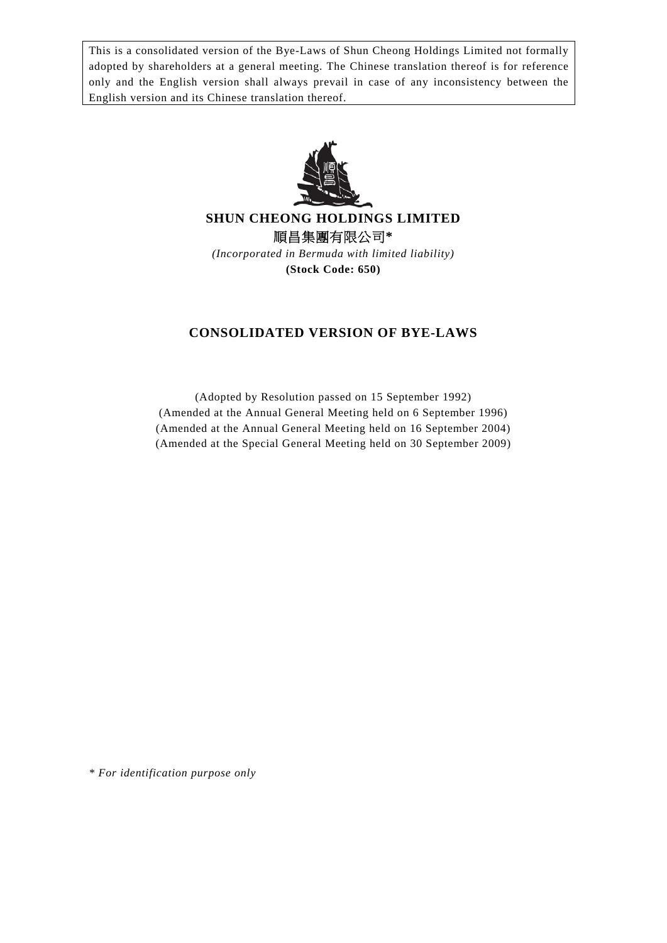This is a consolidated version of the Bye-Laws of Shun Cheong Holdings Limited not formally adopted by shareholders at a general meeting. The Chinese translation thereof is for reference only and the English version shall always prevail in case of any inconsistency between the English version and its Chinese translation thereof.



**SHUN CHEONG HOLDINGS LIMITED**  順昌集團有限公司**\*** 

*(Incorporated in Bermuda with limited liability)*  **(Stock Code: 650)** 

# **CONSOLIDATED VERSION OF BYE-LAWS**

(Adopted by Resolution passed on 15 September 1992) (Amended at the Annual General Meeting held on 6 September 1996) (Amended at the Annual General Meeting held on 16 September 2004) (Amended at the Special General Meeting held on 30 September 2009)

*\* For identification purpose only*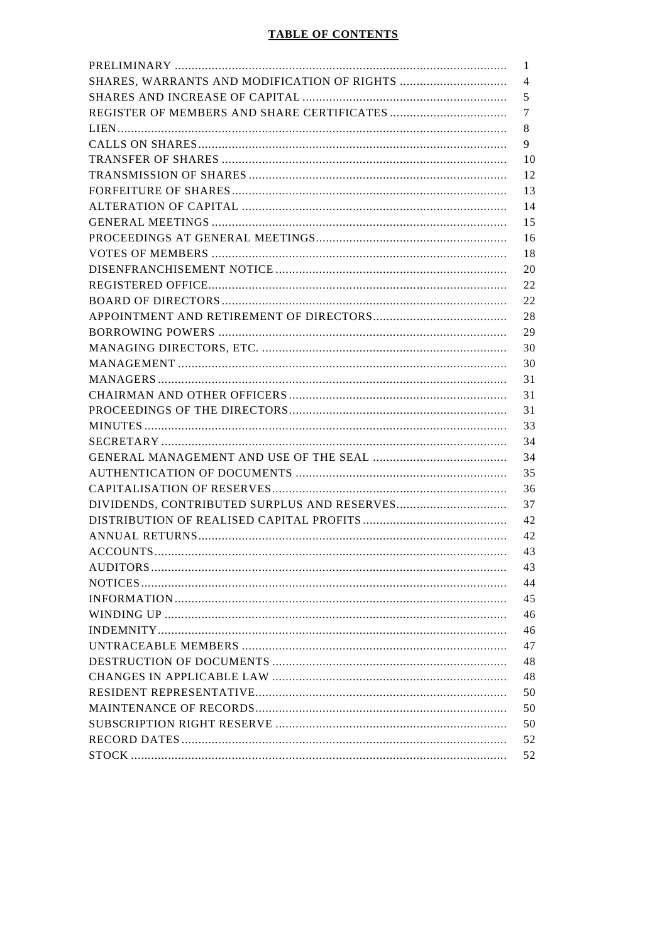| 1  |
|----|
| 4  |
| 5  |
| 7  |
| 8  |
| 9  |
| 10 |
| 12 |
| 13 |
| 14 |
| 15 |
| 16 |
| 18 |
| 20 |
| 22 |
| 22 |
| 28 |
| 29 |
| 30 |
| 30 |
| 31 |
| 31 |
| 31 |
| 33 |
| 34 |
| 34 |
| 35 |
| 36 |
| 37 |
| 42 |
| 42 |
| 43 |
| 43 |
| 44 |
| 45 |
| 46 |
| 46 |
| 47 |
| 48 |
| 48 |
| 50 |
| 50 |
| 50 |
| 52 |
| 52 |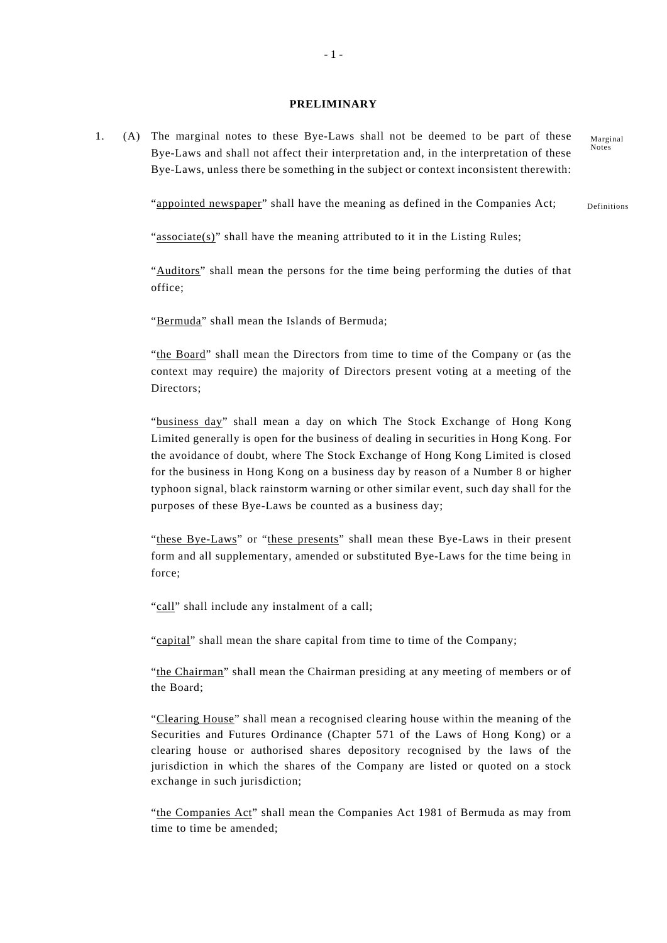### **PRELIMINARY**

1. (A) The marginal notes to these Bye-Laws shall not be deemed to be part of these Bye-Laws and shall not affect their interpretation and, in the interpretation of these Bye-Laws, unless there be something in the subject or context inconsistent therewith:

> Definitions "appointed newspaper" shall have the meaning as defined in the Companies Act;

" $\frac{1}{2}$ " shall have the meaning attributed to it in the Listing Rules;

"Auditors" shall mean the persons for the time being performing the duties of that office;

"Bermuda" shall mean the Islands of Bermuda;

"the Board" shall mean the Directors from time to time of the Company or (as the context may require) the majority of Directors present voting at a meeting of the Directors;

"business day" shall mean a day on which The Stock Exchange of Hong Kong Limited generally is open for the business of dealing in securities in Hong Kong. For the avoidance of doubt, where The Stock Exchange of Hong Kong Limited is closed for the business in Hong Kong on a business day by reason of a Number 8 or higher typhoon signal, black rainstorm warning or other similar event, such day shall for the purposes of these Bye-Laws be counted as a business day;

"these Bye-Laws" or "these presents" shall mean these Bye-Laws in their present form and all supplementary, amended or substituted Bye-Laws for the time being in force;

"call" shall include any instalment of a call;

"capital" shall mean the share capital from time to time of the Company;

"the Chairman" shall mean the Chairman presiding at any meeting of members or of the Board;

"Clearing House" shall mean a recognised clearing house within the meaning of the Securities and Futures Ordinance (Chapter 571 of the Laws of Hong Kong) or a clearing house or authorised shares depository recognised by the laws of the jurisdiction in which the shares of the Company are listed or quoted on a stock exchange in such jurisdiction;

"the Companies Act" shall mean the Companies Act 1981 of Bermuda as may from time to time be amended;

Marginal Notes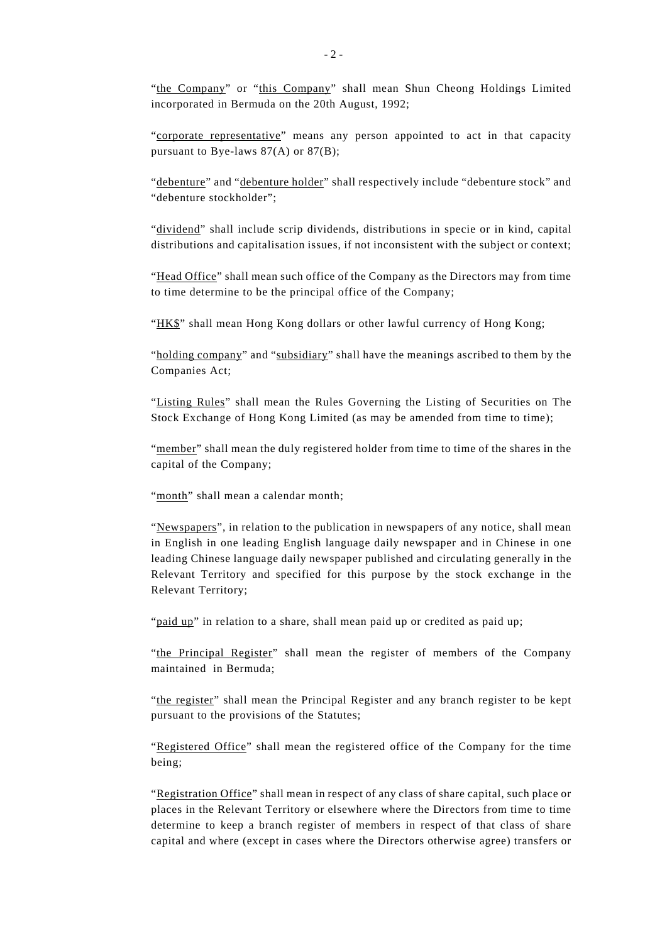"corporate representative" means any person appointed to act in that capacity pursuant to Bye-laws 87(A) or 87(B);

"debenture" and "debenture holder" shall respectively include "debenture stock" and "debenture stockholder";

"dividend" shall include scrip dividends, distributions in specie or in kind, capital distributions and capitalisation issues, if not inconsistent with the subject or context;

"Head Office" shall mean such office of the Company as the Directors may from time to time determine to be the principal office of the Company;

"HK\$" shall mean Hong Kong dollars or other lawful currency of Hong Kong;

"holding company" and "subsidiary" shall have the meanings ascribed to them by the Companies Act;

"Listing Rules" shall mean the Rules Governing the Listing of Securities on The Stock Exchange of Hong Kong Limited (as may be amended from time to time);

"member" shall mean the duly registered holder from time to time of the shares in the capital of the Company;

"month" shall mean a calendar month;

"Newspapers", in relation to the publication in newspapers of any notice, shall mean in English in one leading English language daily newspaper and in Chinese in one leading Chinese language daily newspaper published and circulating generally in the Relevant Territory and specified for this purpose by the stock exchange in the Relevant Territory;

"paid up" in relation to a share, shall mean paid up or credited as paid up;

"the Principal Register" shall mean the register of members of the Company maintained in Bermuda;

"the register" shall mean the Principal Register and any branch register to be kept pursuant to the provisions of the Statutes;

"Registered Office" shall mean the registered office of the Company for the time being;

"Registration Office" shall mean in respect of any class of share capital, such place or places in the Relevant Territory or elsewhere where the Directors from time to time determine to keep a branch register of members in respect of that class of share capital and where (except in cases where the Directors otherwise agree) transfers or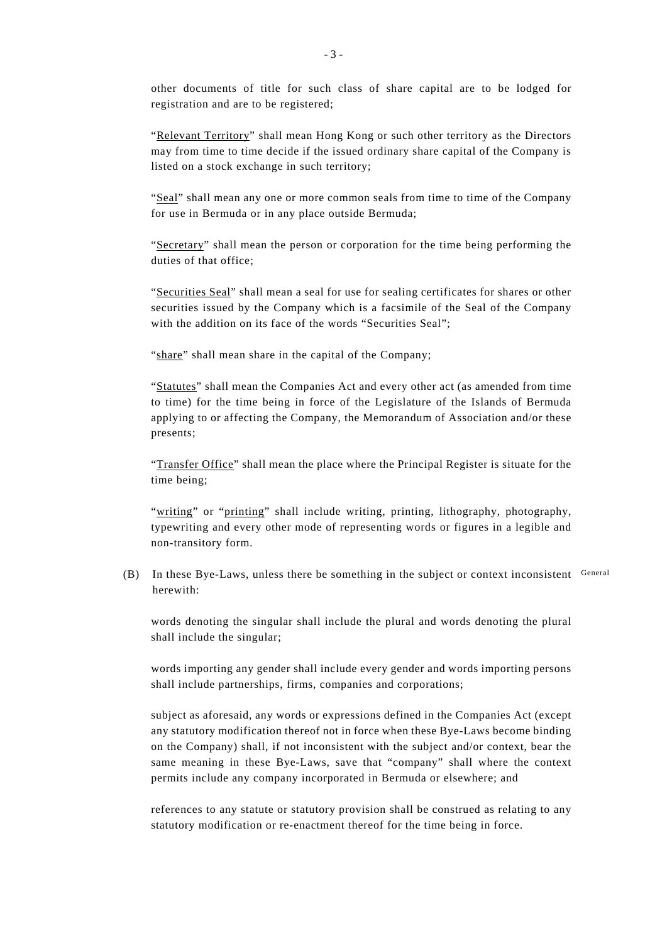other documents of title for such class of share capital are to be lodged for registration and are to be registered;

"Relevant Territory" shall mean Hong Kong or such other territory as the Directors may from time to time decide if the issued ordinary share capital of the Company is listed on a stock exchange in such territory;

"Seal" shall mean any one or more common seals from time to time of the Company for use in Bermuda or in any place outside Bermuda;

"Secretary" shall mean the person or corporation for the time being performing the duties of that office;

"Securities Seal" shall mean a seal for use for sealing certificates for shares or other securities issued by the Company which is a facsimile of the Seal of the Company with the addition on its face of the words "Securities Seal";

"share" shall mean share in the capital of the Company;

"Statutes" shall mean the Companies Act and every other act (as amended from time to time) for the time being in force of the Legislature of the Islands of Bermuda applying to or affecting the Company, the Memorandum of Association and/or these presents;

"Transfer Office" shall mean the place where the Principal Register is situate for the time being;

"writing" or "printing" shall include writing, printing, lithography, photography, typewriting and every other mode of representing words or figures in a legible and non-transitory form.

(B) In these Bye-Laws, unless there be something in the subject or context inconsistent  $\sigma$  General herewith:

words denoting the singular shall include the plural and words denoting the plural shall include the singular;

words importing any gender shall include every gender and words importing persons shall include partnerships, firms, companies and corporations;

subject as aforesaid, any words or expressions defined in the Companies Act (except any statutory modification thereof not in force when these Bye-Laws become binding on the Company) shall, if not inconsistent with the subject and/or context, bear the same meaning in these Bye-Laws, save that "company" shall where the context permits include any company incorporated in Bermuda or elsewhere; and

references to any statute or statutory provision shall be construed as relating to any statutory modification or re-enactment thereof for the time being in force.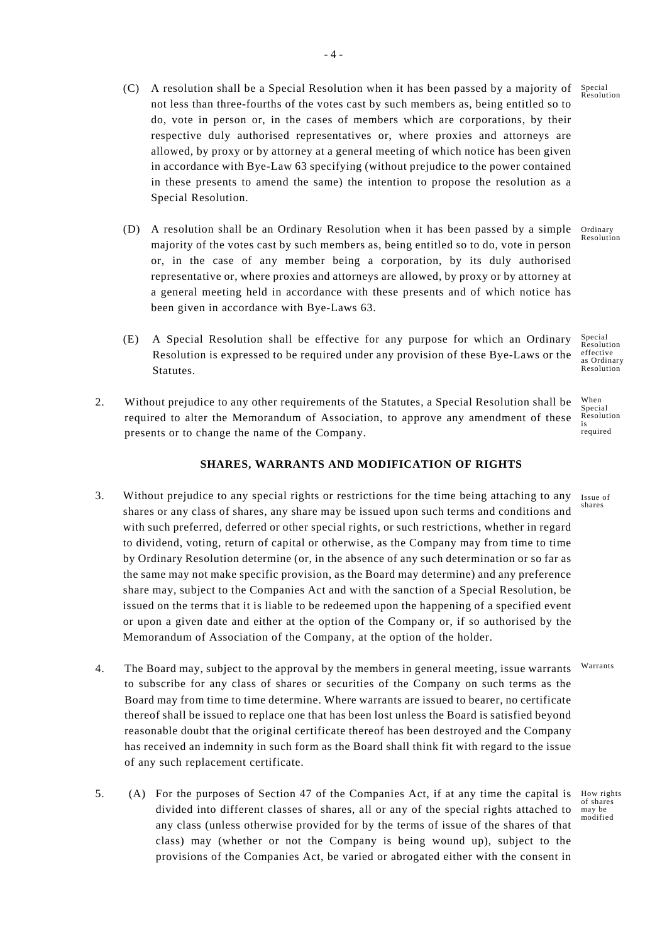- (C) A resolution shall be a Special Resolution when it has been passed by a majority of not less than three-fourths of the votes cast by such members as, being entitled so to do, vote in person or, in the cases of members which are corporations, by their respective duly authorised representatives or, where proxies and attorneys are allowed, by proxy or by attorney at a general meeting of which notice has been given in accordance with Bye-Law 63 specifying (without prejudice to the power contained in these presents to amend the same) the intention to propose the resolution as a Special Resolution.
- (D) A resolution shall be an Ordinary Resolution when it has been passed by a simple majority of the votes cast by such members as, being entitled so to do, vote in person or, in the case of any member being a corporation, by its duly authorised representative or, where proxies and attorneys are allowed, by proxy or by attorney at a general meeting held in accordance with these presents and of which notice has been given in accordance with Bye-Laws 63.
- (E) A Special Resolution shall be effective for any purpose for which an Ordinary Resolution is expressed to be required under any provision of these Bye-Laws or the Statutes.
- When is 2. Without prejudice to any other requirements of the Statutes, a Special Resolution shall be required to alter the Memorandum of Association, to approve any amendment of these presents or to change the name of the Company.

# **SHARES, WARRANTS AND MODIFICATION OF RIGHTS**

- 3. Without prejudice to any special rights or restrictions for the time being attaching to any shares or any class of shares, any share may be issued upon such terms and conditions and with such preferred, deferred or other special rights, or such restrictions, whether in regard to dividend, voting, return of capital or otherwise, as the Company may from time to time by Ordinary Resolution determine (or, in the absence of any such determination or so far as the same may not make specific provision, as the Board may determine) and any preference share may, subject to the Companies Act and with the sanction of a Special Resolution, be issued on the terms that it is liable to be redeemed upon the happening of a specified event or upon a given date and either at the option of the Company or, if so authorised by the Memorandum of Association of the Company, at the option of the holder.
- Warrants 4. The Board may, subject to the approval by the members in general meeting, issue warrants to subscribe for any class of shares or securities of the Company on such terms as the Board may from time to time determine. Where warrants are issued to bearer, no certificate thereof shall be issued to replace one that has been lost unless the Board is satisfied beyond reasonable doubt that the original certificate thereof has been destroyed and the Company has received an indemnity in such form as the Board shall think fit with regard to the issue of any such replacement certificate.
- 5. (A) For the purposes of Section 47 of the Companies Act, if at any time the capital is How rights divided into different classes of shares, all or any of the special rights attached to any class (unless otherwise provided for by the terms of issue of the shares of that class) may (whether or not the Company is being wound up), subject to the provisions of the Companies Act, be varied or abrogated either with the consent in

Special Resolution

Ordinary Resolution

Special Resolution effective as Ordinary Resolution

Special Resolution required

Issue of shares

of shares may be modified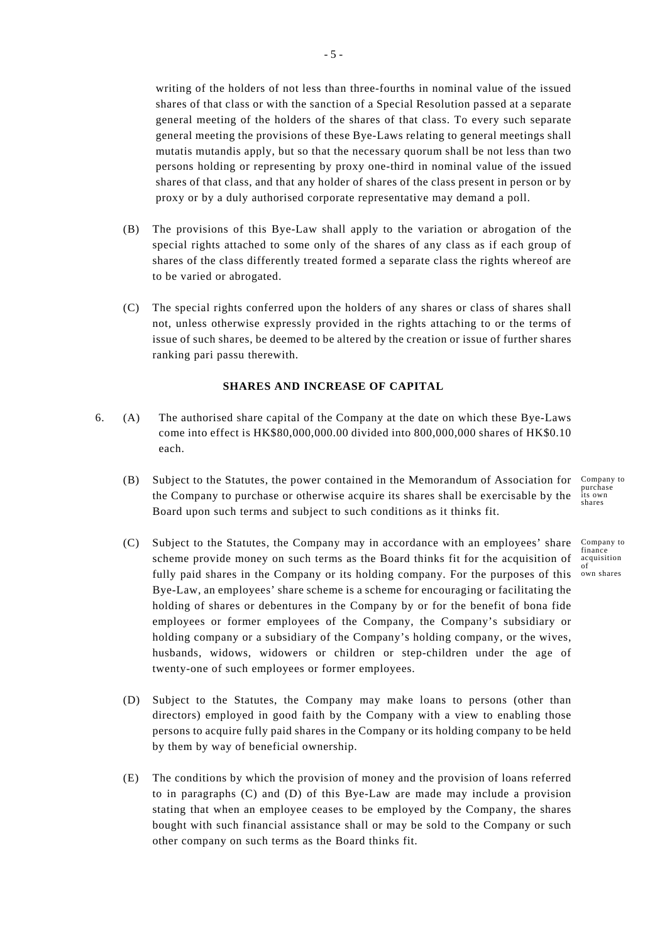writing of the holders of not less than three-fourths in nominal value of the issued shares of that class or with the sanction of a Special Resolution passed at a separate general meeting of the holders of the shares of that class. To every such separate general meeting the provisions of these Bye-Laws relating to general meetings shall mutatis mutandis apply, but so that the necessary quorum shall be not less than two persons holding or representing by proxy one-third in nominal value of the issued shares of that class, and that any holder of shares of the class present in person or by proxy or by a duly authorised corporate representative may demand a poll.

- (B) The provisions of this Bye-Law shall apply to the variation or abrogation of the special rights attached to some only of the shares of any class as if each group of shares of the class differently treated formed a separate class the rights whereof are to be varied or abrogated.
- (C) The special rights conferred upon the holders of any shares or class of shares shall not, unless otherwise expressly provided in the rights attaching to or the terms of issue of such shares, be deemed to be altered by the creation or issue of further shares ranking pari passu therewith.

### **SHARES AND INCREASE OF CAPITAL**

- 6. (A) The authorised share capital of the Company at the date on which these Bye-Laws come into effect is HK\$80,000,000.00 divided into 800,000,000 shares of HK\$0.10 each.
	- (B) Subject to the Statutes, the power contained in the Memorandum of Association for  $\frac{Compare}{prchase}$ its own the Company to purchase or otherwise acquire its shares shall be exercisable by the Board upon such terms and subject to such conditions as it thinks fit.
	- (C) Subject to the Statutes, the Company may in accordance with an employees' share scheme provide money on such terms as the Board thinks fit for the acquisition of fully paid shares in the Company or its holding company. For the purposes of this Bye-Law, an employees' share scheme is a scheme for encouraging or facilitating the holding of shares or debentures in the Company by or for the benefit of bona fide employees or former employees of the Company, the Company's subsidiary or holding company or a subsidiary of the Company's holding company, or the wives, husbands, widows, widowers or children or step-children under the age of twenty-one of such employees or former employees.
	- (D) Subject to the Statutes, the Company may make loans to persons (other than directors) employed in good faith by the Company with a view to enabling those persons to acquire fully paid shares in the Company or its holding company to be held by them by way of beneficial ownership.
	- (E) The conditions by which the provision of money and the provision of loans referred to in paragraphs (C) and (D) of this Bye-Law are made may include a provision stating that when an employee ceases to be employed by the Company, the shares bought with such financial assistance shall or may be sold to the Company or such other company on such terms as the Board thinks fit.

shares

Company to finance acquisition of own shares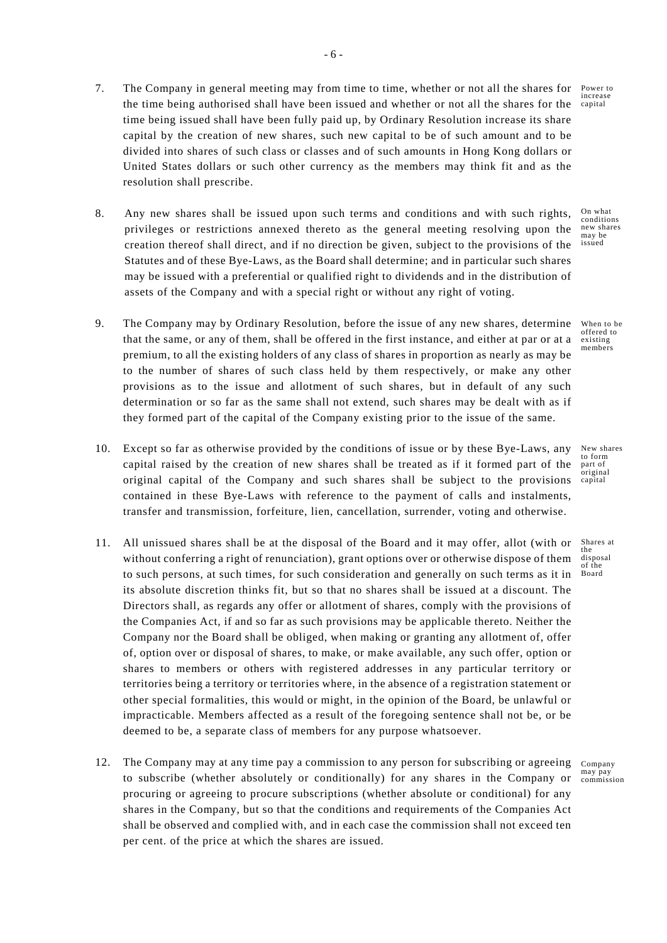- Power to increase the time being authorised shall have been issued and whether or not all the shares for the capital 7. The Company in general meeting may from time to time, whether or not all the shares for time being issued shall have been fully paid up, by Ordinary Resolution increase its share capital by the creation of new shares, such new capital to be of such amount and to be divided into shares of such class or classes and of such amounts in Hong Kong dollars or United States dollars or such other currency as the members may think fit and as the resolution shall prescribe.
- 8. Any new shares shall be issued upon such terms and conditions and with such rights, privileges or restrictions annexed thereto as the general meeting resolving upon the creation thereof shall direct, and if no direction be given, subject to the provisions of the Statutes and of these Bye-Laws, as the Board shall determine; and in particular such shares may be issued with a preferential or qualified right to dividends and in the distribution of assets of the Company and with a special right or without any right of voting.
- 9. The Company may by Ordinary Resolution, before the issue of any new shares, determine that the same, or any of them, shall be offered in the first instance, and either at par or at a premium, to all the existing holders of any class of shares in proportion as nearly as may be to the number of shares of such class held by them respectively, or make any other provisions as to the issue and allotment of such shares, but in default of any such determination or so far as the same shall not extend, such shares may be dealt with as if they formed part of the capital of the Company existing prior to the issue of the same.
- 10. Except so far as otherwise provided by the conditions of issue or by these Bye-Laws, any capital raised by the creation of new shares shall be treated as if it formed part of the original capital of the Company and such shares shall be subject to the provisions contained in these Bye-Laws with reference to the payment of calls and instalments, transfer and transmission, forfeiture, lien, cancellation, surrender, voting and otherwise.
- 11. All unissued shares shall be at the disposal of the Board and it may offer, allot (with or without conferring a right of renunciation), grant options over or otherwise dispose of them to such persons, at such times, for such consideration and generally on such terms as it in its absolute discretion thinks fit, but so that no shares shall be issued at a discount. The Directors shall, as regards any offer or allotment of shares, comply with the provisions of the Companies Act, if and so far as such provisions may be applicable thereto. Neither the Company nor the Board shall be obliged, when making or granting any allotment of, offer of, option over or disposal of shares, to make, or make available, any such offer, option or shares to members or others with registered addresses in any particular territory or territories being a territory or territories where, in the absence of a registration statement or other special formalities, this would or might, in the opinion of the Board, be unlawful or impracticable. Members affected as a result of the foregoing sentence shall not be, or be deemed to be, a separate class of members for any purpose whatsoever.
- 12. The Company may at any time pay a commission to any person for subscribing or agreeing to subscribe (whether absolutely or conditionally) for any shares in the Company or procuring or agreeing to procure subscriptions (whether absolute or conditional) for any shares in the Company, but so that the conditions and requirements of the Companies Act shall be observed and complied with, and in each case the commission shall not exceed ten per cent. of the price at which the shares are issued.

On what conditions new shares may be issued

offered to existing members

When to be

New shares to form part of original capital

Shares at the disposal of the Board

Company may pay commission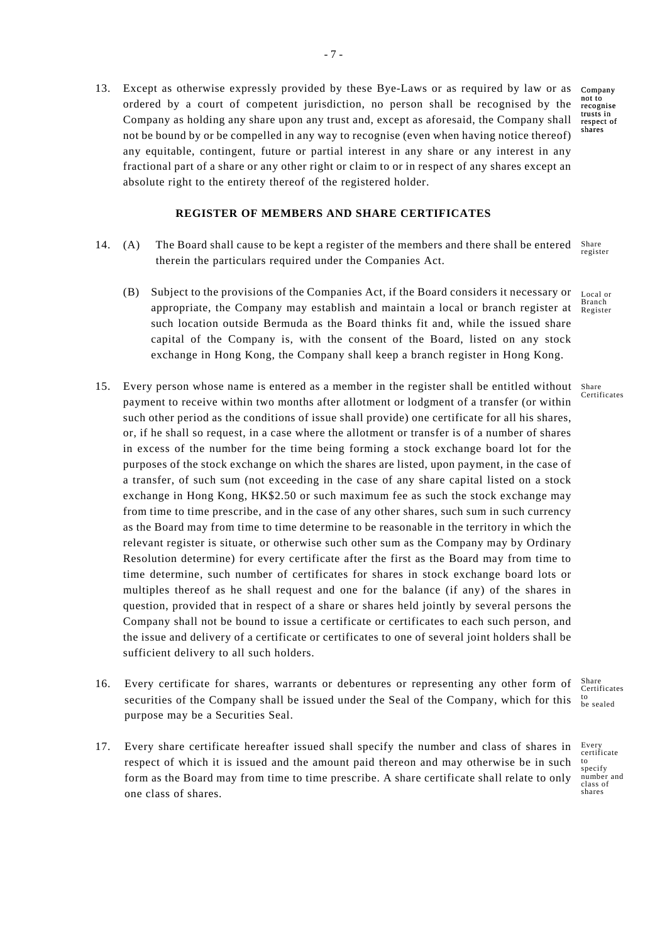13. Except as otherwise expressly provided by these Bye-Laws or as required by law or as ordered by a court of competent jurisdiction, no person shall be recognised by the Company as holding any share upon any trust and, except as aforesaid, the Company shall not be bound by or be compelled in any way to recognise (even when having notice thereof) any equitable, contingent, future or partial interest in any share or any interest in any fractional part of a share or any other right or claim to or in respect of any shares except an absolute right to the entirety thereof of the registered holder.

### **REGISTER OF MEMBERS AND SHARE CERTIFICATES**

- Share 14. (A) The Board shall cause to be kept a register of the members and there shall be entered therein the particulars required under the Companies Act.
	- (B) Subject to the provisions of the Companies Act, if the Board considers it necessary or Local or appropriate, the Company may establish and maintain a local or branch register at such location outside Bermuda as the Board thinks fit and, while the issued share capital of the Company is, with the consent of the Board, listed on any stock exchange in Hong Kong, the Company shall keep a branch register in Hong Kong.
- 15. Every person whose name is entered as a member in the register shall be entitled without payment to receive within two months after allotment or lodgment of a transfer (or within such other period as the conditions of issue shall provide) one certificate for all his shares, or, if he shall so request, in a case where the allotment or transfer is of a number of shares in excess of the number for the time being forming a stock exchange board lot for the purposes of the stock exchange on which the shares are listed, upon payment, in the case of a transfer, of such sum (not exceeding in the case of any share capital listed on a stock exchange in Hong Kong, HK\$2.50 or such maximum fee as such the stock exchange may from time to time prescribe, and in the case of any other shares, such sum in such currency as the Board may from time to time determine to be reasonable in the territory in which the relevant register is situate, or otherwise such other sum as the Company may by Ordinary Resolution determine) for every certificate after the first as the Board may from time to time determine, such number of certificates for shares in stock exchange board lots or multiples thereof as he shall request and one for the balance (if any) of the shares in question, provided that in respect of a share or shares held jointly by several persons the Company shall not be bound to issue a certificate or certificates to each such person, and the issue and delivery of a certificate or certificates to one of several joint holders shall be sufficient delivery to all such holders.
- to be sealed 16. Every certificate for shares, warrants or debentures or representing any other form of securities of the Company shall be issued under the Seal of the Company, which for this purpose may be a Securities Seal.
- 17. Every share certificate hereafter issued shall specify the number and class of shares in respect of which it is issued and the amount paid thereon and may otherwise be in such form as the Board may from time to time prescribe. A share certificate shall relate to only one class of shares.

Company not to recognise trusts in respect of shares

register

Branch Register

Share Certificates

Share **Certificates** 

Every certificate to specify number and class of shares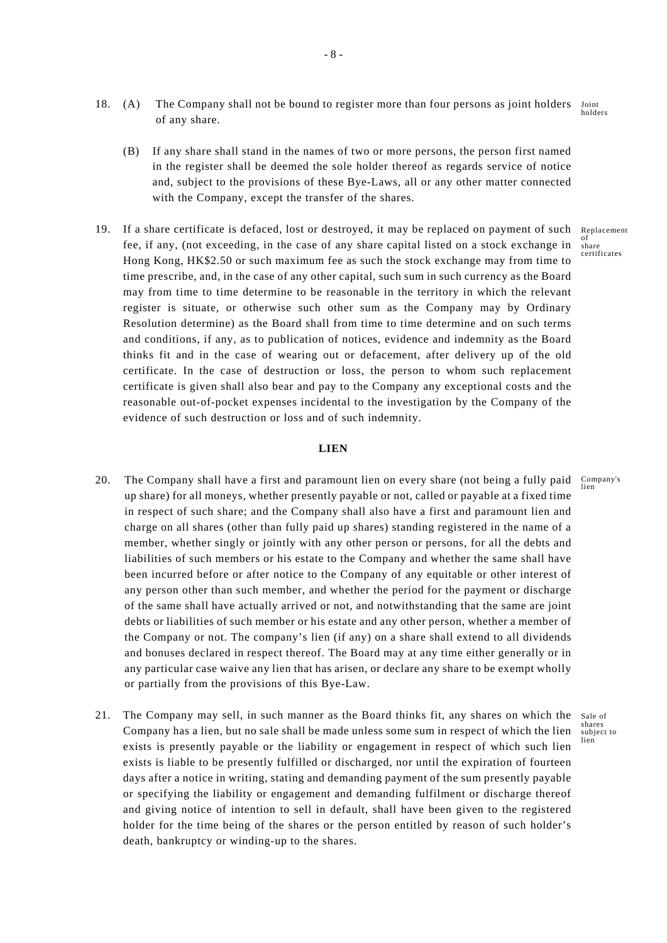- Joint holders 18. (A) The Company shall not be bound to register more than four persons as joint holders of any share.
	- (B) If any share shall stand in the names of two or more persons, the person first named in the register shall be deemed the sole holder thereof as regards service of notice and, subject to the provisions of these Bye-Laws, all or any other matter connected with the Company, except the transfer of the shares.
- 19. If a share certificate is defaced, lost or destroyed, it may be replaced on payment of such fee, if any, (not exceeding, in the case of any share capital listed on a stock exchange in Hong Kong, HK\$2.50 or such maximum fee as such the stock exchange may from time to time prescribe, and, in the case of any other capital, such sum in such currency as the Board may from time to time determine to be reasonable in the territory in which the relevant register is situate, or otherwise such other sum as the Company may by Ordinary Resolution determine) as the Board shall from time to time determine and on such terms and conditions, if any, as to publication of notices, evidence and indemnity as the Board thinks fit and in the case of wearing out or defacement, after delivery up of the old certificate. In the case of destruction or loss, the person to whom such replacement certificate is given shall also bear and pay to the Company any exceptional costs and the reasonable out-of-pocket expenses incidental to the investigation by the Company of the evidence of such destruction or loss and of such indemnity.

### **LIEN**

- 20. The Company shall have a first and paramount lien on every share (not being a fully paid Company's up share) for all moneys, whether presently payable or not, called or payable at a fixed time in respect of such share; and the Company shall also have a first and paramount lien and charge on all shares (other than fully paid up shares) standing registered in the name of a member, whether singly or jointly with any other person or persons, for all the debts and liabilities of such members or his estate to the Company and whether the same shall have been incurred before or after notice to the Company of any equitable or other interest of any person other than such member, and whether the period for the payment or discharge of the same shall have actually arrived or not, and notwithstanding that the same are joint debts or liabilities of such member or his estate and any other person, whether a member of the Company or not. The company's lien (if any) on a share shall extend to all dividends and bonuses declared in respect thereof. The Board may at any time either generally or in any particular case waive any lien that has arisen, or declare any share to be exempt wholly or partially from the provisions of this Bye-Law.
- 21. The Company may sell, in such manner as the Board thinks fit, any shares on which the Sale of Company has a lien, but no sale shall be made unless some sum in respect of which the lien exists is presently payable or the liability or engagement in respect of which such lien exists is liable to be presently fulfilled or discharged, nor until the expiration of fourteen days after a notice in writing, stating and demanding payment of the sum presently payable or specifying the liability or engagement and demanding fulfilment or discharge thereof and giving notice of intention to sell in default, shall have been given to the registered holder for the time being of the shares or the person entitled by reason of such holder's death, bankruptcy or winding-up to the shares.

Replacement of share certificates

shares subject to lien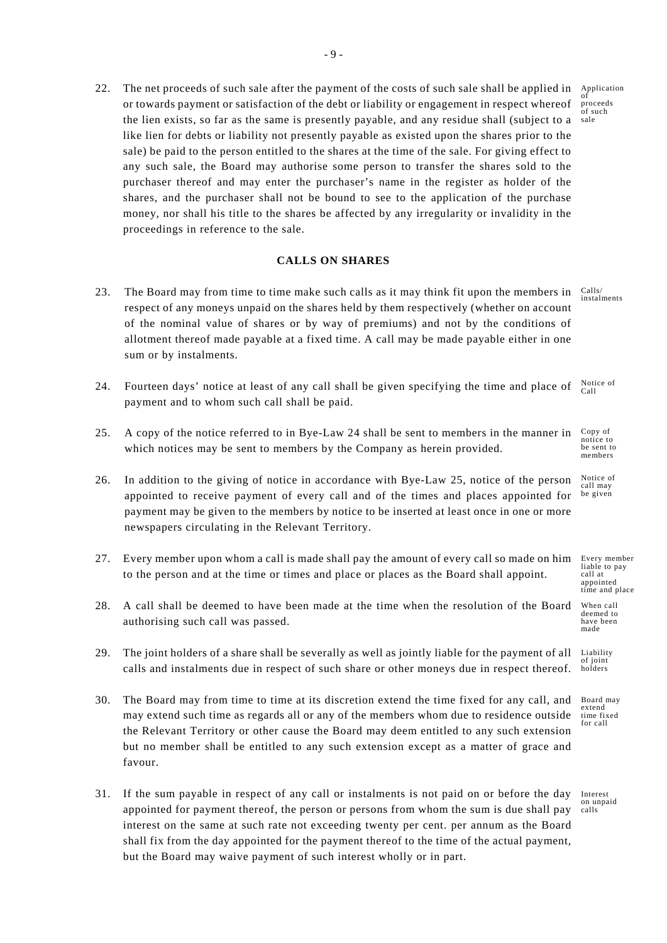22. The net proceeds of such sale after the payment of the costs of such sale shall be applied in Application sale or towards payment or satisfaction of the debt or liability or engagement in respect whereof the lien exists, so far as the same is presently payable, and any residue shall (subject to a like lien for debts or liability not presently payable as existed upon the shares prior to the sale) be paid to the person entitled to the shares at the time of the sale. For giving effect to any such sale, the Board may authorise some person to transfer the shares sold to the purchaser thereof and may enter the purchaser's name in the register as holder of the shares, and the purchaser shall not be bound to see to the application of the purchase money, nor shall his title to the shares be affected by any irregularity or invalidity in the proceedings in reference to the sale.

### **CALLS ON SHARES**

- Calls/ instalments 23. The Board may from time to time make such calls as it may think fit upon the members in respect of any moneys unpaid on the shares held by them respectively (whether on account of the nominal value of shares or by way of premiums) and not by the conditions of allotment thereof made payable at a fixed time. A call may be made payable either in one sum or by instalments.
- Notice of Call 24. Fourteen days' notice at least of any call shall be given specifying the time and place of payment and to whom such call shall be paid.
- Copy of notice to be sent to members 25. A copy of the notice referred to in Bye-Law 24 shall be sent to members in the manner in which notices may be sent to members by the Company as herein provided.
- Notice of call may be given 26. In addition to the giving of notice in accordance with Bye-Law 25, notice of the person appointed to receive payment of every call and of the times and places appointed for payment may be given to the members by notice to be inserted at least once in one or more newspapers circulating in the Relevant Territory.
- 27. Every member upon whom a call is made shall pay the amount of every call so made on him to the person and at the time or times and place or places as the Board shall appoint.
- 28. A call shall be deemed to have been made at the time when the resolution of the Board authorising such call was passed.
- 29. The joint holders of a share shall be severally as well as jointly liable for the payment of all calls and instalments due in respect of such share or other moneys due in respect thereof.
- 30. The Board may from time to time at its discretion extend the time fixed for any call, and may extend such time as regards all or any of the members whom due to residence outside the Relevant Territory or other cause the Board may deem entitled to any such extension but no member shall be entitled to any such extension except as a matter of grace and favour.
- 31. If the sum payable in respect of any call or instalments is not paid on or before the day appointed for payment thereof, the person or persons from whom the sum is due shall pay interest on the same at such rate not exceeding twenty per cent. per annum as the Board shall fix from the day appointed for the payment thereof to the time of the actual payment, but the Board may waive payment of such interest wholly or in part.

proceeds .<br>of such

Every member

liable to pay call at appointed time and place

When call deemed to have been made

Liability of joint holders

Board may extend time fixed for call

Interest on unpaid calls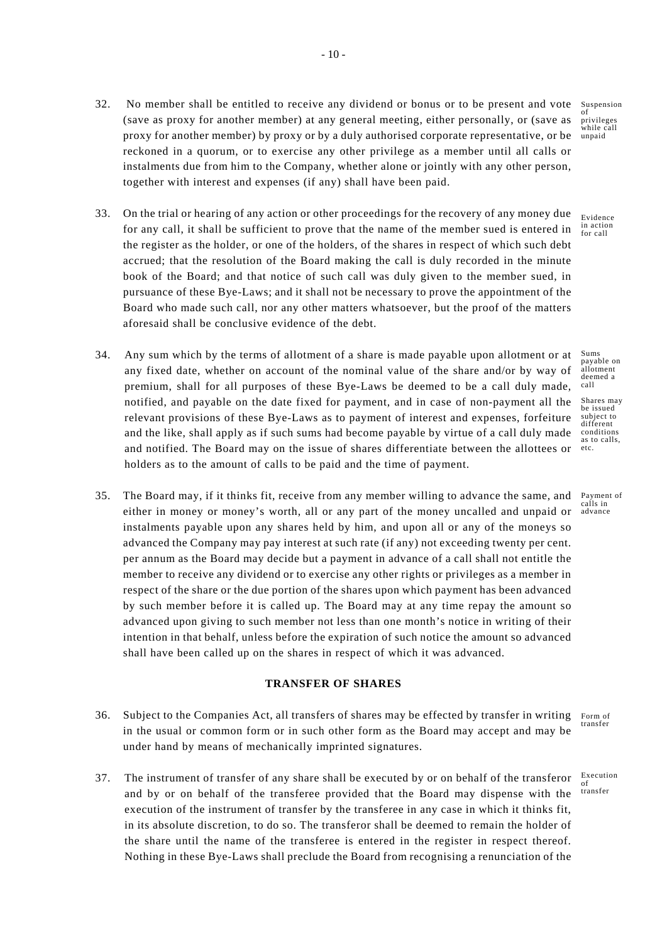- 32. No member shall be entitled to receive any dividend or bonus or to be present and vote (save as proxy for another member) at any general meeting, either personally, or (save as proxy for another member) by proxy or by a duly authorised corporate representative, or be reckoned in a quorum, or to exercise any other privilege as a member until all calls or instalments due from him to the Company, whether alone or jointly with any other person, together with interest and expenses (if any) shall have been paid.
- 33. On the trial or hearing of any action or other proceedings for the recovery of any money due Evidence for any call, it shall be sufficient to prove that the name of the member sued is entered in the register as the holder, or one of the holders, of the shares in respect of which such debt accrued; that the resolution of the Board making the call is duly recorded in the minute book of the Board; and that notice of such call was duly given to the member sued, in pursuance of these Bye-Laws; and it shall not be necessary to prove the appointment of the Board who made such call, nor any other matters whatsoever, but the proof of the matters aforesaid shall be conclusive evidence of the debt.
- 34. Any sum which by the terms of allotment of a share is made payable upon allotment or at any fixed date, whether on account of the nominal value of the share and/or by way of premium, shall for all purposes of these Bye-Laws be deemed to be a call duly made, notified, and payable on the date fixed for payment, and in case of non-payment all the relevant provisions of these Bye-Laws as to payment of interest and expenses, forfeiture and the like, shall apply as if such sums had become payable by virtue of a call duly made and notified. The Board may on the issue of shares differentiate between the allottees or holders as to the amount of calls to be paid and the time of payment.
- 35. The Board may, if it thinks fit, receive from any member willing to advance the same, and either in money or money's worth, all or any part of the money uncalled and unpaid or instalments payable upon any shares held by him, and upon all or any of the moneys so advanced the Company may pay interest at such rate (if any) not exceeding twenty per cent. per annum as the Board may decide but a payment in advance of a call shall not entitle the member to receive any dividend or to exercise any other rights or privileges as a member in respect of the share or the due portion of the shares upon which payment has been advanced by such member before it is called up. The Board may at any time repay the amount so advanced upon giving to such member not less than one month's notice in writing of their intention in that behalf, unless before the expiration of such notice the amount so advanced shall have been called up on the shares in respect of which it was advanced.

# **TRANSFER OF SHARES**

- 36. Subject to the Companies Act, all transfers of shares may be effected by transfer in writing in the usual or common form or in such other form as the Board may accept and may be under hand by means of mechanically imprinted signatures.
- Execution and by or on behalf of the transferee provided that the Board may dispense with the <sup>transfer</sup> 37. The instrument of transfer of any share shall be executed by or on behalf of the transferor execution of the instrument of transfer by the transferee in any case in which it thinks fit, in its absolute discretion, to do so. The transferor shall be deemed to remain the holder of the share until the name of the transferee is entered in the register in respect thereof. Nothing in these Bye-Laws shall preclude the Board from recognising a renunciation of the

Suspension of privileges while call unpaid

in action for call

Sums payable on allotment deemed a call

Shares may be issued subject to different conditions as to calls, etc.

Payment of calls in advance

Form of transfer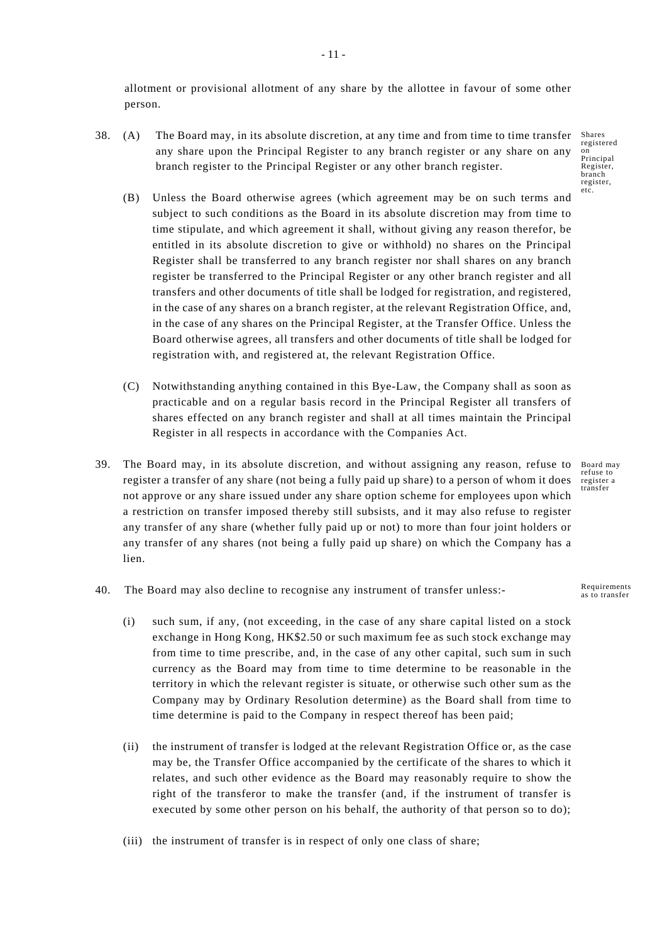allotment or provisional allotment of any share by the allottee in favour of some other person.

- 38. (A) The Board may, in its absolute discretion, at any time and from time to time transfer any share upon the Principal Register to any branch register or any share on any branch register to the Principal Register or any other branch register.
	- (B) Unless the Board otherwise agrees (which agreement may be on such terms and subject to such conditions as the Board in its absolute discretion may from time to time stipulate, and which agreement it shall, without giving any reason therefor, be entitled in its absolute discretion to give or withhold) no shares on the Principal Register shall be transferred to any branch register nor shall shares on any branch register be transferred to the Principal Register or any other branch register and all transfers and other documents of title shall be lodged for registration, and registered, in the case of any shares on a branch register, at the relevant Registration Office, and, in the case of any shares on the Principal Register, at the Transfer Office. Unless the Board otherwise agrees, all transfers and other documents of title shall be lodged for registration with, and registered at, the relevant Registration Office.
	- (C) Notwithstanding anything contained in this Bye-Law, the Company shall as soon as practicable and on a regular basis record in the Principal Register all transfers of shares effected on any branch register and shall at all times maintain the Principal Register in all respects in accordance with the Companies Act.
- Board may refuse to register a transfer 39. The Board may, in its absolute discretion, and without assigning any reason, refuse to register a transfer of any share (not being a fully paid up share) to a person of whom it does not approve or any share issued under any share option scheme for employees upon which a restriction on transfer imposed thereby still subsists, and it may also refuse to register any transfer of any share (whether fully paid up or not) to more than four joint holders or any transfer of any shares (not being a fully paid up share) on which the Company has a lien.
- 40. The Board may also decline to recognise any instrument of transfer unless:-
	- (i) such sum, if any, (not exceeding, in the case of any share capital listed on a stock exchange in Hong Kong, HK\$2.50 or such maximum fee as such stock exchange may from time to time prescribe, and, in the case of any other capital, such sum in such currency as the Board may from time to time determine to be reasonable in the territory in which the relevant register is situate, or otherwise such other sum as the Company may by Ordinary Resolution determine) as the Board shall from time to time determine is paid to the Company in respect thereof has been paid;
	- (ii) the instrument of transfer is lodged at the relevant Registration Office or, as the case may be, the Transfer Office accompanied by the certificate of the shares to which it relates, and such other evidence as the Board may reasonably require to show the right of the transferor to make the transfer (and, if the instrument of transfer is executed by some other person on his behalf, the authority of that person so to do);
	- (iii) the instrument of transfer is in respect of only one class of share;

- 11 -

Requirements as to transfer

Shares registered on Principal Register, branch register, etc.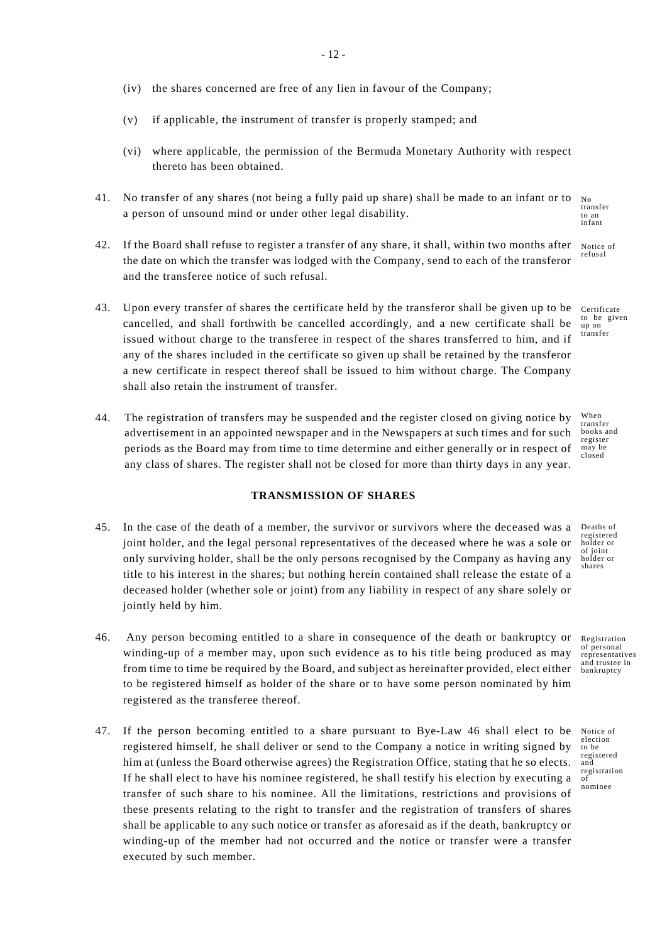- (iv) the shares concerned are free of any lien in favour of the Company;
- (v) if applicable, the instrument of transfer is properly stamped; and
- (vi) where applicable, the permission of the Bermuda Monetary Authority with respect thereto has been obtained.
- 41. No transfer of any shares (not being a fully paid up share) shall be made to an infant or to a person of unsound mind or under other legal disability.
- 42. If the Board shall refuse to register a transfer of any share, it shall, within two months after the date on which the transfer was lodged with the Company, send to each of the transferor and the transferee notice of such refusal.
- 43. Upon every transfer of shares the certificate held by the transferor shall be given up to be cancelled, and shall forthwith be cancelled accordingly, and a new certificate shall be issued without charge to the transferee in respect of the shares transferred to him, and if any of the shares included in the certificate so given up shall be retained by the transferor a new certificate in respect thereof shall be issued to him without charge. The Company shall also retain the instrument of transfer.
- 44. The registration of transfers may be suspended and the register closed on giving notice by advertisement in an appointed newspaper and in the Newspapers at such times and for such periods as the Board may from time to time determine and either generally or in respect of any class of shares. The register shall not be closed for more than thirty days in any year.

# **TRANSMISSION OF SHARES**

- 45. In the case of the death of a member, the survivor or survivors where the deceased was a joint holder, and the legal personal representatives of the deceased where he was a sole or only surviving holder, shall be the only persons recognised by the Company as having any title to his interest in the shares; but nothing herein contained shall release the estate of a deceased holder (whether sole or joint) from any liability in respect of any share solely or jointly held by him.
- 46. Any person becoming entitled to a share in consequence of the death or bankruptcy or winding-up of a member may, upon such evidence as to his title being produced as may from time to time be required by the Board, and subject as hereinafter provided, elect either to be registered himself as holder of the share or to have some person nominated by him registered as the transferee thereof.
- 47. If the person becoming entitled to a share pursuant to Bye-Law 46 shall elect to be registered himself, he shall deliver or send to the Company a notice in writing signed by him at (unless the Board otherwise agrees) the Registration Office, stating that he so elects. If he shall elect to have his nominee registered, he shall testify his election by executing a transfer of such share to his nominee. All the limitations, restrictions and provisions of these presents relating to the right to transfer and the registration of transfers of shares shall be applicable to any such notice or transfer as aforesaid as if the death, bankruptcy or winding-up of the member had not occurred and the notice or transfer were a transfer executed by such member.

No ...<br>transfer to an infant

Notice of refusal

Certificate to be given up on transfer

When transfer books and register may be closed

Deaths of registered holder or of joint holder or shares

Registration of personal representatives and trustee in bankruptcy

Notice of election to be registered and registration  $\tilde{\delta}$ nominee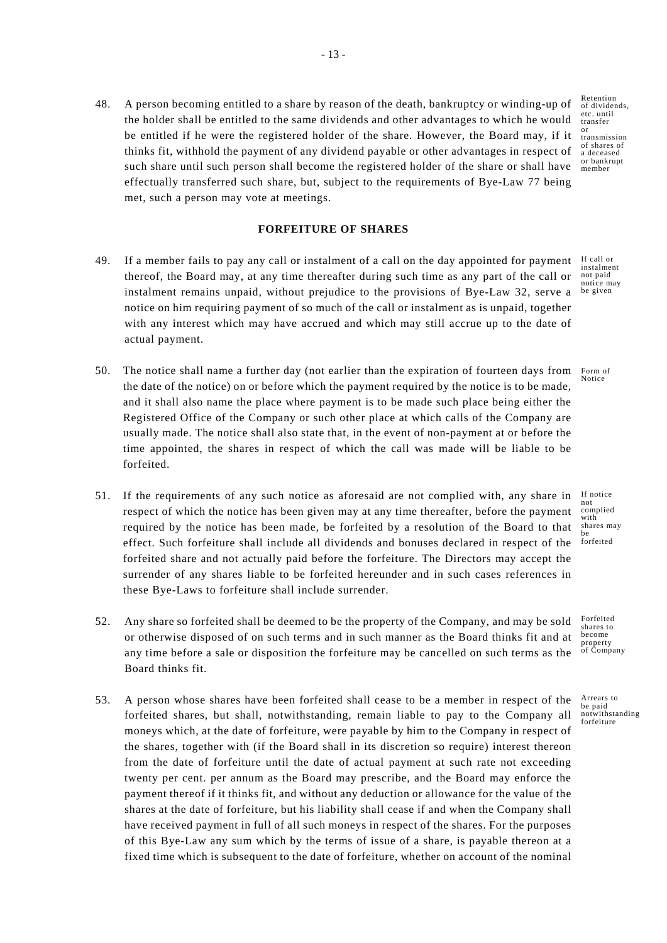such share until such person shall become the registered holder of the share or shall have  $\frac{U_{\text{total}}}{\text{membr}}$ 48. A person becoming entitled to a share by reason of the death, bankruptcy or winding-up of the holder shall be entitled to the same dividends and other advantages to which he would be entitled if he were the registered holder of the share. However, the Board may, if it thinks fit, withhold the payment of any dividend payable or other advantages in respect of effectually transferred such share, but, subject to the requirements of Bye-Law 77 being met, such a person may vote at meetings.

### **FORFEITURE OF SHARES**

- 49. If a member fails to pay any call or instalment of a call on the day appointed for payment thereof, the Board may, at any time thereafter during such time as any part of the call or instalment remains unpaid, without prejudice to the provisions of Bye-Law 32, serve a notice on him requiring payment of so much of the call or instalment as is unpaid, together with any interest which may have accrued and which may still accrue up to the date of actual payment.
- 50. The notice shall name a further day (not earlier than the expiration of fourteen days from the date of the notice) on or before which the payment required by the notice is to be made, and it shall also name the place where payment is to be made such place being either the Registered Office of the Company or such other place at which calls of the Company are usually made. The notice shall also state that, in the event of non-payment at or before the time appointed, the shares in respect of which the call was made will be liable to be forfeited.
- effect. Such forfeiture shall include all dividends and bonuses declared in respect of the <sup>forfeited</sup> 51. If the requirements of any such notice as aforesaid are not complied with, any share in respect of which the notice has been given may at any time thereafter, before the payment required by the notice has been made, be forfeited by a resolution of the Board to that forfeited share and not actually paid before the forfeiture. The Directors may accept the surrender of any shares liable to be forfeited hereunder and in such cases references in these Bye-Laws to forfeiture shall include surrender.
- 52. Any share so forfeited shall be deemed to be the property of the Company, and may be sold or otherwise disposed of on such terms and in such manner as the Board thinks fit and at any time before a sale or disposition the forfeiture may be cancelled on such terms as the Board thinks fit.
- 53. A person whose shares have been forfeited shall cease to be a member in respect of the forfeited shares, but shall, notwithstanding, remain liable to pay to the Company all moneys which, at the date of forfeiture, were payable by him to the Company in respect of the shares, together with (if the Board shall in its discretion so require) interest thereon from the date of forfeiture until the date of actual payment at such rate not exceeding twenty per cent. per annum as the Board may prescribe, and the Board may enforce the payment thereof if it thinks fit, and without any deduction or allowance for the value of the shares at the date of forfeiture, but his liability shall cease if and when the Company shall have received payment in full of all such moneys in respect of the shares. For the purposes of this Bye-Law any sum which by the terms of issue of a share, is payable thereon at a fixed time which is subsequent to the date of forfeiture, whether on account of the nominal

Retention of dividends, etc. until transfer or transmission of shares of a deceased or bankrupt

If call or instalment not paid notice may be given

Form of Notice

If notice not complied with shares may

Forfeited shares to become property of Company

Arrears to be paid notwithstanding forfeiture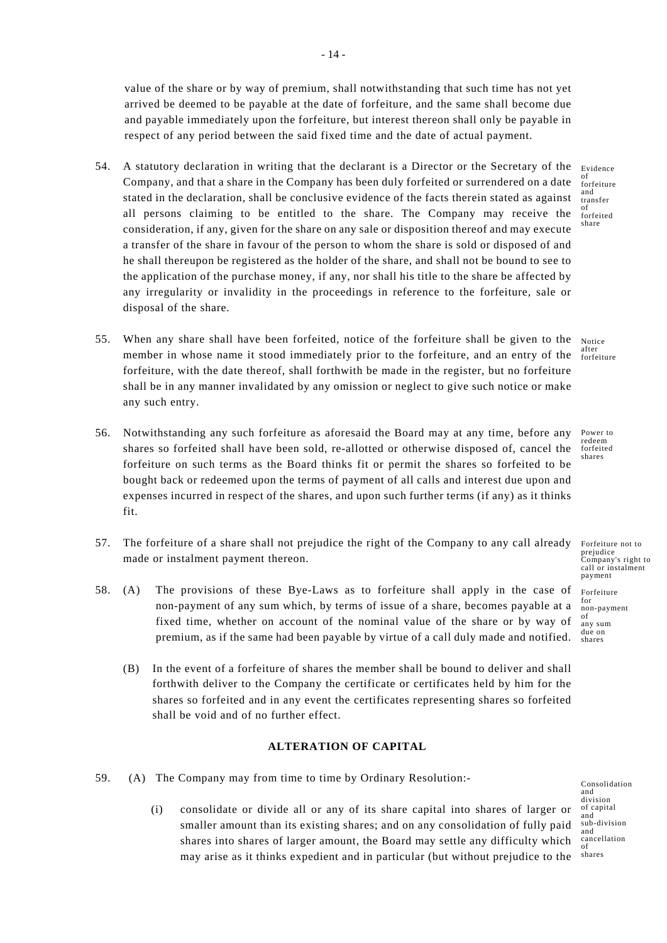value of the share or by way of premium, shall notwithstanding that such time has not yet arrived be deemed to be payable at the date of forfeiture, and the same shall become due and payable immediately upon the forfeiture, but interest thereon shall only be payable in respect of any period between the said fixed time and the date of actual payment.

- 54. A statutory declaration in writing that the declarant is a Director or the Secretary of the Evidence Company, and that a share in the Company has been duly forfeited or surrendered on a date stated in the declaration, shall be conclusive evidence of the facts therein stated as against all persons claiming to be entitled to the share. The Company may receive the consideration, if any, given for the share on any sale or disposition thereof and may execute a transfer of the share in favour of the person to whom the share is sold or disposed of and he shall thereupon be registered as the holder of the share, and shall not be bound to see to the application of the purchase money, if any, nor shall his title to the share be affected by any irregularity or invalidity in the proceedings in reference to the forfeiture, sale or disposal of the share.
- 55. When any share shall have been forfeited, notice of the forfeiture shall be given to the member in whose name it stood immediately prior to the forfeiture, and an entry of the forfeiture, with the date thereof, shall forthwith be made in the register, but no forfeiture shall be in any manner invalidated by any omission or neglect to give such notice or make any such entry.
- 56. Notwithstanding any such forfeiture as aforesaid the Board may at any time, before any shares so forfeited shall have been sold, re-allotted or otherwise disposed of, cancel the forfeiture on such terms as the Board thinks fit or permit the shares so forfeited to be bought back or redeemed upon the terms of payment of all calls and interest due upon and expenses incurred in respect of the shares, and upon such further terms (if any) as it thinks fit.
- 57. The forfeiture of a share shall not prejudice the right of the Company to any call already made or instalment payment thereon.
- 58. (A) The provisions of these Bye-Laws as to forfeiture shall apply in the case of non-payment of any sum which, by terms of issue of a share, becomes payable at a fixed time, whether on account of the nominal value of the share or by way of premium, as if the same had been payable by virtue of a call duly made and notified.
	- (B) In the event of a forfeiture of shares the member shall be bound to deliver and shall forthwith deliver to the Company the certificate or certificates held by him for the shares so forfeited and in any event the certificates representing shares so forfeited shall be void and of no further effect.

# **ALTERATION OF CAPITAL**

- 59. (A) The Company may from time to time by Ordinary Resolution:-
	- (i) consolidate or divide all or any of its share capital into shares of larger or smaller amount than its existing shares; and on any consolidation of fully paid shares into shares of larger amount, the Board may settle any difficulty which may arise as it thinks expedient and in particular (but without prejudice to the

Consolidation and division of capital and sub-division and cancellation of shares

of forfeiture and transfer of forfeited share

Notice after forfeiture

Power to redeem forfeited shares

Forfeiture not to prejudice Company's right to call or instalment payment

Forfeiture for non-payment of any sum due on shares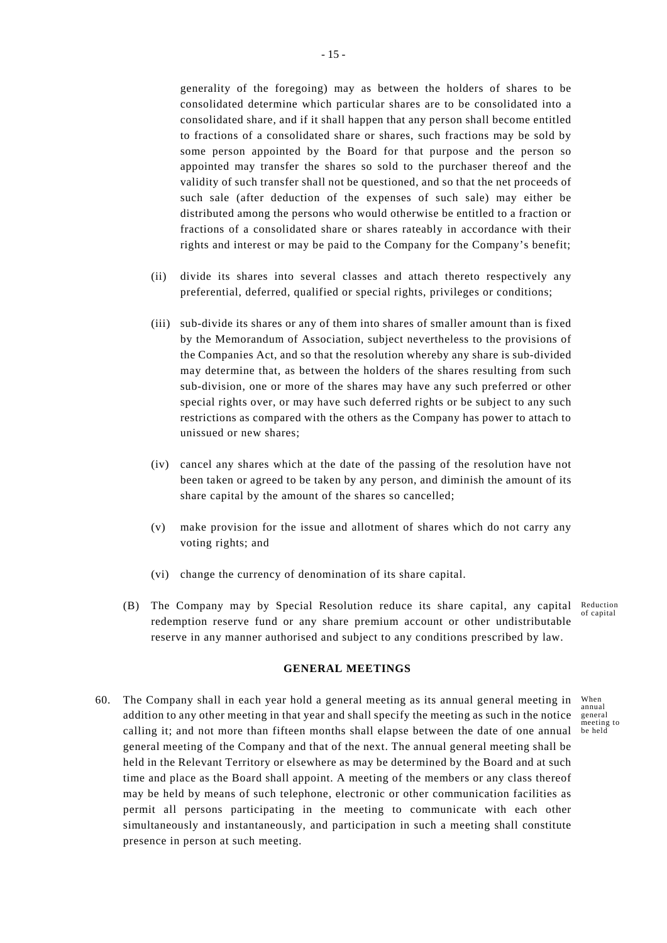generality of the foregoing) may as between the holders of shares to be consolidated determine which particular shares are to be consolidated into a consolidated share, and if it shall happen that any person shall become entitled to fractions of a consolidated share or shares, such fractions may be sold by some person appointed by the Board for that purpose and the person so appointed may transfer the shares so sold to the purchaser thereof and the validity of such transfer shall not be questioned, and so that the net proceeds of such sale (after deduction of the expenses of such sale) may either be distributed among the persons who would otherwise be entitled to a fraction or fractions of a consolidated share or shares rateably in accordance with their rights and interest or may be paid to the Company for the Company's benefit;

- (ii) divide its shares into several classes and attach thereto respectively any preferential, deferred, qualified or special rights, privileges or conditions;
- (iii) sub-divide its shares or any of them into shares of smaller amount than is fixed by the Memorandum of Association, subject nevertheless to the provisions of the Companies Act, and so that the resolution whereby any share is sub-divided may determine that, as between the holders of the shares resulting from such sub-division, one or more of the shares may have any such preferred or other special rights over, or may have such deferred rights or be subject to any such restrictions as compared with the others as the Company has power to attach to unissued or new shares;
- (iv) cancel any shares which at the date of the passing of the resolution have not been taken or agreed to be taken by any person, and diminish the amount of its share capital by the amount of the shares so cancelled;
- (v) make provision for the issue and allotment of shares which do not carry any voting rights; and
- (vi) change the currency of denomination of its share capital.
- (B) The Company may by Special Resolution reduce its share capital, any capital Reduction of capital redemption reserve fund or any share premium account or other undistributable reserve in any manner authorised and subject to any conditions prescribed by law.

When annual general meeting to

# **GENERAL MEETINGS**

calling it; and not more than fifteen months shall elapse between the date of one annual be held 60. The Company shall in each year hold a general meeting as its annual general meeting in addition to any other meeting in that year and shall specify the meeting as such in the notice general meeting of the Company and that of the next. The annual general meeting shall be held in the Relevant Territory or elsewhere as may be determined by the Board and at such time and place as the Board shall appoint. A meeting of the members or any class thereof may be held by means of such telephone, electronic or other communication facilities as permit all persons participating in the meeting to communicate with each other simultaneously and instantaneously, and participation in such a meeting shall constitute presence in person at such meeting.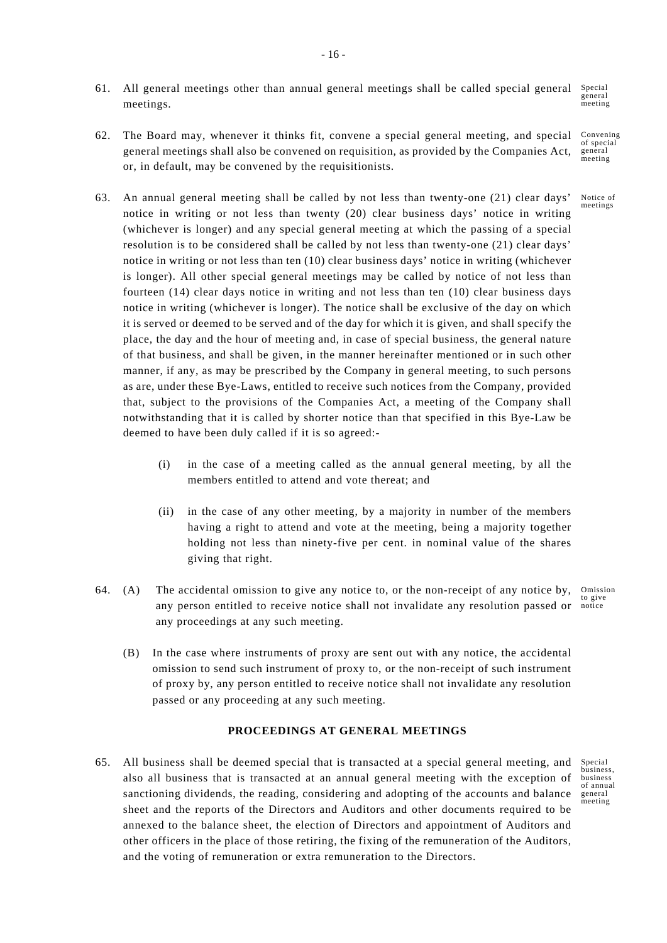- Special general meeting 61. All general meetings other than annual general meetings shall be called special general meetings.
- Convening of special general meeting 62. The Board may, whenever it thinks fit, convene a special general meeting, and special general meetings shall also be convened on requisition, as provided by the Companies Act, or, in default, may be convened by the requisitionists.
- Notice of 63. An annual general meeting shall be called by not less than twenty-one (21) clear days' notice in writing or not less than twenty (20) clear business days' notice in writing (whichever is longer) and any special general meeting at which the passing of a special resolution is to be considered shall be called by not less than twenty-one (21) clear days' notice in writing or not less than ten (10) clear business days' notice in writing (whichever is longer). All other special general meetings may be called by notice of not less than fourteen (14) clear days notice in writing and not less than ten (10) clear business days notice in writing (whichever is longer). The notice shall be exclusive of the day on which it is served or deemed to be served and of the day for which it is given, and shall specify the place, the day and the hour of meeting and, in case of special business, the general nature of that business, and shall be given, in the manner hereinafter mentioned or in such other manner, if any, as may be prescribed by the Company in general meeting, to such persons as are, under these Bye-Laws, entitled to receive such notices from the Company, provided that, subject to the provisions of the Companies Act, a meeting of the Company shall notwithstanding that it is called by shorter notice than that specified in this Bye-Law be deemed to have been duly called if it is so agreed:-
	- (i) in the case of a meeting called as the annual general meeting, by all the members entitled to attend and vote thereat; and
	- (ii) in the case of any other meeting, by a majority in number of the members having a right to attend and vote at the meeting, being a majority together holding not less than ninety-five per cent. in nominal value of the shares giving that right.
- Omission any person entitled to receive notice shall not invalidate any resolution passed or notice 64. (A) The accidental omission to give any notice to, or the non-receipt of any notice by, any proceedings at any such meeting.
	- (B) In the case where instruments of proxy are sent out with any notice, the accidental omission to send such instrument of proxy to, or the non-receipt of such instrument of proxy by, any person entitled to receive notice shall not invalidate any resolution passed or any proceeding at any such meeting.

# **PROCEEDINGS AT GENERAL MEETINGS**

65. All business shall be deemed special that is transacted at a special general meeting, and also all business that is transacted at an annual general meeting with the exception of sanctioning dividends, the reading, considering and adopting of the accounts and balance sheet and the reports of the Directors and Auditors and other documents required to be annexed to the balance sheet, the election of Directors and appointment of Auditors and other officers in the place of those retiring, the fixing of the remuneration of the Auditors, and the voting of remuneration or extra remuneration to the Directors.

Special business, business of annual general meeting

meetings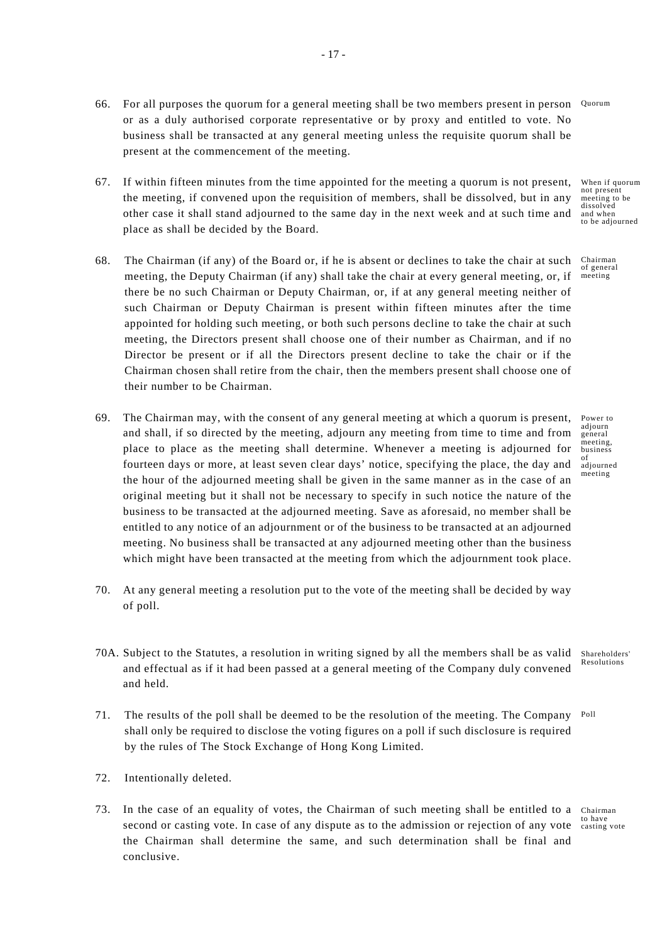- 66. For all purposes the quorum for a general meeting shall be two members present in person Quorum or as a duly authorised corporate representative or by proxy and entitled to vote. No business shall be transacted at any general meeting unless the requisite quorum shall be present at the commencement of the meeting.
- to be adjourned 67. If within fifteen minutes from the time appointed for the meeting a quorum is not present, the meeting, if convened upon the requisition of members, shall be dissolved, but in any other case it shall stand adjourned to the same day in the next week and at such time and place as shall be decided by the Board.
- 68. The Chairman (if any) of the Board or, if he is absent or declines to take the chair at such meeting, the Deputy Chairman (if any) shall take the chair at every general meeting, or, if there be no such Chairman or Deputy Chairman, or, if at any general meeting neither of such Chairman or Deputy Chairman is present within fifteen minutes after the time appointed for holding such meeting, or both such persons decline to take the chair at such meeting, the Directors present shall choose one of their number as Chairman, and if no Director be present or if all the Directors present decline to take the chair or if the Chairman chosen shall retire from the chair, then the members present shall choose one of their number to be Chairman.
- 69. The Chairman may, with the consent of any general meeting at which a quorum is present, and shall, if so directed by the meeting, adjourn any meeting from time to time and from place to place as the meeting shall determine. Whenever a meeting is adjourned for fourteen days or more, at least seven clear days' notice, specifying the place, the day and the hour of the adjourned meeting shall be given in the same manner as in the case of an original meeting but it shall not be necessary to specify in such notice the nature of the business to be transacted at the adjourned meeting. Save as aforesaid, no member shall be entitled to any notice of an adjournment or of the business to be transacted at an adjourned meeting. No business shall be transacted at any adjourned meeting other than the business which might have been transacted at the meeting from which the adjournment took place.
- 70. At any general meeting a resolution put to the vote of the meeting shall be decided by way of poll.
- Shareholders' 70A. Subject to the Statutes, a resolution in writing signed by all the members shall be as valid and effectual as if it had been passed at a general meeting of the Company duly convened and held.
- 71. The results of the poll shall be deemed to be the resolution of the meeting. The Company Poll shall only be required to disclose the voting figures on a poll if such disclosure is required by the rules of The Stock Exchange of Hong Kong Limited.
- 72. Intentionally deleted.
- 73. In the case of an equality of votes, the Chairman of such meeting shall be entitled to a Chairman second or casting vote. In case of any dispute as to the admission or rejection of any vote the Chairman shall determine the same, and such determination shall be final and conclusive.

When if quorum not present meeting to be dissolved and when

Chairman of general meeting

Power to adiourn general meeting, business of adjourned meeting

Resolutions

to have casting vote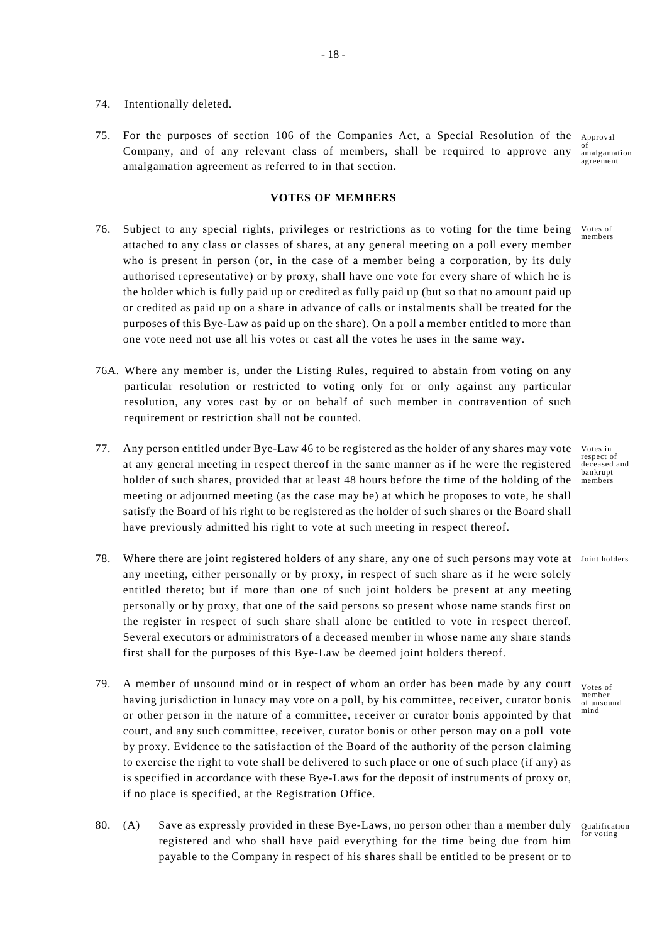- 74. Intentionally deleted.
- 75. For the purposes of section 106 of the Companies Act, a Special Resolution of the Approval Company, and of any relevant class of members, shall be required to approve any amalgamation agreement as referred to in that section.

#### **VOTES OF MEMBERS**

- 76. Subject to any special rights, privileges or restrictions as to voting for the time being attached to any class or classes of shares, at any general meeting on a poll every member who is present in person (or, in the case of a member being a corporation, by its duly authorised representative) or by proxy, shall have one vote for every share of which he is the holder which is fully paid up or credited as fully paid up (but so that no amount paid up or credited as paid up on a share in advance of calls or instalments shall be treated for the purposes of this Bye-Law as paid up on the share). On a poll a member entitled to more than one vote need not use all his votes or cast all the votes he uses in the same way.
- 76A. Where any member is, under the Listing Rules, required to abstain from voting on any particular resolution or restricted to voting only for or only against any particular resolution, any votes cast by or on behalf of such member in contravention of such requirement or restriction shall not be counted.
- 77. Any person entitled under Bye-Law 46 to be registered as the holder of any shares may vote at any general meeting in respect thereof in the same manner as if he were the registered holder of such shares, provided that at least 48 hours before the time of the holding of the meeting or adjourned meeting (as the case may be) at which he proposes to vote, he shall satisfy the Board of his right to be registered as the holder of such shares or the Board shall have previously admitted his right to vote at such meeting in respect thereof.
- 78. Where there are joint registered holders of any share, any one of such persons may vote at Joint holders any meeting, either personally or by proxy, in respect of such share as if he were solely entitled thereto; but if more than one of such joint holders be present at any meeting personally or by proxy, that one of the said persons so present whose name stands first on the register in respect of such share shall alone be entitled to vote in respect thereof. Several executors or administrators of a deceased member in whose name any share stands first shall for the purposes of this Bye-Law be deemed joint holders thereof.
- Votes of member of unsound mind 79. A member of unsound mind or in respect of whom an order has been made by any court having jurisdiction in lunacy may vote on a poll, by his committee, receiver, curator bonis or other person in the nature of a committee, receiver or curator bonis appointed by that court, and any such committee, receiver, curator bonis or other person may on a poll vote by proxy. Evidence to the satisfaction of the Board of the authority of the person claiming to exercise the right to vote shall be delivered to such place or one of such place (if any) as is specified in accordance with these Bye-Laws for the deposit of instruments of proxy or, if no place is specified, at the Registration Office.
- Qualification for voting 80. (A) Save as expressly provided in these Bye-Laws, no person other than a member duly registered and who shall have paid everything for the time being due from him payable to the Company in respect of his shares shall be entitled to be present or to

Votes in respect of deceased and bankrupt members

Votes of members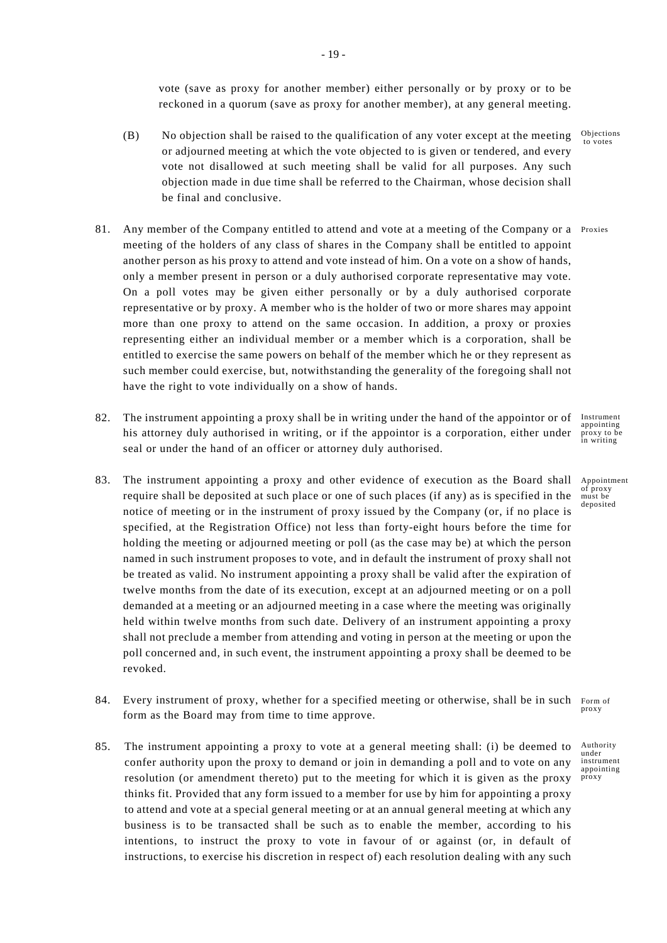vote (save as proxy for another member) either personally or by proxy or to be reckoned in a quorum (save as proxy for another member), at any general meeting.

- Objections to votes (B) No objection shall be raised to the qualification of any voter except at the meeting or adjourned meeting at which the vote objected to is given or tendered, and every vote not disallowed at such meeting shall be valid for all purposes. Any such objection made in due time shall be referred to the Chairman, whose decision shall be final and conclusive.
- 81. Any member of the Company entitled to attend and vote at a meeting of the Company or a Proxies meeting of the holders of any class of shares in the Company shall be entitled to appoint another person as his proxy to attend and vote instead of him. On a vote on a show of hands, only a member present in person or a duly authorised corporate representative may vote. On a poll votes may be given either personally or by a duly authorised corporate representative or by proxy. A member who is the holder of two or more shares may appoint more than one proxy to attend on the same occasion. In addition, a proxy or proxies representing either an individual member or a member which is a corporation, shall be entitled to exercise the same powers on behalf of the member which he or they represent as such member could exercise, but, notwithstanding the generality of the foregoing shall not have the right to vote individually on a show of hands.
- 82. The instrument appointing a proxy shall be in writing under the hand of the appointor or of Instrument his attorney duly authorised in writing, or if the appointor is a corporation, either under seal or under the hand of an officer or attorney duly authorised.
- 83. The instrument appointing a proxy and other evidence of execution as the Board shall require shall be deposited at such place or one of such places (if any) as is specified in the notice of meeting or in the instrument of proxy issued by the Company (or, if no place is specified, at the Registration Office) not less than forty-eight hours before the time for holding the meeting or adjourned meeting or poll (as the case may be) at which the person named in such instrument proposes to vote, and in default the instrument of proxy shall not be treated as valid. No instrument appointing a proxy shall be valid after the expiration of twelve months from the date of its execution, except at an adjourned meeting or on a poll demanded at a meeting or an adjourned meeting in a case where the meeting was originally held within twelve months from such date. Delivery of an instrument appointing a proxy shall not preclude a member from attending and voting in person at the meeting or upon the poll concerned and, in such event, the instrument appointing a proxy shall be deemed to be revoked.
- proxy 84. Every instrument of proxy, whether for a specified meeting or otherwise, shall be in such form as the Board may from time to time approve.
- Authority instrument proxy 85. The instrument appointing a proxy to vote at a general meeting shall: (i) be deemed to confer authority upon the proxy to demand or join in demanding a poll and to vote on any resolution (or amendment thereto) put to the meeting for which it is given as the proxy thinks fit. Provided that any form issued to a member for use by him for appointing a proxy to attend and vote at a special general meeting or at an annual general meeting at which any business is to be transacted shall be such as to enable the member, according to his intentions, to instruct the proxy to vote in favour of or against (or, in default of instructions, to exercise his discretion in respect of) each resolution dealing with any such

appointing proxy to be in writing

Appointment of proxy must be deposited

Form of

under

appointing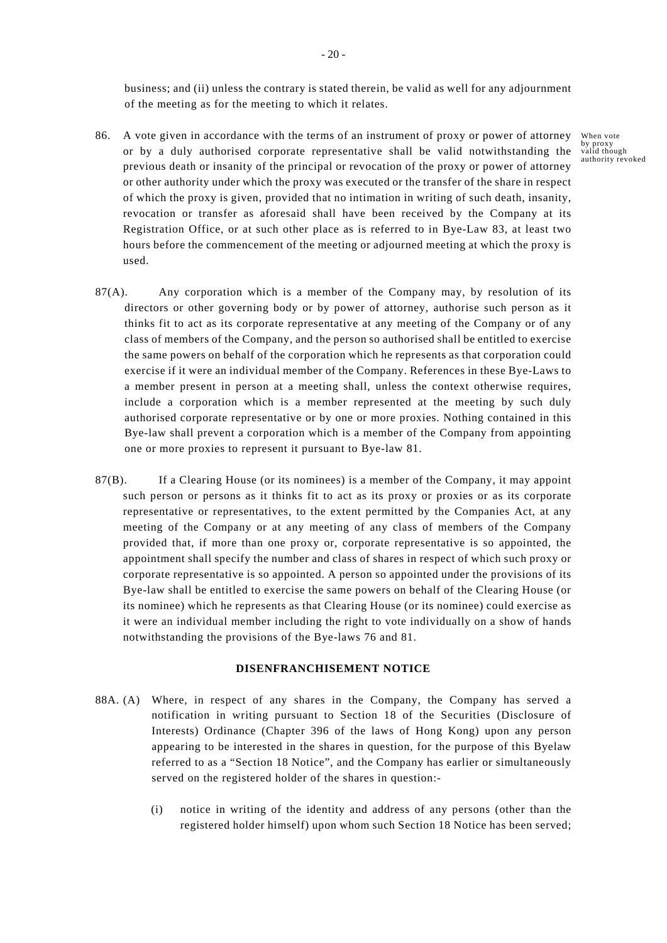business; and (ii) unless the contrary is stated therein, be valid as well for any adjournment of the meeting as for the meeting to which it relates.

- 86. A vote given in accordance with the terms of an instrument of proxy or power of attorney or by a duly authorised corporate representative shall be valid notwithstanding the previous death or insanity of the principal or revocation of the proxy or power of attorney or other authority under which the proxy was executed or the transfer of the share in respect of which the proxy is given, provided that no intimation in writing of such death, insanity, revocation or transfer as aforesaid shall have been received by the Company at its Registration Office, or at such other place as is referred to in Bye-Law 83, at least two hours before the commencement of the meeting or adjourned meeting at which the proxy is used.
- 87(A). Any corporation which is a member of the Company may, by resolution of its directors or other governing body or by power of attorney, authorise such person as it thinks fit to act as its corporate representative at any meeting of the Company or of any class of members of the Company, and the person so authorised shall be entitled to exercise the same powers on behalf of the corporation which he represents as that corporation could exercise if it were an individual member of the Company. References in these Bye-Laws to a member present in person at a meeting shall, unless the context otherwise requires, include a corporation which is a member represented at the meeting by such duly authorised corporate representative or by one or more proxies. Nothing contained in this Bye-law shall prevent a corporation which is a member of the Company from appointing one or more proxies to represent it pursuant to Bye-law 81.
- 87(B). If a Clearing House (or its nominees) is a member of the Company, it may appoint such person or persons as it thinks fit to act as its proxy or proxies or as its corporate representative or representatives, to the extent permitted by the Companies Act, at any meeting of the Company or at any meeting of any class of members of the Company provided that, if more than one proxy or, corporate representative is so appointed, the appointment shall specify the number and class of shares in respect of which such proxy or corporate representative is so appointed. A person so appointed under the provisions of its Bye-law shall be entitled to exercise the same powers on behalf of the Clearing House (or its nominee) which he represents as that Clearing House (or its nominee) could exercise as it were an individual member including the right to vote individually on a show of hands notwithstanding the provisions of the Bye-laws 76 and 81.

# **DISENFRANCHISEMENT NOTICE**

- 88A. (A) Where, in respect of any shares in the Company, the Company has served a notification in writing pursuant to Section 18 of the Securities (Disclosure of Interests) Ordinance (Chapter 396 of the laws of Hong Kong) upon any person appearing to be interested in the shares in question, for the purpose of this Byelaw referred to as a "Section 18 Notice", and the Company has earlier or simultaneously served on the registered holder of the shares in question:-
	- (i) notice in writing of the identity and address of any persons (other than the registered holder himself) upon whom such Section 18 Notice has been served;

When vote by proxy valid though authority revoked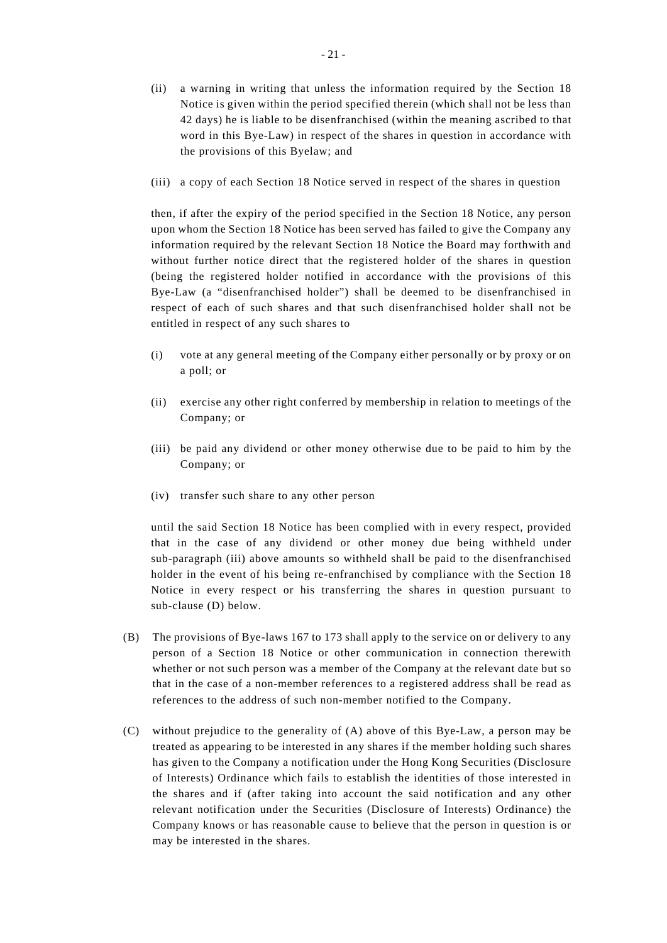- (ii) a warning in writing that unless the information required by the Section 18 Notice is given within the period specified therein (which shall not be less than 42 days) he is liable to be disenfranchised (within the meaning ascribed to that word in this Bye-Law) in respect of the shares in question in accordance with the provisions of this Byelaw; and
- (iii) a copy of each Section 18 Notice served in respect of the shares in question

then, if after the expiry of the period specified in the Section 18 Notice, any person upon whom the Section 18 Notice has been served has failed to give the Company any information required by the relevant Section 18 Notice the Board may forthwith and without further notice direct that the registered holder of the shares in question (being the registered holder notified in accordance with the provisions of this Bye-Law (a "disenfranchised holder") shall be deemed to be disenfranchised in respect of each of such shares and that such disenfranchised holder shall not be entitled in respect of any such shares to

- (i) vote at any general meeting of the Company either personally or by proxy or on a poll; or
- (ii) exercise any other right conferred by membership in relation to meetings of the Company; or
- (iii) be paid any dividend or other money otherwise due to be paid to him by the Company; or
- (iv) transfer such share to any other person

until the said Section 18 Notice has been complied with in every respect, provided that in the case of any dividend or other money due being withheld under sub-paragraph (iii) above amounts so withheld shall be paid to the disenfranchised holder in the event of his being re-enfranchised by compliance with the Section 18 Notice in every respect or his transferring the shares in question pursuant to sub-clause (D) below.

- (B) The provisions of Bye-laws 167 to 173 shall apply to the service on or delivery to any person of a Section 18 Notice or other communication in connection therewith whether or not such person was a member of the Company at the relevant date but so that in the case of a non-member references to a registered address shall be read as references to the address of such non-member notified to the Company.
- (C) without prejudice to the generality of (A) above of this Bye-Law, a person may be treated as appearing to be interested in any shares if the member holding such shares has given to the Company a notification under the Hong Kong Securities (Disclosure of Interests) Ordinance which fails to establish the identities of those interested in the shares and if (after taking into account the said notification and any other relevant notification under the Securities (Disclosure of Interests) Ordinance) the Company knows or has reasonable cause to believe that the person in question is or may be interested in the shares.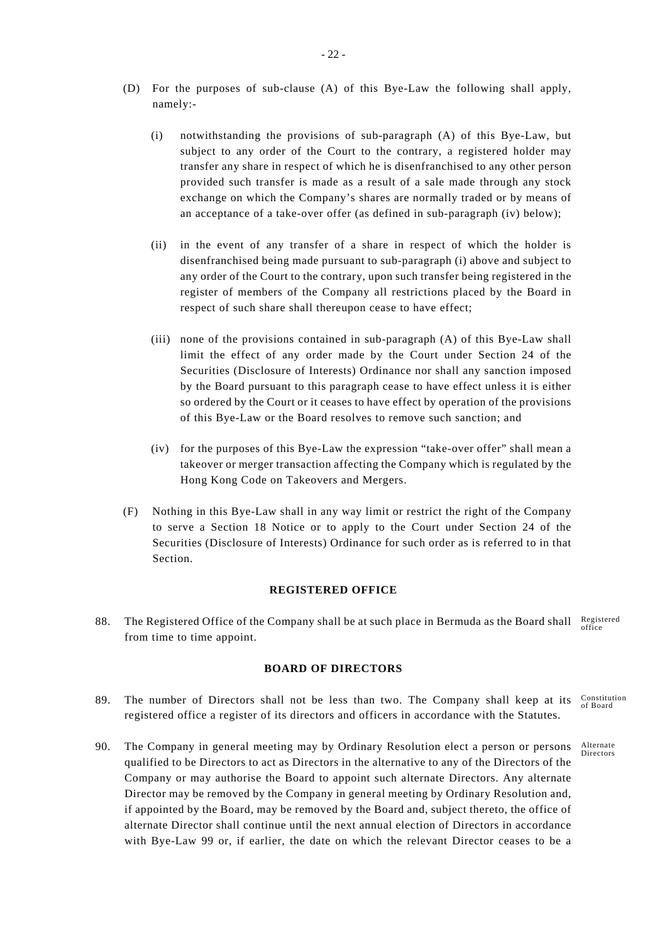- (D) For the purposes of sub-clause (A) of this Bye-Law the following shall apply, namely:-
	- (i) notwithstanding the provisions of sub-paragraph (A) of this Bye-Law, but subject to any order of the Court to the contrary, a registered holder may transfer any share in respect of which he is disenfranchised to any other person provided such transfer is made as a result of a sale made through any stock exchange on which the Company's shares are normally traded or by means of an acceptance of a take-over offer (as defined in sub-paragraph (iv) below);
	- (ii) in the event of any transfer of a share in respect of which the holder is disenfranchised being made pursuant to sub-paragraph (i) above and subject to any order of the Court to the contrary, upon such transfer being registered in the register of members of the Company all restrictions placed by the Board in respect of such share shall thereupon cease to have effect;
	- (iii) none of the provisions contained in sub-paragraph (A) of this Bye-Law shall limit the effect of any order made by the Court under Section 24 of the Securities (Disclosure of Interests) Ordinance nor shall any sanction imposed by the Board pursuant to this paragraph cease to have effect unless it is either so ordered by the Court or it ceases to have effect by operation of the provisions of this Bye-Law or the Board resolves to remove such sanction; and
	- (iv) for the purposes of this Bye-Law the expression "take-over offer" shall mean a takeover or merger transaction affecting the Company which is regulated by the Hong Kong Code on Takeovers and Mergers.
- (F) Nothing in this Bye-Law shall in any way limit or restrict the right of the Company to serve a Section 18 Notice or to apply to the Court under Section 24 of the Securities (Disclosure of Interests) Ordinance for such order as is referred to in that Section.

# **REGISTERED OFFICE**

88. The Registered Office of the Company shall be at such place in Bermuda as the Board shall Registered from time to time appoint.

# **BOARD OF DIRECTORS**

- 89. The number of Directors shall not be less than two. The Company shall keep at its  $\frac{Constant}{CP}$ of Board registered office a register of its directors and officers in accordance with the Statutes.
- Alternate Directors 90. The Company in general meeting may by Ordinary Resolution elect a person or persons qualified to be Directors to act as Directors in the alternative to any of the Directors of the Company or may authorise the Board to appoint such alternate Directors. Any alternate Director may be removed by the Company in general meeting by Ordinary Resolution and, if appointed by the Board, may be removed by the Board and, subject thereto, the office of alternate Director shall continue until the next annual election of Directors in accordance with Bye-Law 99 or, if earlier, the date on which the relevant Director ceases to be a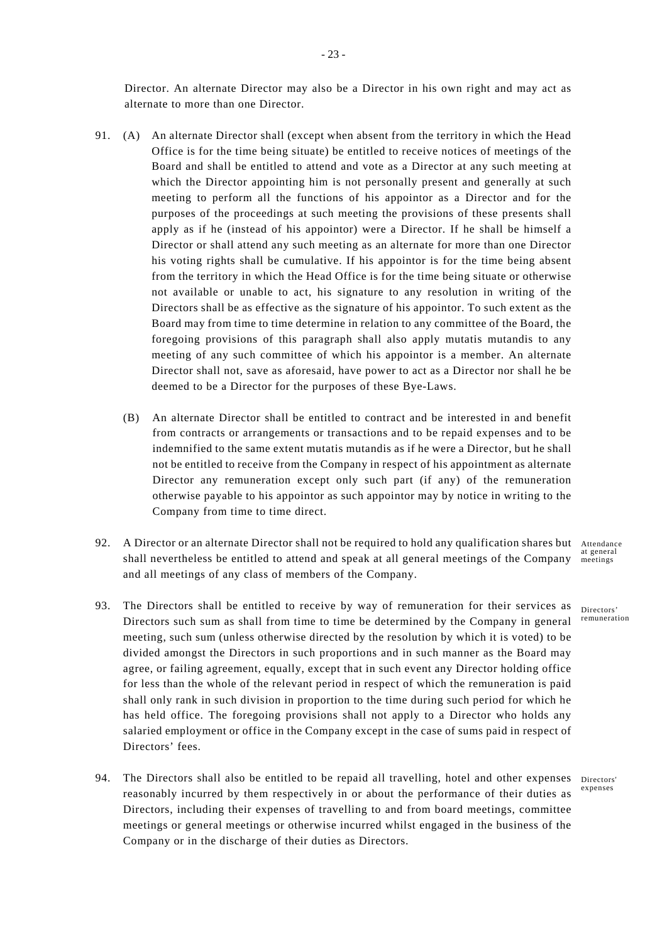Director. An alternate Director may also be a Director in his own right and may act as alternate to more than one Director.

- 91. (A) An alternate Director shall (except when absent from the territory in which the Head Office is for the time being situate) be entitled to receive notices of meetings of the Board and shall be entitled to attend and vote as a Director at any such meeting at which the Director appointing him is not personally present and generally at such meeting to perform all the functions of his appointor as a Director and for the purposes of the proceedings at such meeting the provisions of these presents shall apply as if he (instead of his appointor) were a Director. If he shall be himself a Director or shall attend any such meeting as an alternate for more than one Director his voting rights shall be cumulative. If his appointor is for the time being absent from the territory in which the Head Office is for the time being situate or otherwise not available or unable to act, his signature to any resolution in writing of the Directors shall be as effective as the signature of his appointor. To such extent as the Board may from time to time determine in relation to any committee of the Board, the foregoing provisions of this paragraph shall also apply mutatis mutandis to any meeting of any such committee of which his appointor is a member. An alternate Director shall not, save as aforesaid, have power to act as a Director nor shall he be deemed to be a Director for the purposes of these Bye-Laws.
	- (B) An alternate Director shall be entitled to contract and be interested in and benefit from contracts or arrangements or transactions and to be repaid expenses and to be indemnified to the same extent mutatis mutandis as if he were a Director, but he shall not be entitled to receive from the Company in respect of his appointment as alternate Director any remuneration except only such part (if any) of the remuneration otherwise payable to his appointor as such appointor may by notice in writing to the Company from time to time direct.
- 92. A Director or an alternate Director shall not be required to hold any qualification shares but Attendance shall nevertheless be entitled to attend and speak at all general meetings of the Company and all meetings of any class of members of the Company.
- 93. The Directors shall be entitled to receive by way of remuneration for their services as <sub>Directors</sub> Directors such sum as shall from time to time be determined by the Company in general meeting, such sum (unless otherwise directed by the resolution by which it is voted) to be divided amongst the Directors in such proportions and in such manner as the Board may agree, or failing agreement, equally, except that in such event any Director holding office for less than the whole of the relevant period in respect of which the remuneration is paid shall only rank in such division in proportion to the time during such period for which he has held office. The foregoing provisions shall not apply to a Director who holds any salaried employment or office in the Company except in the case of sums paid in respect of Directors' fees.
- 94. The Directors shall also be entitled to be repaid all travelling, hotel and other expenses Directors expenses reasonably incurred by them respectively in or about the performance of their duties as Directors, including their expenses of travelling to and from board meetings, committee meetings or general meetings or otherwise incurred whilst engaged in the business of the Company or in the discharge of their duties as Directors.

at general meetings

remuneration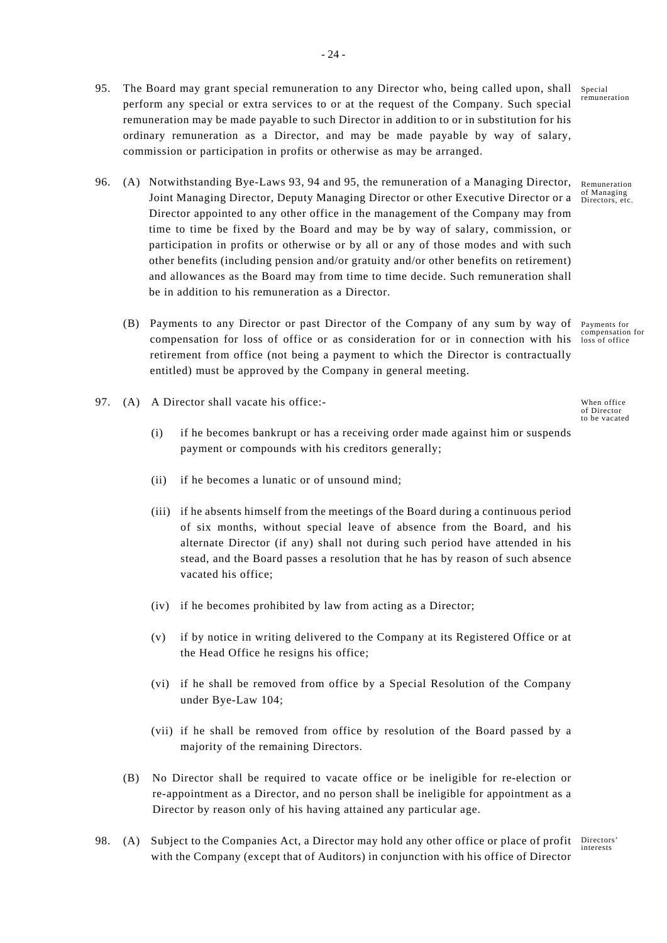- 95. The Board may grant special remuneration to any Director who, being called upon, shall perform any special or extra services to or at the request of the Company. Such special remuneration may be made payable to such Director in addition to or in substitution for his ordinary remuneration as a Director, and may be made payable by way of salary, commission or participation in profits or otherwise as may be arranged.
- 96. (A) Notwithstanding Bye-Laws 93, 94 and 95, the remuneration of a Managing Director, Joint Managing Director, Deputy Managing Director or other Executive Director or a Director appointed to any other office in the management of the Company may from time to time be fixed by the Board and may be by way of salary, commission, or participation in profits or otherwise or by all or any of those modes and with such other benefits (including pension and/or gratuity and/or other benefits on retirement) and allowances as the Board may from time to time decide. Such remuneration shall be in addition to his remuneration as a Director.
	- (B) Payments to any Director or past Director of the Company of any sum by way of Payments for compensation for loss of office or as consideration for or in connection with his loss of office retirement from office (not being a payment to which the Director is contractually entitled) must be approved by the Company in general meeting.
- 97. (A) A Director shall vacate his office:-
	- (i) if he becomes bankrupt or has a receiving order made against him or suspends payment or compounds with his creditors generally;
	- (ii) if he becomes a lunatic or of unsound mind;
	- (iii) if he absents himself from the meetings of the Board during a continuous period of six months, without special leave of absence from the Board, and his alternate Director (if any) shall not during such period have attended in his stead, and the Board passes a resolution that he has by reason of such absence vacated his office;
	- (iv) if he becomes prohibited by law from acting as a Director;
	- (v) if by notice in writing delivered to the Company at its Registered Office or at the Head Office he resigns his office;
	- (vi) if he shall be removed from office by a Special Resolution of the Company under Bye-Law 104;
	- (vii) if he shall be removed from office by resolution of the Board passed by a majority of the remaining Directors.
	- (B) No Director shall be required to vacate office or be ineligible for re-election or re-appointment as a Director, and no person shall be ineligible for appointment as a Director by reason only of his having attained any particular age.
- 98. (A) Subject to the Companies Act, a Director may hold any other office or place of profit Directors' with the Company (except that of Auditors) in conjunction with his office of Director

Special remuneration

Remuneration of Managing Directors, etc.

When office of Director to be vacated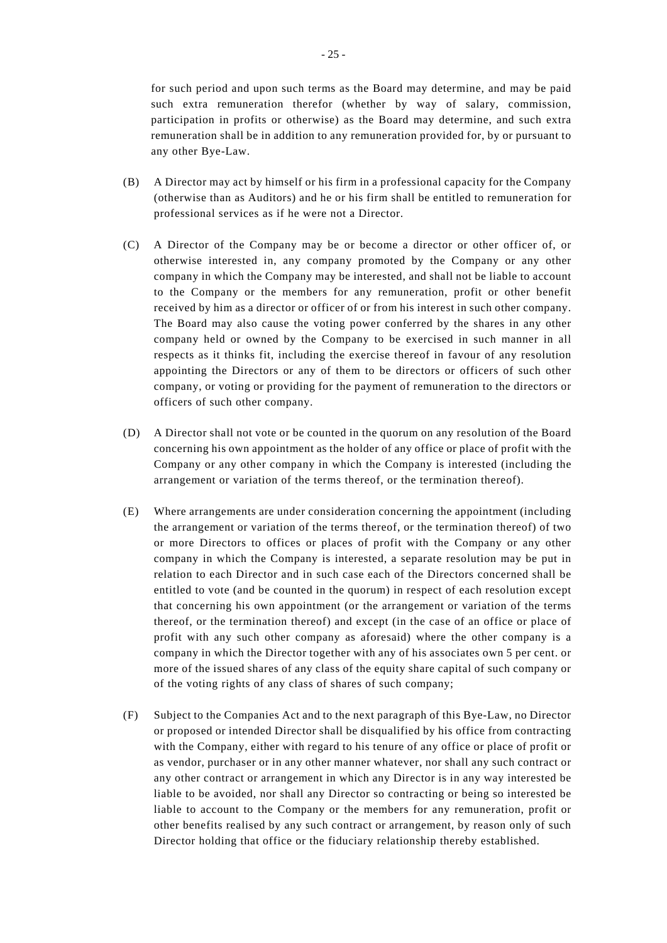for such period and upon such terms as the Board may determine, and may be paid such extra remuneration therefor (whether by way of salary, commission, participation in profits or otherwise) as the Board may determine, and such extra remuneration shall be in addition to any remuneration provided for, by or pursuant to any other Bye-Law.

- (B) A Director may act by himself or his firm in a professional capacity for the Company (otherwise than as Auditors) and he or his firm shall be entitled to remuneration for professional services as if he were not a Director.
- (C) A Director of the Company may be or become a director or other officer of, or otherwise interested in, any company promoted by the Company or any other company in which the Company may be interested, and shall not be liable to account to the Company or the members for any remuneration, profit or other benefit received by him as a director or officer of or from his interest in such other company. The Board may also cause the voting power conferred by the shares in any other company held or owned by the Company to be exercised in such manner in all respects as it thinks fit, including the exercise thereof in favour of any resolution appointing the Directors or any of them to be directors or officers of such other company, or voting or providing for the payment of remuneration to the directors or officers of such other company.
- (D) A Director shall not vote or be counted in the quorum on any resolution of the Board concerning his own appointment as the holder of any office or place of profit with the Company or any other company in which the Company is interested (including the arrangement or variation of the terms thereof, or the termination thereof).
- (E) Where arrangements are under consideration concerning the appointment (including the arrangement or variation of the terms thereof, or the termination thereof) of two or more Directors to offices or places of profit with the Company or any other company in which the Company is interested, a separate resolution may be put in relation to each Director and in such case each of the Directors concerned shall be entitled to vote (and be counted in the quorum) in respect of each resolution except that concerning his own appointment (or the arrangement or variation of the terms thereof, or the termination thereof) and except (in the case of an office or place of profit with any such other company as aforesaid) where the other company is a company in which the Director together with any of his associates own 5 per cent. or more of the issued shares of any class of the equity share capital of such company or of the voting rights of any class of shares of such company;
- (F) Subject to the Companies Act and to the next paragraph of this Bye-Law, no Director or proposed or intended Director shall be disqualified by his office from contracting with the Company, either with regard to his tenure of any office or place of profit or as vendor, purchaser or in any other manner whatever, nor shall any such contract or any other contract or arrangement in which any Director is in any way interested be liable to be avoided, nor shall any Director so contracting or being so interested be liable to account to the Company or the members for any remuneration, profit or other benefits realised by any such contract or arrangement, by reason only of such Director holding that office or the fiduciary relationship thereby established.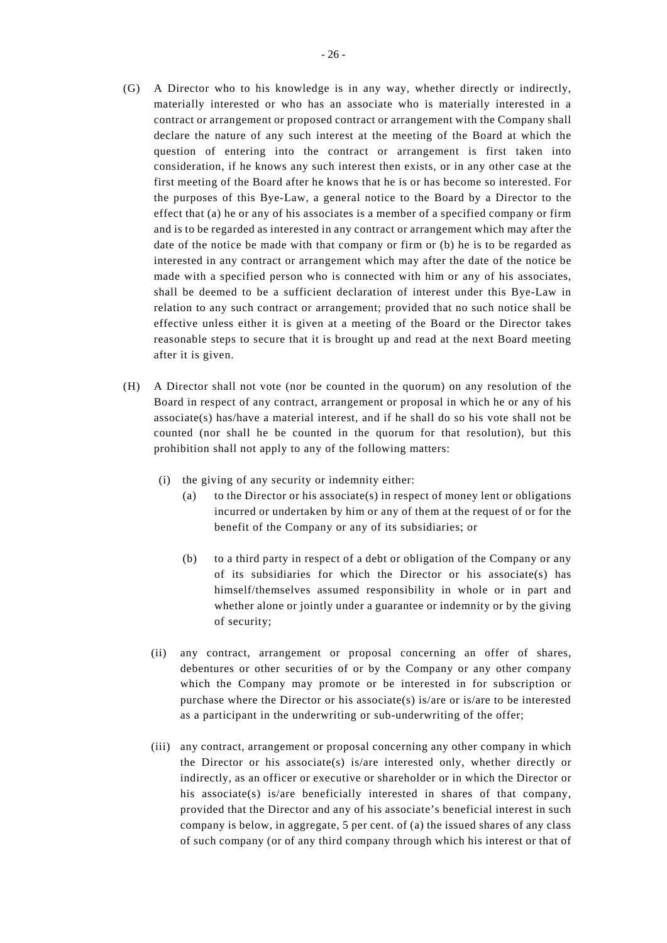- (G) A Director who to his knowledge is in any way, whether directly or indirectly, materially interested or who has an associate who is materially interested in a contract or arrangement or proposed contract or arrangement with the Company shall declare the nature of any such interest at the meeting of the Board at which the question of entering into the contract or arrangement is first taken into consideration, if he knows any such interest then exists, or in any other case at the first meeting of the Board after he knows that he is or has become so interested. For the purposes of this Bye-Law, a general notice to the Board by a Director to the effect that (a) he or any of his associates is a member of a specified company or firm and is to be regarded as interested in any contract or arrangement which may after the date of the notice be made with that company or firm or (b) he is to be regarded as interested in any contract or arrangement which may after the date of the notice be made with a specified person who is connected with him or any of his associates, shall be deemed to be a sufficient declaration of interest under this Bye-Law in relation to any such contract or arrangement; provided that no such notice shall be effective unless either it is given at a meeting of the Board or the Director takes reasonable steps to secure that it is brought up and read at the next Board meeting after it is given.
- (H) A Director shall not vote (nor be counted in the quorum) on any resolution of the Board in respect of any contract, arrangement or proposal in which he or any of his associate(s) has/have a material interest, and if he shall do so his vote shall not be counted (nor shall he be counted in the quorum for that resolution), but this prohibition shall not apply to any of the following matters:
	- (i) the giving of any security or indemnity either:
		- (a) to the Director or his associate(s) in respect of money lent or obligations incurred or undertaken by him or any of them at the request of or for the benefit of the Company or any of its subsidiaries; or
		- (b) to a third party in respect of a debt or obligation of the Company or any of its subsidiaries for which the Director or his associate(s) has himself/themselves assumed responsibility in whole or in part and whether alone or jointly under a guarantee or indemnity or by the giving of security;
	- (ii) any contract, arrangement or proposal concerning an offer of shares, debentures or other securities of or by the Company or any other company which the Company may promote or be interested in for subscription or purchase where the Director or his associate(s) is/are or is/are to be interested as a participant in the underwriting or sub-underwriting of the offer;
	- (iii) any contract, arrangement or proposal concerning any other company in which the Director or his associate(s) is/are interested only, whether directly or indirectly, as an officer or executive or shareholder or in which the Director or his associate(s) is/are beneficially interested in shares of that company, provided that the Director and any of his associate's beneficial interest in such company is below, in aggregate, 5 per cent. of (a) the issued shares of any class of such company (or of any third company through which his interest or that of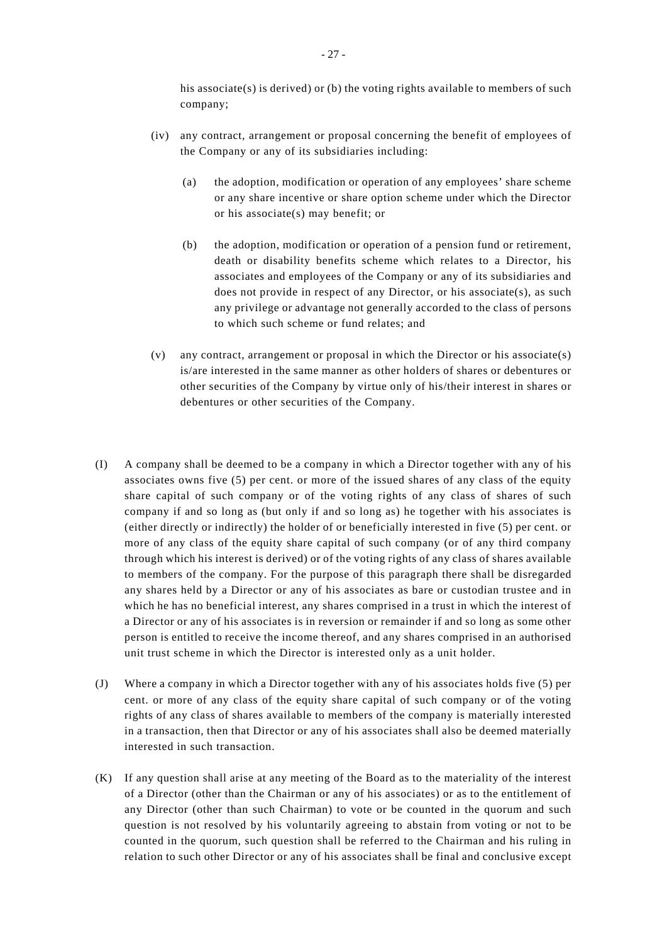his associate(s) is derived) or (b) the voting rights available to members of such company;

- (iv) any contract, arrangement or proposal concerning the benefit of employees of the Company or any of its subsidiaries including:
	- (a) the adoption, modification or operation of any employees' share scheme or any share incentive or share option scheme under which the Director or his associate(s) may benefit; or
	- (b) the adoption, modification or operation of a pension fund or retirement, death or disability benefits scheme which relates to a Director, his associates and employees of the Company or any of its subsidiaries and does not provide in respect of any Director, or his associate(s), as such any privilege or advantage not generally accorded to the class of persons to which such scheme or fund relates; and
- (v) any contract, arrangement or proposal in which the Director or his associate(s) is/are interested in the same manner as other holders of shares or debentures or other securities of the Company by virtue only of his/their interest in shares or debentures or other securities of the Company.
- (I) A company shall be deemed to be a company in which a Director together with any of his associates owns five (5) per cent. or more of the issued shares of any class of the equity share capital of such company or of the voting rights of any class of shares of such company if and so long as (but only if and so long as) he together with his associates is (either directly or indirectly) the holder of or beneficially interested in five (5) per cent. or more of any class of the equity share capital of such company (or of any third company through which his interest is derived) or of the voting rights of any class of shares available to members of the company. For the purpose of this paragraph there shall be disregarded any shares held by a Director or any of his associates as bare or custodian trustee and in which he has no beneficial interest, any shares comprised in a trust in which the interest of a Director or any of his associates is in reversion or remainder if and so long as some other person is entitled to receive the income thereof, and any shares comprised in an authorised unit trust scheme in which the Director is interested only as a unit holder.
- (J) Where a company in which a Director together with any of his associates holds five (5) per cent. or more of any class of the equity share capital of such company or of the voting rights of any class of shares available to members of the company is materially interested in a transaction, then that Director or any of his associates shall also be deemed materially interested in such transaction.
- (K) If any question shall arise at any meeting of the Board as to the materiality of the interest of a Director (other than the Chairman or any of his associates) or as to the entitlement of any Director (other than such Chairman) to vote or be counted in the quorum and such question is not resolved by his voluntarily agreeing to abstain from voting or not to be counted in the quorum, such question shall be referred to the Chairman and his ruling in relation to such other Director or any of his associates shall be final and conclusive except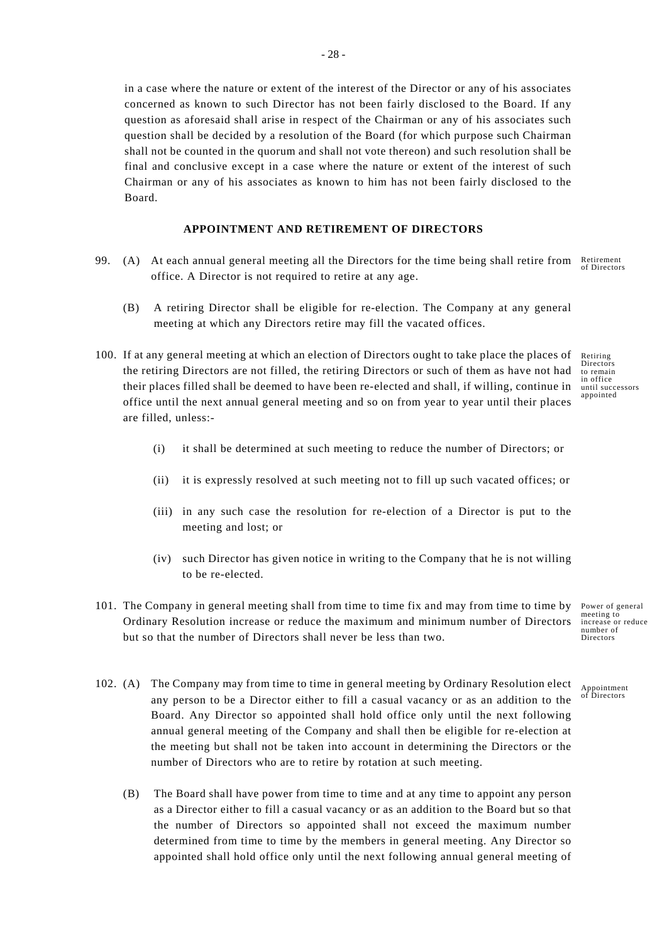in a case where the nature or extent of the interest of the Director or any of his associates concerned as known to such Director has not been fairly disclosed to the Board. If any question as aforesaid shall arise in respect of the Chairman or any of his associates such question shall be decided by a resolution of the Board (for which purpose such Chairman shall not be counted in the quorum and shall not vote thereon) and such resolution shall be final and conclusive except in a case where the nature or extent of the interest of such Chairman or any of his associates as known to him has not been fairly disclosed to the Board.

### **APPOINTMENT AND RETIREMENT OF DIRECTORS**

- Retirement of Directors 99. (A) At each annual general meeting all the Directors for the time being shall retire from office. A Director is not required to retire at any age.
	- (B) A retiring Director shall be eligible for re-election. The Company at any general meeting at which any Directors retire may fill the vacated offices.
- 100. If at any general meeting at which an election of Directors ought to take place the places of the retiring Directors are not filled, the retiring Directors or such of them as have not had their places filled shall be deemed to have been re-elected and shall, if willing, continue in office until the next annual general meeting and so on from year to year until their places are filled, unless:-
	- Retiring Directors to remain in office until successors appointed
	- (i) it shall be determined at such meeting to reduce the number of Directors; or
	- (ii) it is expressly resolved at such meeting not to fill up such vacated offices; or
	- (iii) in any such case the resolution for re-election of a Director is put to the meeting and lost; or
	- (iv) such Director has given notice in writing to the Company that he is not willing to be re-elected.
- 101. The Company in general meeting shall from time to time fix and may from time to time by Ordinary Resolution increase or reduce the maximum and minimum number of Directors but so that the number of Directors shall never be less than two.
- 102. (A) The Company may from time to time in general meeting by Ordinary Resolution elect any person to be a Director either to fill a casual vacancy or as an addition to the Board. Any Director so appointed shall hold office only until the next following annual general meeting of the Company and shall then be eligible for re-election at the meeting but shall not be taken into account in determining the Directors or the number of Directors who are to retire by rotation at such meeting.
	- (B) The Board shall have power from time to time and at any time to appoint any person as a Director either to fill a casual vacancy or as an addition to the Board but so that the number of Directors so appointed shall not exceed the maximum number determined from time to time by the members in general meeting. Any Director so appointed shall hold office only until the next following annual general meeting of

Power of general meeting to increase or reduce number of Directors

Appointment of Directors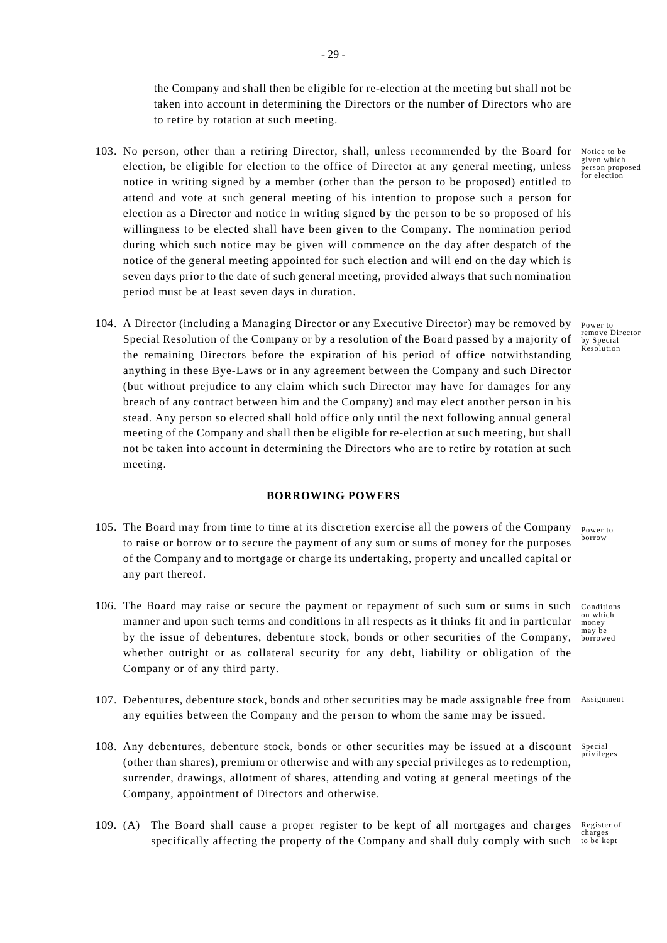the Company and shall then be eligible for re-election at the meeting but shall not be taken into account in determining the Directors or the number of Directors who are to retire by rotation at such meeting.

- 103. No person, other than a retiring Director, shall, unless recommended by the Board for election, be eligible for election to the office of Director at any general meeting, unless notice in writing signed by a member (other than the person to be proposed) entitled to attend and vote at such general meeting of his intention to propose such a person for election as a Director and notice in writing signed by the person to be so proposed of his willingness to be elected shall have been given to the Company. The nomination period during which such notice may be given will commence on the day after despatch of the notice of the general meeting appointed for such election and will end on the day which is seven days prior to the date of such general meeting, provided always that such nomination period must be at least seven days in duration.
- 104. A Director (including a Managing Director or any Executive Director) may be removed by Special Resolution of the Company or by a resolution of the Board passed by a majority of the remaining Directors before the expiration of his period of office notwithstanding anything in these Bye-Laws or in any agreement between the Company and such Director (but without prejudice to any claim which such Director may have for damages for any breach of any contract between him and the Company) and may elect another person in his stead. Any person so elected shall hold office only until the next following annual general meeting of the Company and shall then be eligible for re-election at such meeting, but shall not be taken into account in determining the Directors who are to retire by rotation at such meeting.

### **BORROWING POWERS**

- 105. The Board may from time to time at its discretion exercise all the powers of the Company to raise or borrow or to secure the payment of any sum or sums of money for the purposes of the Company and to mortgage or charge its undertaking, property and uncalled capital or any part thereof.
- 106. The Board may raise or secure the payment or repayment of such sum or sums in such manner and upon such terms and conditions in all respects as it thinks fit and in particular by the issue of debentures, debenture stock, bonds or other securities of the Company, whether outright or as collateral security for any debt, liability or obligation of the Company or of any third party.
- 107. Debentures, debenture stock, bonds and other securities may be made assignable free from Assignment any equities between the Company and the person to whom the same may be issued.
- 108. Any debentures, debenture stock, bonds or other securities may be issued at a discount Special privileges (other than shares), premium or otherwise and with any special privileges as to redemption, surrender, drawings, allotment of shares, attending and voting at general meetings of the Company, appointment of Directors and otherwise.
- Register of charges specifically affecting the property of the Company and shall duly comply with such to be kept 109. (A) The Board shall cause a proper register to be kept of all mortgages and charges

Notice to be given which person proposed for election

Power to remove Director by Special Resolution

Power to borrow

Conditions on which money may be borrowed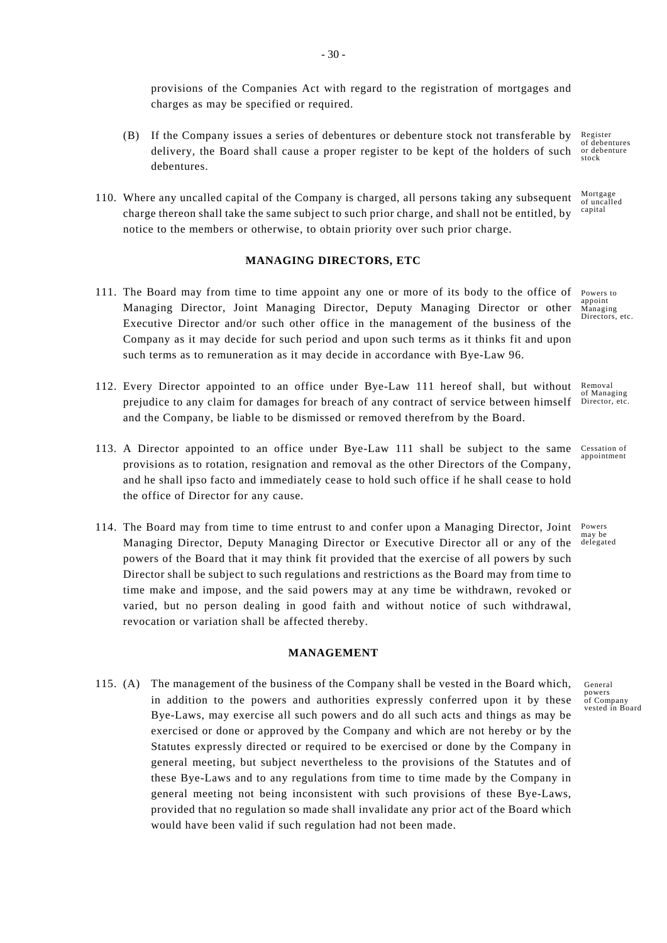provisions of the Companies Act with regard to the registration of mortgages and charges as may be specified or required.

- Register of debentures or debenture stock (B) If the Company issues a series of debentures or debenture stock not transferable by delivery, the Board shall cause a proper register to be kept of the holders of such debentures.
- Mortgage of uncalled capital 110. Where any uncalled capital of the Company is charged, all persons taking any subsequent charge thereon shall take the same subject to such prior charge, and shall not be entitled, by notice to the members or otherwise, to obtain priority over such prior charge.

### **MANAGING DIRECTORS, ETC**

- 111. The Board may from time to time appoint any one or more of its body to the office of Managing Director, Joint Managing Director, Deputy Managing Director or other Executive Director and/or such other office in the management of the business of the Company as it may decide for such period and upon such terms as it thinks fit and upon such terms as to remuneration as it may decide in accordance with Bye-Law 96.
- Removal 112. Every Director appointed to an office under Bye-Law 111 hereof shall, but without prejudice to any claim for damages for breach of any contract of service between himself and the Company, be liable to be dismissed or removed therefrom by the Board.
- 113. A Director appointed to an office under Bye-Law 111 shall be subject to the same provisions as to rotation, resignation and removal as the other Directors of the Company, and he shall ipso facto and immediately cease to hold such office if he shall cease to hold the office of Director for any cause.
- 114. The Board may from time to time entrust to and confer upon a Managing Director, Joint Managing Director, Deputy Managing Director or Executive Director all or any of the powers of the Board that it may think fit provided that the exercise of all powers by such Director shall be subject to such regulations and restrictions as the Board may from time to time make and impose, and the said powers may at any time be withdrawn, revoked or varied, but no person dealing in good faith and without notice of such withdrawal, revocation or variation shall be affected thereby.

#### **MANAGEMENT**

115. (A) The management of the business of the Company shall be vested in the Board which, in addition to the powers and authorities expressly conferred upon it by these Bye-Laws, may exercise all such powers and do all such acts and things as may be exercised or done or approved by the Company and which are not hereby or by the Statutes expressly directed or required to be exercised or done by the Company in general meeting, but subject nevertheless to the provisions of the Statutes and of these Bye-Laws and to any regulations from time to time made by the Company in general meeting not being inconsistent with such provisions of these Bye-Laws, provided that no regulation so made shall invalidate any prior act of the Board which would have been valid if such regulation had not been made.

Powers to appoint Managing Directors, etc.

of Managing Director, etc.

Cessation of appointment

Powers may be delegated

General powers of Company vested in Board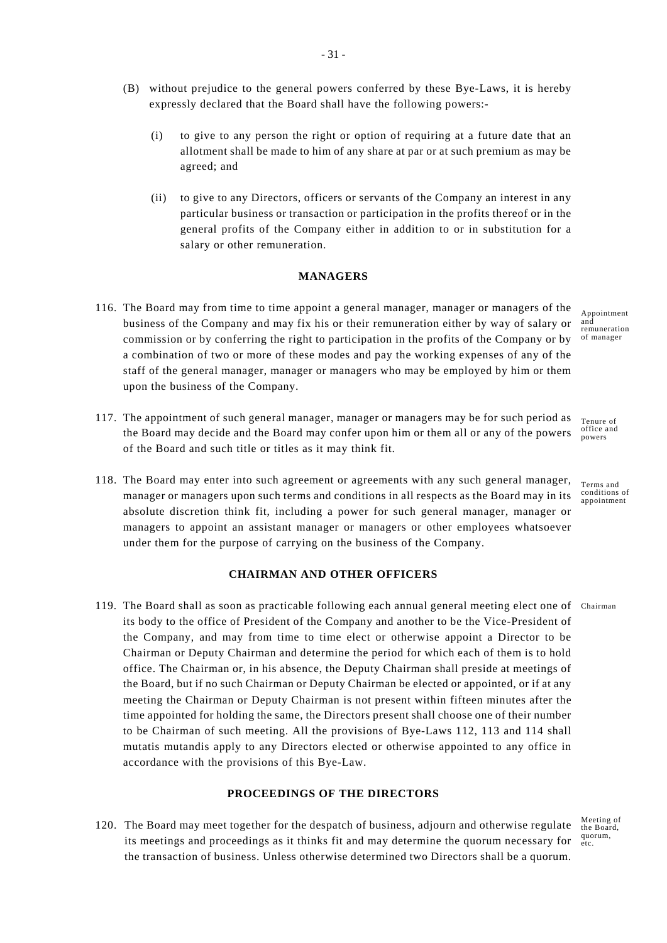(B) without prejudice to the general powers conferred by these Bye-Laws, it is hereby expressly declared that the Board shall have the following powers:-

- 31 -

- (i) to give to any person the right or option of requiring at a future date that an allotment shall be made to him of any share at par or at such premium as may be agreed; and
- (ii) to give to any Directors, officers or servants of the Company an interest in any particular business or transaction or participation in the profits thereof or in the general profits of the Company either in addition to or in substitution for a salary or other remuneration.

# **MANAGERS**

- 116. The Board may from time to time appoint a general manager, manager or managers of the business of the Company and may fix his or their remuneration either by way of salary or commission or by conferring the right to participation in the profits of the Company or by a combination of two or more of these modes and pay the working expenses of any of the staff of the general manager, manager or managers who may be employed by him or them upon the business of the Company.
- 117. The appointment of such general manager, manager or managers may be for such period as Tenure of the Board may decide and the Board may confer upon him or them all or any of the powers of the Board and such title or titles as it may think fit.
- 118. The Board may enter into such agreement or agreements with any such general manager, manager or managers upon such terms and conditions in all respects as the Board may in its absolute discretion think fit, including a power for such general manager, manager or managers to appoint an assistant manager or managers or other employees whatsoever under them for the purpose of carrying on the business of the Company.

# **CHAIRMAN AND OTHER OFFICERS**

119. The Board shall as soon as practicable following each annual general meeting elect one of Chairman its body to the office of President of the Company and another to be the Vice-President of the Company, and may from time to time elect or otherwise appoint a Director to be Chairman or Deputy Chairman and determine the period for which each of them is to hold office. The Chairman or, in his absence, the Deputy Chairman shall preside at meetings of the Board, but if no such Chairman or Deputy Chairman be elected or appointed, or if at any meeting the Chairman or Deputy Chairman is not present within fifteen minutes after the time appointed for holding the same, the Directors present shall choose one of their number to be Chairman of such meeting. All the provisions of Bye-Laws 112, 113 and 114 shall mutatis mutandis apply to any Directors elected or otherwise appointed to any office in accordance with the provisions of this Bye-Law.

# **PROCEEDINGS OF THE DIRECTORS**

Meeting of the Board, quorum, etc. 120. The Board may meet together for the despatch of business, adjourn and otherwise regulate its meetings and proceedings as it thinks fit and may determine the quorum necessary for the transaction of business. Unless otherwise determined two Directors shall be a quorum.

Appointment and remuneration of manager

office and powers

Terms and conditions of appointment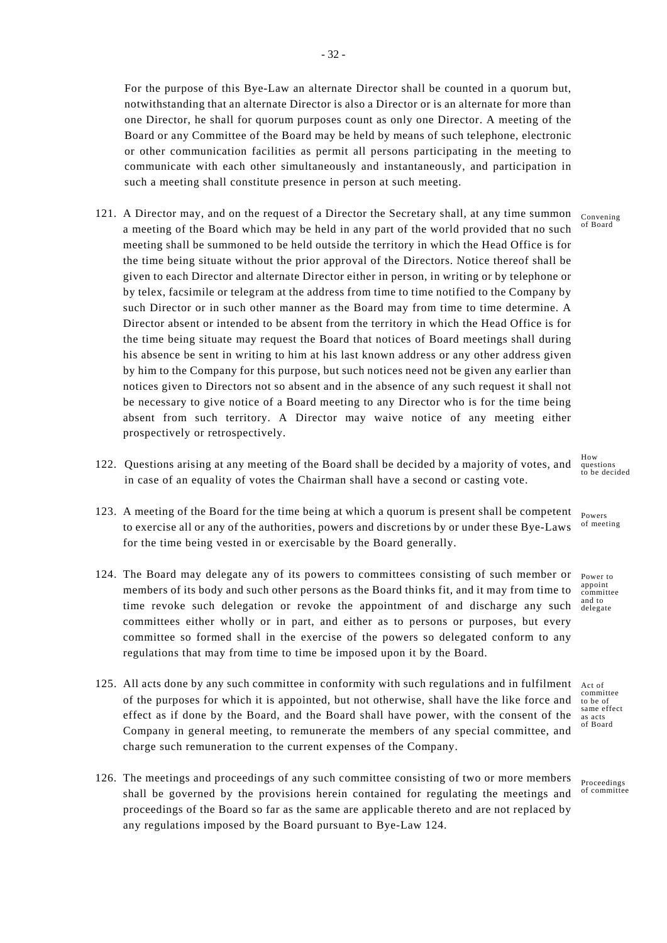For the purpose of this Bye-Law an alternate Director shall be counted in a quorum but, notwithstanding that an alternate Director is also a Director or is an alternate for more than one Director, he shall for quorum purposes count as only one Director. A meeting of the Board or any Committee of the Board may be held by means of such telephone, electronic or other communication facilities as permit all persons participating in the meeting to communicate with each other simultaneously and instantaneously, and participation in such a meeting shall constitute presence in person at such meeting.

- 121. A Director may, and on the request of a Director the Secretary shall, at any time summon convening of Board a meeting of the Board which may be held in any part of the world provided that no such meeting shall be summoned to be held outside the territory in which the Head Office is for the time being situate without the prior approval of the Directors. Notice thereof shall be given to each Director and alternate Director either in person, in writing or by telephone or by telex, facsimile or telegram at the address from time to time notified to the Company by such Director or in such other manner as the Board may from time to time determine. A Director absent or intended to be absent from the territory in which the Head Office is for the time being situate may request the Board that notices of Board meetings shall during his absence be sent in writing to him at his last known address or any other address given by him to the Company for this purpose, but such notices need not be given any earlier than notices given to Directors not so absent and in the absence of any such request it shall not be necessary to give notice of a Board meeting to any Director who is for the time being absent from such territory. A Director may waive notice of any meeting either prospectively or retrospectively.
- 122. Questions arising at any meeting of the Board shall be decided by a majority of votes, and in case of an equality of votes the Chairman shall have a second or casting vote.
- 123. A meeting of the Board for the time being at which a quorum is present shall be competent to exercise all or any of the authorities, powers and discretions by or under these Bye-Laws for the time being vested in or exercisable by the Board generally.
- Power to 124. The Board may delegate any of its powers to committees consisting of such member or members of its body and such other persons as the Board thinks fit, and it may from time to time revoke such delegation or revoke the appointment of and discharge any such committees either wholly or in part, and either as to persons or purposes, but every committee so formed shall in the exercise of the powers so delegated conform to any regulations that may from time to time be imposed upon it by the Board.
- 125. All acts done by any such committee in conformity with such regulations and in fulfilment Act of of the purposes for which it is appointed, but not otherwise, shall have the like force and effect as if done by the Board, and the Board shall have power, with the consent of the Company in general meeting, to remunerate the members of any special committee, and charge such remuneration to the current expenses of the Company.
- 126. The meetings and proceedings of any such committee consisting of two or more members shall be governed by the provisions herein contained for regulating the meetings and proceedings of the Board so far as the same are applicable thereto and are not replaced by any regulations imposed by the Board pursuant to Bye-Law 124.

How questions to be decided

Powers of meeting

appoint committee and to delegate

committee to be of same effect as acts of Board

Proceedings of committee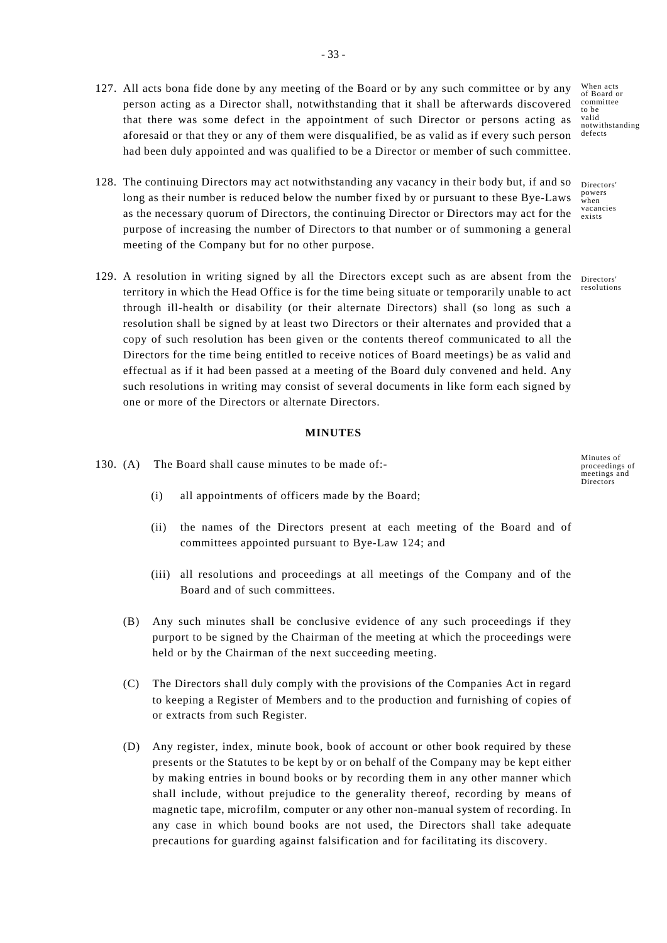- When acts of Board or committee to be valid notwithstanding defects 127. All acts bona fide done by any meeting of the Board or by any such committee or by any person acting as a Director shall, notwithstanding that it shall be afterwards discovered that there was some defect in the appointment of such Director or persons acting as aforesaid or that they or any of them were disqualified, be as valid as if every such person had been duly appointed and was qualified to be a Director or member of such committee.
- 128. The continuing Directors may act notwithstanding any vacancy in their body but, if and so long as their number is reduced below the number fixed by or pursuant to these Bye-Laws as the necessary quorum of Directors, the continuing Director or Directors may act for the purpose of increasing the number of Directors to that number or of summoning a general meeting of the Company but for no other purpose.
- 129. A resolution in writing signed by all the Directors except such as are absent from the Directors territory in which the Head Office is for the time being situate or temporarily unable to act through ill-health or disability (or their alternate Directors) shall (so long as such a resolution shall be signed by at least two Directors or their alternates and provided that a copy of such resolution has been given or the contents thereof communicated to all the Directors for the time being entitled to receive notices of Board meetings) be as valid and effectual as if it had been passed at a meeting of the Board duly convened and held. Any such resolutions in writing may consist of several documents in like form each signed by one or more of the Directors or alternate Directors.

### **MINUTES**

- 130. (A) The Board shall cause minutes to be made of:-
	- (i) all appointments of officers made by the Board;
	- (ii) the names of the Directors present at each meeting of the Board and of committees appointed pursuant to Bye-Law 124; and
	- (iii) all resolutions and proceedings at all meetings of the Company and of the Board and of such committees.
	- (B) Any such minutes shall be conclusive evidence of any such proceedings if they purport to be signed by the Chairman of the meeting at which the proceedings were held or by the Chairman of the next succeeding meeting.
	- (C) The Directors shall duly comply with the provisions of the Companies Act in regard to keeping a Register of Members and to the production and furnishing of copies of or extracts from such Register.
	- (D) Any register, index, minute book, book of account or other book required by these presents or the Statutes to be kept by or on behalf of the Company may be kept either by making entries in bound books or by recording them in any other manner which shall include, without prejudice to the generality thereof, recording by means of magnetic tape, microfilm, computer or any other non-manual system of recording. In any case in which bound books are not used, the Directors shall take adequate precautions for guarding against falsification and for facilitating its discovery.

Directors' powers when vacancies exists

resolutions

Minutes of proceedings of meetings and **Directors**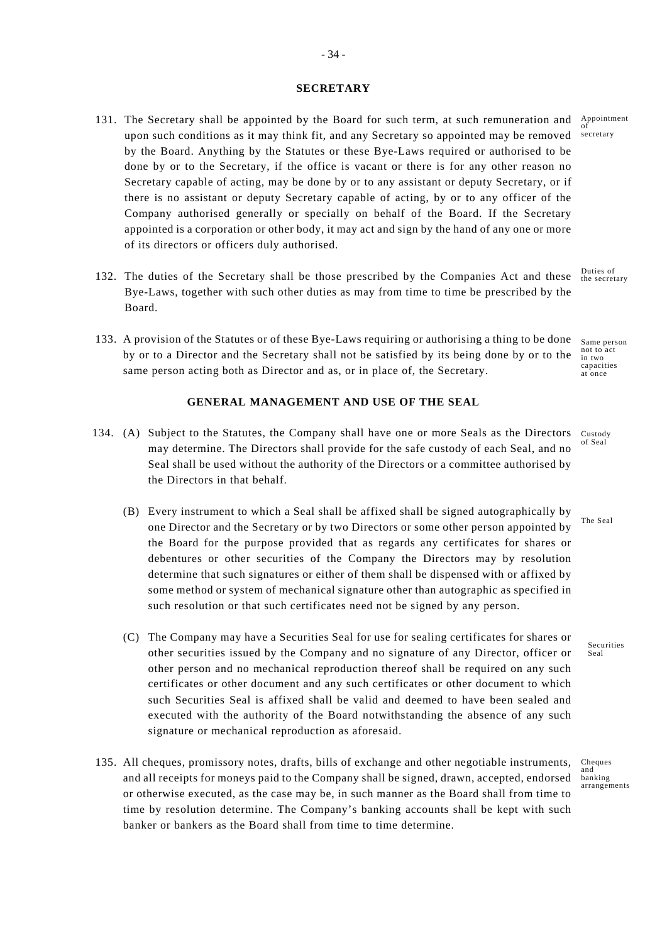#### **SECRETARY**

- 131. The Secretary shall be appointed by the Board for such term, at such remuneration and  $\frac{\text{Appointment}}{\text{of}}$ secretary upon such conditions as it may think fit, and any Secretary so appointed may be removed by the Board. Anything by the Statutes or these Bye-Laws required or authorised to be done by or to the Secretary, if the office is vacant or there is for any other reason no Secretary capable of acting, may be done by or to any assistant or deputy Secretary, or if there is no assistant or deputy Secretary capable of acting, by or to any officer of the Company authorised generally or specially on behalf of the Board. If the Secretary appointed is a corporation or other body, it may act and sign by the hand of any one or more of its directors or officers duly authorised.
- 132. The duties of the Secretary shall be those prescribed by the Companies Act and these Bye-Laws, together with such other duties as may from time to time be prescribed by the Board.
- 133. A provision of the Statutes or of these Bye-Laws requiring or authorising a thing to be done by or to a Director and the Secretary shall not be satisfied by its being done by or to the same person acting both as Director and as, or in place of, the Secretary.

### **GENERAL MANAGEMENT AND USE OF THE SEAL**

- 134. (A) Subject to the Statutes, the Company shall have one or more Seals as the Directors Custody of Seal may determine. The Directors shall provide for the safe custody of each Seal, and no Seal shall be used without the authority of the Directors or a committee authorised by the Directors in that behalf.
	- (B) Every instrument to which a Seal shall be affixed shall be signed autographically by one Director and the Secretary or by two Directors or some other person appointed by the Board for the purpose provided that as regards any certificates for shares or debentures or other securities of the Company the Directors may by resolution determine that such signatures or either of them shall be dispensed with or affixed by some method or system of mechanical signature other than autographic as specified in such resolution or that such certificates need not be signed by any person.
	- (C) The Company may have a Securities Seal for use for sealing certificates for shares or other securities issued by the Company and no signature of any Director, officer or other person and no mechanical reproduction thereof shall be required on any such certificates or other document and any such certificates or other document to which such Securities Seal is affixed shall be valid and deemed to have been sealed and executed with the authority of the Board notwithstanding the absence of any such signature or mechanical reproduction as aforesaid.
- 135. All cheques, promissory notes, drafts, bills of exchange and other negotiable instruments, and all receipts for moneys paid to the Company shall be signed, drawn, accepted, endorsed or otherwise executed, as the case may be, in such manner as the Board shall from time to time by resolution determine. The Company's banking accounts shall be kept with such banker or bankers as the Board shall from time to time determine.

Duties of the secretary

Same person not to act<br>in two capacities at once

The Seal

Securities Seal

Cheques and banking arrangements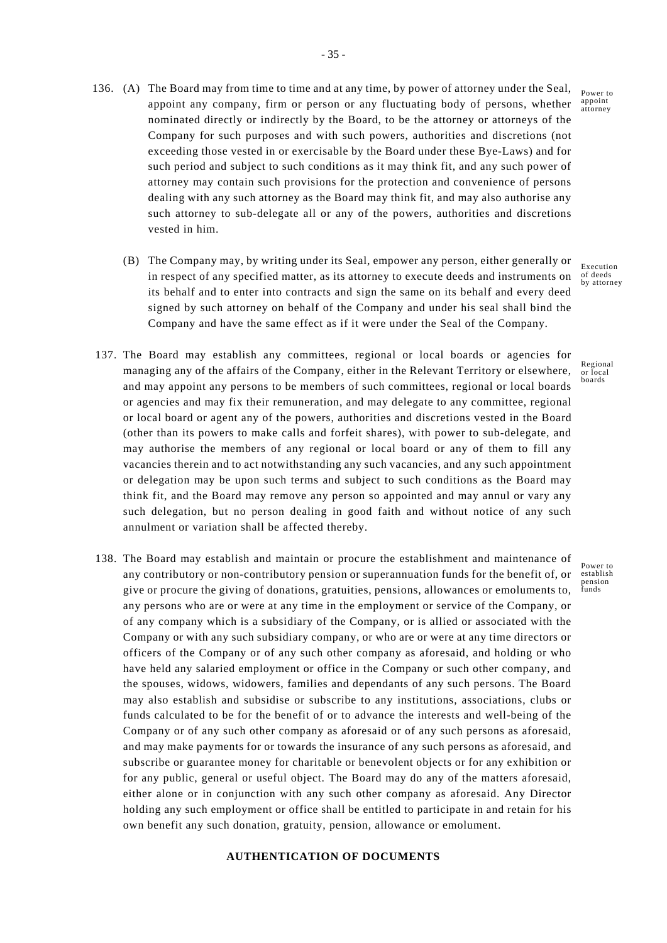- appoint any company, firm or person or any fluctuating body of persons, whether  $\frac{\text{appoint}}{\text{atrons}}$ 136. (A) The Board may from time to time and at any time, by power of attorney under the Seal, nominated directly or indirectly by the Board, to be the attorney or attorneys of the Company for such purposes and with such powers, authorities and discretions (not exceeding those vested in or exercisable by the Board under these Bye-Laws) and for such period and subject to such conditions as it may think fit, and any such power of attorney may contain such provisions for the protection and convenience of persons dealing with any such attorney as the Board may think fit, and may also authorise any such attorney to sub-delegate all or any of the powers, authorities and discretions vested in him.
	- (B) The Company may, by writing under its Seal, empower any person, either generally or in respect of any specified matter, as its attorney to execute deeds and instruments on its behalf and to enter into contracts and sign the same on its behalf and every deed signed by such attorney on behalf of the Company and under his seal shall bind the Company and have the same effect as if it were under the Seal of the Company.
- 137. The Board may establish any committees, regional or local boards or agencies for managing any of the affairs of the Company, either in the Relevant Territory or elsewhere, and may appoint any persons to be members of such committees, regional or local boards or agencies and may fix their remuneration, and may delegate to any committee, regional or local board or agent any of the powers, authorities and discretions vested in the Board (other than its powers to make calls and forfeit shares), with power to sub-delegate, and may authorise the members of any regional or local board or any of them to fill any vacancies therein and to act notwithstanding any such vacancies, and any such appointment or delegation may be upon such terms and subject to such conditions as the Board may think fit, and the Board may remove any person so appointed and may annul or vary any such delegation, but no person dealing in good faith and without notice of any such annulment or variation shall be affected thereby.
- 138. The Board may establish and maintain or procure the establishment and maintenance of any contributory or non-contributory pension or superannuation funds for the benefit of, or give or procure the giving of donations, gratuities, pensions, allowances or emoluments to, any persons who are or were at any time in the employment or service of the Company, or of any company which is a subsidiary of the Company, or is allied or associated with the Company or with any such subsidiary company, or who are or were at any time directors or officers of the Company or of any such other company as aforesaid, and holding or who have held any salaried employment or office in the Company or such other company, and the spouses, widows, widowers, families and dependants of any such persons. The Board may also establish and subsidise or subscribe to any institutions, associations, clubs or funds calculated to be for the benefit of or to advance the interests and well-being of the Company or of any such other company as aforesaid or of any such persons as aforesaid, and may make payments for or towards the insurance of any such persons as aforesaid, and subscribe or guarantee money for charitable or benevolent objects or for any exhibition or for any public, general or useful object. The Board may do any of the matters aforesaid, either alone or in conjunction with any such other company as aforesaid. Any Director holding any such employment or office shall be entitled to participate in and retain for his own benefit any such donation, gratuity, pension, allowance or emolument.

# **AUTHENTICATION OF DOCUMENTS**

Power to attorney

Execution of deeds by attorney

Regional or local boards

Power to establish pension funds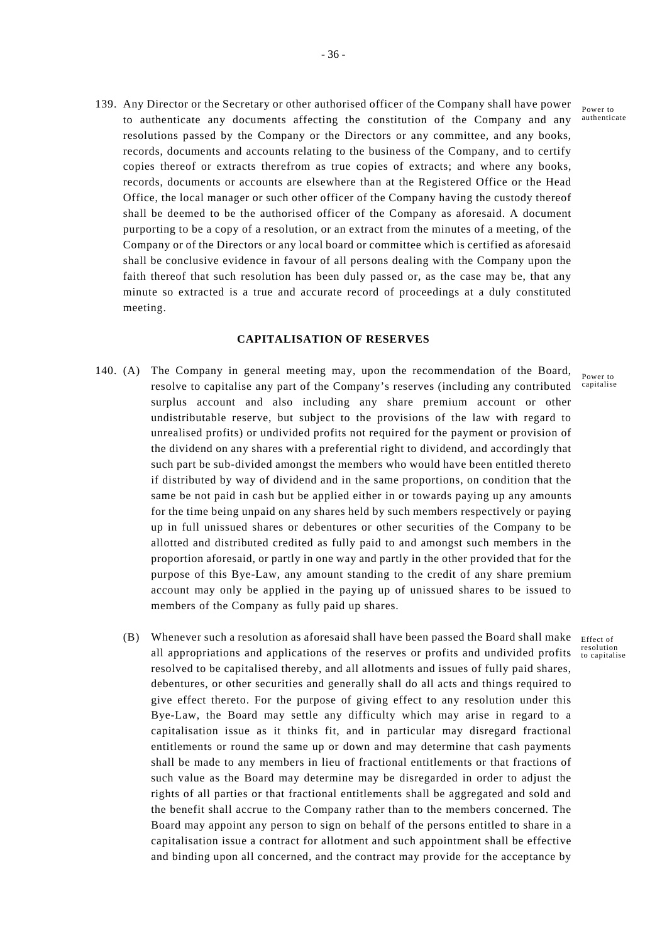139. Any Director or the Secretary or other authorised officer of the Company shall have power to authenticate any documents affecting the constitution of the Company and any resolutions passed by the Company or the Directors or any committee, and any books, records, documents and accounts relating to the business of the Company, and to certify copies thereof or extracts therefrom as true copies of extracts; and where any books, records, documents or accounts are elsewhere than at the Registered Office or the Head Office, the local manager or such other officer of the Company having the custody thereof shall be deemed to be the authorised officer of the Company as aforesaid. A document purporting to be a copy of a resolution, or an extract from the minutes of a meeting, of the Company or of the Directors or any local board or committee which is certified as aforesaid shall be conclusive evidence in favour of all persons dealing with the Company upon the faith thereof that such resolution has been duly passed or, as the case may be, that any minute so extracted is a true and accurate record of proceedings at a duly constituted meeting.

#### **CAPITALISATION OF RESERVES**

- resolve to capitalise any part of the Company's reserves (including any contributed capitalise 140. (A) The Company in general meeting may, upon the recommendation of the Board, surplus account and also including any share premium account or other undistributable reserve, but subject to the provisions of the law with regard to unrealised profits) or undivided profits not required for the payment or provision of the dividend on any shares with a preferential right to dividend, and accordingly that such part be sub-divided amongst the members who would have been entitled thereto if distributed by way of dividend and in the same proportions, on condition that the same be not paid in cash but be applied either in or towards paying up any amounts for the time being unpaid on any shares held by such members respectively or paying up in full unissued shares or debentures or other securities of the Company to be allotted and distributed credited as fully paid to and amongst such members in the proportion aforesaid, or partly in one way and partly in the other provided that for the purpose of this Bye-Law, any amount standing to the credit of any share premium account may only be applied in the paying up of unissued shares to be issued to members of the Company as fully paid up shares.
- (B) Whenever such a resolution as aforesaid shall have been passed the Board shall make  $E_{\text{Effect of}}$ all appropriations and applications of the reserves or profits and undivided profits to capitalise resolved to be capitalised thereby, and all allotments and issues of fully paid shares, debentures, or other securities and generally shall do all acts and things required to give effect thereto. For the purpose of giving effect to any resolution under this Bye-Law, the Board may settle any difficulty which may arise in regard to a capitalisation issue as it thinks fit, and in particular may disregard fractional entitlements or round the same up or down and may determine that cash payments shall be made to any members in lieu of fractional entitlements or that fractions of such value as the Board may determine may be disregarded in order to adjust the rights of all parties or that fractional entitlements shall be aggregated and sold and the benefit shall accrue to the Company rather than to the members concerned. The Board may appoint any person to sign on behalf of the persons entitled to share in a capitalisation issue a contract for allotment and such appointment shall be effective and binding upon all concerned, and the contract may provide for the acceptance by

Power to authenticate

Power to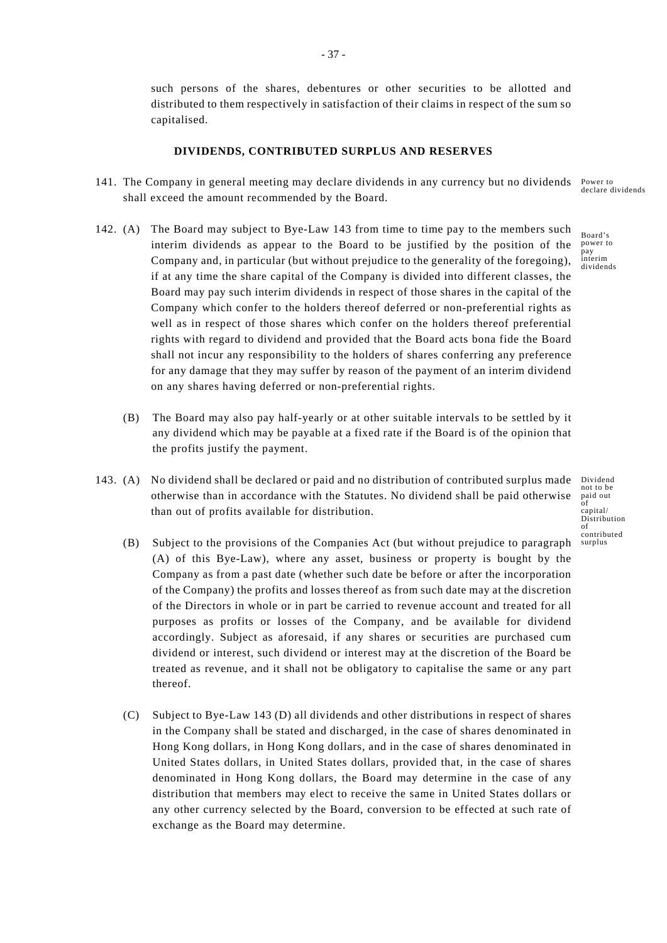such persons of the shares, debentures or other securities to be allotted and distributed to them respectively in satisfaction of their claims in respect of the sum so capitalised.

### **DIVIDENDS, CONTRIBUTED SURPLUS AND RESERVES**

- Power to 141. The Company in general meeting may declare dividends in any currency but no dividends shall exceed the amount recommended by the Board.
- 142. (A) The Board may subject to Bye-Law 143 from time to time pay to the members such interim dividends as appear to the Board to be justified by the position of the Company and, in particular (but without prejudice to the generality of the foregoing), if at any time the share capital of the Company is divided into different classes, the Board may pay such interim dividends in respect of those shares in the capital of the Company which confer to the holders thereof deferred or non-preferential rights as well as in respect of those shares which confer on the holders thereof preferential rights with regard to dividend and provided that the Board acts bona fide the Board shall not incur any responsibility to the holders of shares conferring any preference for any damage that they may suffer by reason of the payment of an interim dividend on any shares having deferred or non-preferential rights.
	- (B) The Board may also pay half-yearly or at other suitable intervals to be settled by it any dividend which may be payable at a fixed rate if the Board is of the opinion that the profits justify the payment.
- 143. (A) No dividend shall be declared or paid and no distribution of contributed surplus made otherwise than in accordance with the Statutes. No dividend shall be paid otherwise than out of profits available for distribution.
	- (B) Subject to the provisions of the Companies Act (but without prejudice to paragraph (A) of this Bye-Law), where any asset, business or property is bought by the Company as from a past date (whether such date be before or after the incorporation of the Company) the profits and losses thereof as from such date may at the discretion of the Directors in whole or in part be carried to revenue account and treated for all purposes as profits or losses of the Company, and be available for dividend accordingly. Subject as aforesaid, if any shares or securities are purchased cum dividend or interest, such dividend or interest may at the discretion of the Board be treated as revenue, and it shall not be obligatory to capitalise the same or any part thereof.
	- (C) Subject to Bye-Law 143 (D) all dividends and other distributions in respect of shares in the Company shall be stated and discharged, in the case of shares denominated in Hong Kong dollars, in Hong Kong dollars, and in the case of shares denominated in United States dollars, in United States dollars, provided that, in the case of shares denominated in Hong Kong dollars, the Board may determine in the case of any distribution that members may elect to receive the same in United States dollars or any other currency selected by the Board, conversion to be effected at such rate of exchange as the Board may determine.

Dividend not to be paid out of capital/ Distribution  $\alpha$ f contributed surplus

declare dividends

Board's power to pay interim dividends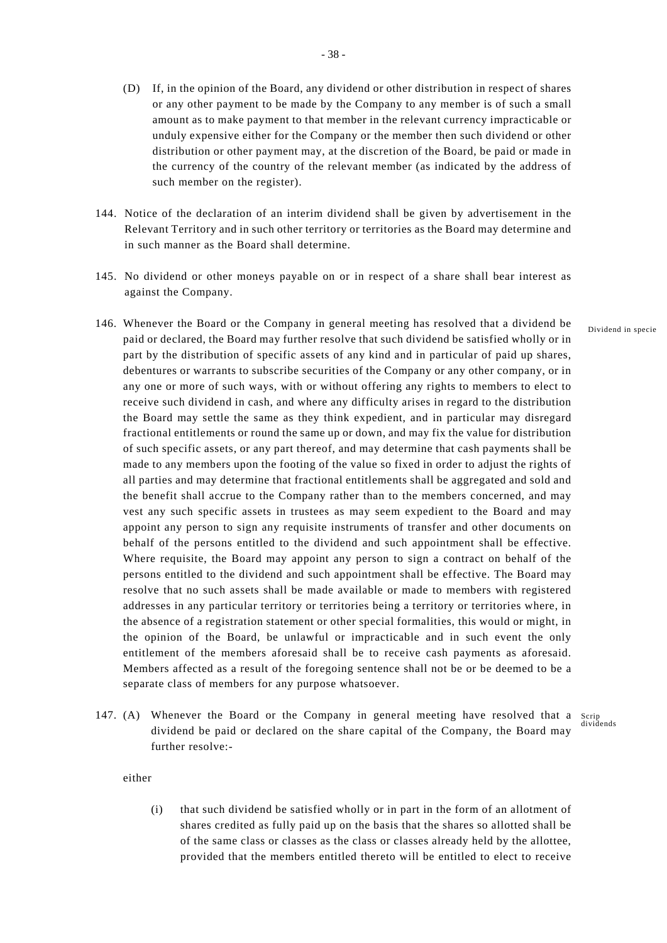- (D) If, in the opinion of the Board, any dividend or other distribution in respect of shares or any other payment to be made by the Company to any member is of such a small amount as to make payment to that member in the relevant currency impracticable or unduly expensive either for the Company or the member then such dividend or other distribution or other payment may, at the discretion of the Board, be paid or made in the currency of the country of the relevant member (as indicated by the address of such member on the register).
- 144. Notice of the declaration of an interim dividend shall be given by advertisement in the Relevant Territory and in such other territory or territories as the Board may determine and in such manner as the Board shall determine.
- 145. No dividend or other moneys payable on or in respect of a share shall bear interest as against the Company.
- 146. Whenever the Board or the Company in general meeting has resolved that a dividend be paid or declared, the Board may further resolve that such dividend be satisfied wholly or in part by the distribution of specific assets of any kind and in particular of paid up shares, debentures or warrants to subscribe securities of the Company or any other company, or in any one or more of such ways, with or without offering any rights to members to elect to receive such dividend in cash, and where any difficulty arises in regard to the distribution the Board may settle the same as they think expedient, and in particular may disregard fractional entitlements or round the same up or down, and may fix the value for distribution of such specific assets, or any part thereof, and may determine that cash payments shall be made to any members upon the footing of the value so fixed in order to adjust the rights of all parties and may determine that fractional entitlements shall be aggregated and sold and the benefit shall accrue to the Company rather than to the members concerned, and may vest any such specific assets in trustees as may seem expedient to the Board and may appoint any person to sign any requisite instruments of transfer and other documents on behalf of the persons entitled to the dividend and such appointment shall be effective. Where requisite, the Board may appoint any person to sign a contract on behalf of the persons entitled to the dividend and such appointment shall be effective. The Board may resolve that no such assets shall be made available or made to members with registered addresses in any particular territory or territories being a territory or territories where, in the absence of a registration statement or other special formalities, this would or might, in the opinion of the Board, be unlawful or impracticable and in such event the only entitlement of the members aforesaid shall be to receive cash payments as aforesaid. Members affected as a result of the foregoing sentence shall not be or be deemed to be a separate class of members for any purpose whatsoever.
- 147. (A) Whenever the Board or the Company in general meeting have resolved that a Scrip dividends dividend be paid or declared on the share capital of the Company, the Board may further resolve:-

either

(i) that such dividend be satisfied wholly or in part in the form of an allotment of shares credited as fully paid up on the basis that the shares so allotted shall be of the same class or classes as the class or classes already held by the allottee, provided that the members entitled thereto will be entitled to elect to receive Dividend in specie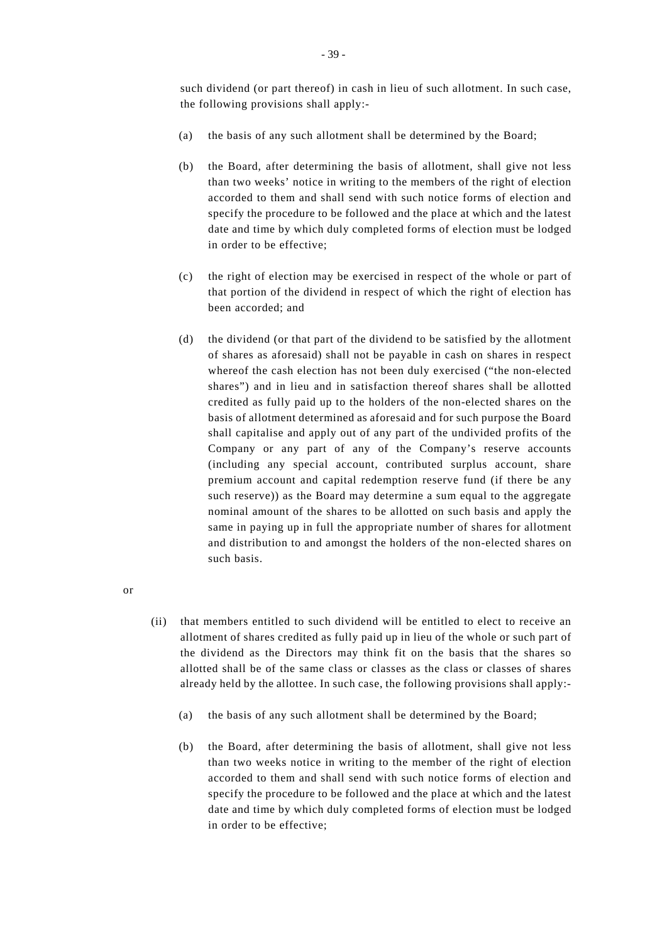such dividend (or part thereof) in cash in lieu of such allotment. In such case, the following provisions shall apply:-

- (a) the basis of any such allotment shall be determined by the Board;
- (b) the Board, after determining the basis of allotment, shall give not less than two weeks' notice in writing to the members of the right of election accorded to them and shall send with such notice forms of election and specify the procedure to be followed and the place at which and the latest date and time by which duly completed forms of election must be lodged in order to be effective;
- (c) the right of election may be exercised in respect of the whole or part of that portion of the dividend in respect of which the right of election has been accorded; and
- (d) the dividend (or that part of the dividend to be satisfied by the allotment of shares as aforesaid) shall not be payable in cash on shares in respect whereof the cash election has not been duly exercised ("the non-elected shares") and in lieu and in satisfaction thereof shares shall be allotted credited as fully paid up to the holders of the non-elected shares on the basis of allotment determined as aforesaid and for such purpose the Board shall capitalise and apply out of any part of the undivided profits of the Company or any part of any of the Company's reserve accounts (including any special account, contributed surplus account, share premium account and capital redemption reserve fund (if there be any such reserve)) as the Board may determine a sum equal to the aggregate nominal amount of the shares to be allotted on such basis and apply the same in paying up in full the appropriate number of shares for allotment and distribution to and amongst the holders of the non-elected shares on such basis.
- or
- (ii) that members entitled to such dividend will be entitled to elect to receive an allotment of shares credited as fully paid up in lieu of the whole or such part of the dividend as the Directors may think fit on the basis that the shares so allotted shall be of the same class or classes as the class or classes of shares already held by the allottee. In such case, the following provisions shall apply:-
	- (a) the basis of any such allotment shall be determined by the Board;
	- (b) the Board, after determining the basis of allotment, shall give not less than two weeks notice in writing to the member of the right of election accorded to them and shall send with such notice forms of election and specify the procedure to be followed and the place at which and the latest date and time by which duly completed forms of election must be lodged in order to be effective;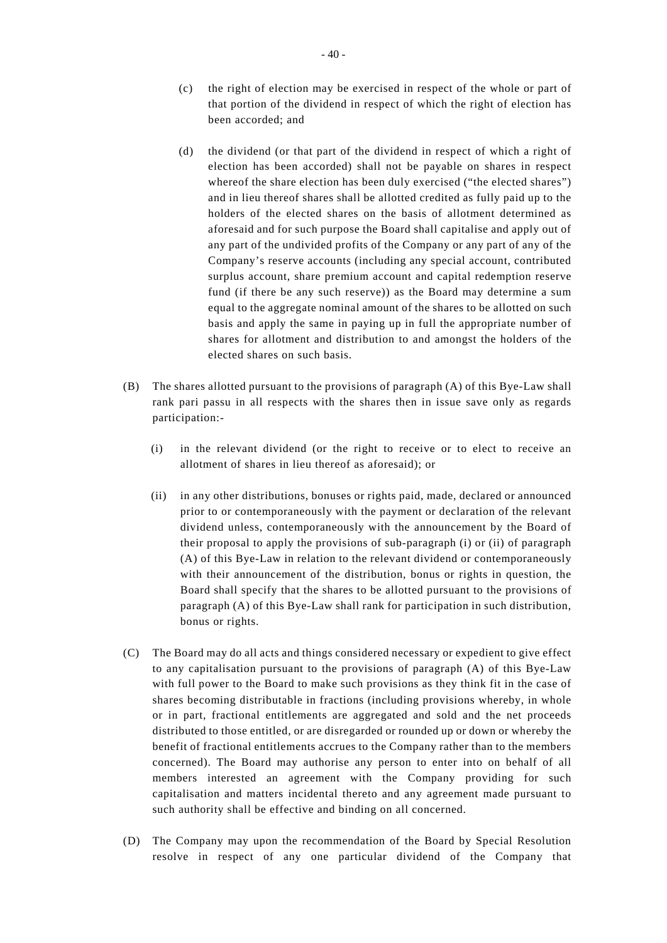- (c) the right of election may be exercised in respect of the whole or part of that portion of the dividend in respect of which the right of election has been accorded; and
- (d) the dividend (or that part of the dividend in respect of which a right of election has been accorded) shall not be payable on shares in respect whereof the share election has been duly exercised ("the elected shares") and in lieu thereof shares shall be allotted credited as fully paid up to the holders of the elected shares on the basis of allotment determined as aforesaid and for such purpose the Board shall capitalise and apply out of any part of the undivided profits of the Company or any part of any of the Company's reserve accounts (including any special account, contributed surplus account, share premium account and capital redemption reserve fund (if there be any such reserve)) as the Board may determine a sum equal to the aggregate nominal amount of the shares to be allotted on such basis and apply the same in paying up in full the appropriate number of shares for allotment and distribution to and amongst the holders of the elected shares on such basis.
- (B) The shares allotted pursuant to the provisions of paragraph (A) of this Bye-Law shall rank pari passu in all respects with the shares then in issue save only as regards participation:-
	- (i) in the relevant dividend (or the right to receive or to elect to receive an allotment of shares in lieu thereof as aforesaid); or
	- (ii) in any other distributions, bonuses or rights paid, made, declared or announced prior to or contemporaneously with the payment or declaration of the relevant dividend unless, contemporaneously with the announcement by the Board of their proposal to apply the provisions of sub-paragraph (i) or (ii) of paragraph (A) of this Bye-Law in relation to the relevant dividend or contemporaneously with their announcement of the distribution, bonus or rights in question, the Board shall specify that the shares to be allotted pursuant to the provisions of paragraph (A) of this Bye-Law shall rank for participation in such distribution, bonus or rights.
- (C) The Board may do all acts and things considered necessary or expedient to give effect to any capitalisation pursuant to the provisions of paragraph (A) of this Bye-Law with full power to the Board to make such provisions as they think fit in the case of shares becoming distributable in fractions (including provisions whereby, in whole or in part, fractional entitlements are aggregated and sold and the net proceeds distributed to those entitled, or are disregarded or rounded up or down or whereby the benefit of fractional entitlements accrues to the Company rather than to the members concerned). The Board may authorise any person to enter into on behalf of all members interested an agreement with the Company providing for such capitalisation and matters incidental thereto and any agreement made pursuant to such authority shall be effective and binding on all concerned.
- (D) The Company may upon the recommendation of the Board by Special Resolution resolve in respect of any one particular dividend of the Company that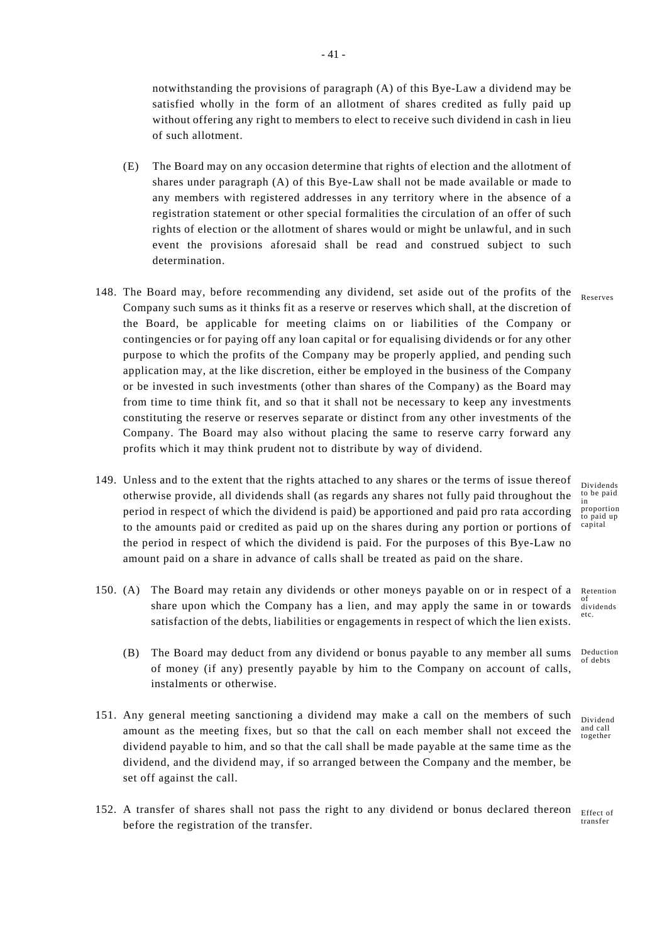notwithstanding the provisions of paragraph (A) of this Bye-Law a dividend may be satisfied wholly in the form of an allotment of shares credited as fully paid up without offering any right to members to elect to receive such dividend in cash in lieu of such allotment.

- (E) The Board may on any occasion determine that rights of election and the allotment of shares under paragraph (A) of this Bye-Law shall not be made available or made to any members with registered addresses in any territory where in the absence of a registration statement or other special formalities the circulation of an offer of such rights of election or the allotment of shares would or might be unlawful, and in such event the provisions aforesaid shall be read and construed subject to such determination.
- 148. The Board may, before recommending any dividend, set aside out of the profits of the Reserves Company such sums as it thinks fit as a reserve or reserves which shall, at the discretion of the Board, be applicable for meeting claims on or liabilities of the Company or contingencies or for paying off any loan capital or for equalising dividends or for any other purpose to which the profits of the Company may be properly applied, and pending such application may, at the like discretion, either be employed in the business of the Company or be invested in such investments (other than shares of the Company) as the Board may from time to time think fit, and so that it shall not be necessary to keep any investments constituting the reserve or reserves separate or distinct from any other investments of the Company. The Board may also without placing the same to reserve carry forward any profits which it may think prudent not to distribute by way of dividend.
- 149. Unless and to the extent that the rights attached to any shares or the terms of issue thereof otherwise provide, all dividends shall (as regards any shares not fully paid throughout the period in respect of which the dividend is paid) be apportioned and paid pro rata according to the amounts paid or credited as paid up on the shares during any portion or portions of the period in respect of which the dividend is paid. For the purposes of this Bye-Law no amount paid on a share in advance of calls shall be treated as paid on the share.
- Retention etc. 150. (A) The Board may retain any dividends or other moneys payable on or in respect of a share upon which the Company has a lien, and may apply the same in or towards satisfaction of the debts, liabilities or engagements in respect of which the lien exists.
	- Deduction (B) The Board may deduct from any dividend or bonus payable to any member all sums of money (if any) presently payable by him to the Company on account of calls, instalments or otherwise.
- 151. Any general meeting sanctioning a dividend may make a call on the members of such amount as the meeting fixes, but so that the call on each member shall not exceed the dividend payable to him, and so that the call shall be made payable at the same time as the dividend, and the dividend may, if so arranged between the Company and the member, be set off against the call.
- Effect of transfer 152. A transfer of shares shall not pass the right to any dividend or bonus declared thereon before the registration of the transfer.

Dividends to be paid in proportion to paid up capital

of dividends

of debts

Dividend and call together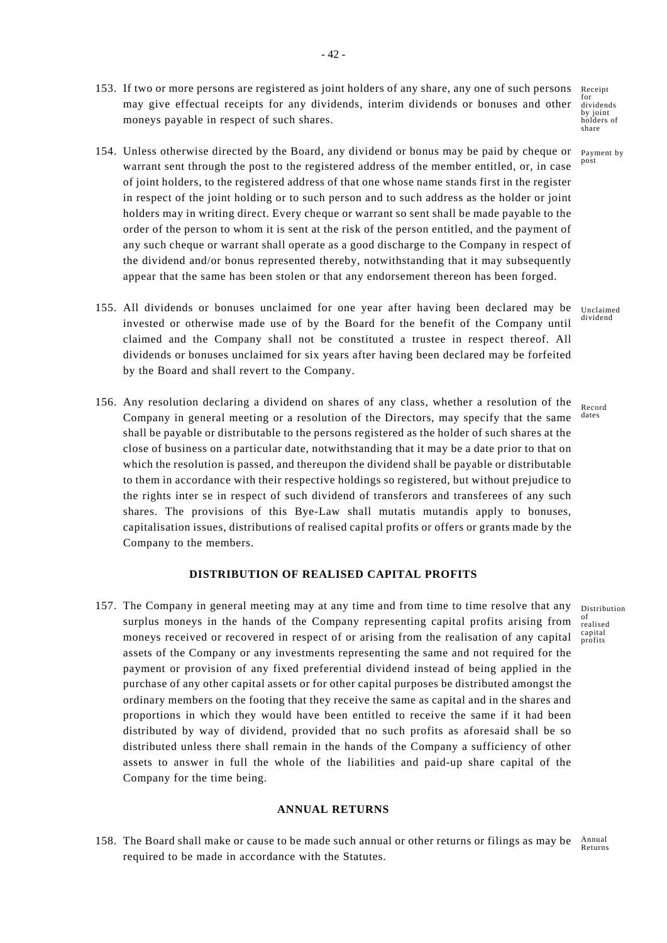153. If two or more persons are registered as joint holders of any share, any one of such persons may give effectual receipts for any dividends, interim dividends or bonuses and other moneys payable in respect of such shares.

of joint holders, to the registered address of that one whose name stands first in the register

Receipt for dividends by joint by joint<br>holders of share

154. Unless otherwise directed by the Board, any dividend or bonus may be paid by cheque or Payment by post warrant sent through the post to the registered address of the member entitled, or, in case

> of realised capital profits

- in respect of the joint holding or to such person and to such address as the holder or joint holders may in writing direct. Every cheque or warrant so sent shall be made payable to the order of the person to whom it is sent at the risk of the person entitled, and the payment of any such cheque or warrant shall operate as a good discharge to the Company in respect of the dividend and/or bonus represented thereby, notwithstanding that it may subsequently appear that the same has been stolen or that any endorsement thereon has been forged.
	- Unclaimed dividend 155. All dividends or bonuses unclaimed for one year after having been declared may be invested or otherwise made use of by the Board for the benefit of the Company until claimed and the Company shall not be constituted a trustee in respect thereof. All dividends or bonuses unclaimed for six years after having been declared may be forfeited by the Board and shall revert to the Company.
	- Record dates 156. Any resolution declaring a dividend on shares of any class, whether a resolution of the Company in general meeting or a resolution of the Directors, may specify that the same shall be payable or distributable to the persons registered as the holder of such shares at the close of business on a particular date, notwithstanding that it may be a date prior to that on which the resolution is passed, and thereupon the dividend shall be payable or distributable to them in accordance with their respective holdings so registered, but without prejudice to the rights inter se in respect of such dividend of transferors and transferees of any such shares. The provisions of this Bye-Law shall mutatis mutandis apply to bonuses, capitalisation issues, distributions of realised capital profits or offers or grants made by the Company to the members.

# **DISTRIBUTION OF REALISED CAPITAL PROFITS**

157. The Company in general meeting may at any time and from time to time resolve that any Distribution surplus moneys in the hands of the Company representing capital profits arising from moneys received or recovered in respect of or arising from the realisation of any capital assets of the Company or any investments representing the same and not required for the payment or provision of any fixed preferential dividend instead of being applied in the purchase of any other capital assets or for other capital purposes be distributed amongst the ordinary members on the footing that they receive the same as capital and in the shares and proportions in which they would have been entitled to receive the same if it had been distributed by way of dividend, provided that no such profits as aforesaid shall be so distributed unless there shall remain in the hands of the Company a sufficiency of other assets to answer in full the whole of the liabilities and paid-up share capital of the Company for the time being.

# **ANNUAL RETURNS**

Annual Returns 158. The Board shall make or cause to be made such annual or other returns or filings as may be required to be made in accordance with the Statutes.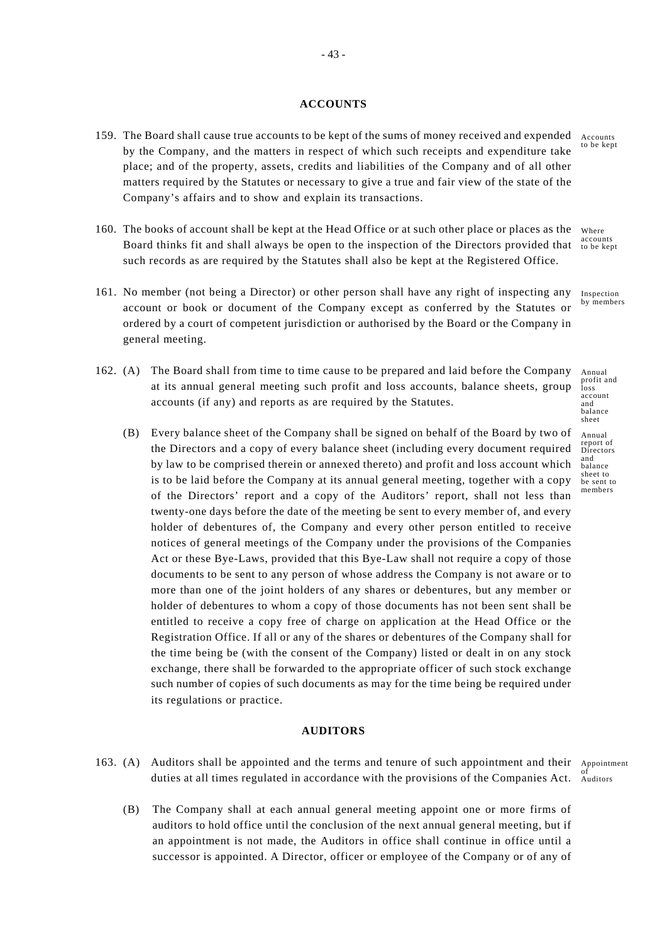### **ACCOUNTS**

- 159. The Board shall cause true accounts to be kept of the sums of money received and expended by the Company, and the matters in respect of which such receipts and expenditure take place; and of the property, assets, credits and liabilities of the Company and of all other matters required by the Statutes or necessary to give a true and fair view of the state of the Company's affairs and to show and explain its transactions.
- 160. The books of account shall be kept at the Head Office or at such other place or places as the Board thinks fit and shall always be open to the inspection of the Directors provided that such records as are required by the Statutes shall also be kept at the Registered Office.
- 161. No member (not being a Director) or other person shall have any right of inspecting any account or book or document of the Company except as conferred by the Statutes or ordered by a court of competent jurisdiction or authorised by the Board or the Company in general meeting.
- 162. (A) The Board shall from time to time cause to be prepared and laid before the Company at its annual general meeting such profit and loss accounts, balance sheets, group accounts (if any) and reports as are required by the Statutes.
	- (B) Every balance sheet of the Company shall be signed on behalf of the Board by two of the Directors and a copy of every balance sheet (including every document required by law to be comprised therein or annexed thereto) and profit and loss account which is to be laid before the Company at its annual general meeting, together with a copy of the Directors' report and a copy of the Auditors' report, shall not less than twenty-one days before the date of the meeting be sent to every member of, and every holder of debentures of, the Company and every other person entitled to receive notices of general meetings of the Company under the provisions of the Companies Act or these Bye-Laws, provided that this Bye-Law shall not require a copy of those documents to be sent to any person of whose address the Company is not aware or to more than one of the joint holders of any shares or debentures, but any member or holder of debentures to whom a copy of those documents has not been sent shall be entitled to receive a copy free of charge on application at the Head Office or the Registration Office. If all or any of the shares or debentures of the Company shall for the time being be (with the consent of the Company) listed or dealt in on any stock exchange, there shall be forwarded to the appropriate officer of such stock exchange such number of copies of such documents as may for the time being be required under its regulations or practice.

# **AUDITORS**

- Appointment of Auditors 163. (A) Auditors shall be appointed and the terms and tenure of such appointment and their duties at all times regulated in accordance with the provisions of the Companies Act.
	- (B) The Company shall at each annual general meeting appoint one or more firms of auditors to hold office until the conclusion of the next annual general meeting, but if an appointment is not made, the Auditors in office shall continue in office until a successor is appointed. A Director, officer or employee of the Company or of any of

Accounts to be kept

Where accounts to be kept

Inspection by members

Annual profit and loss account and balance sheet

Annual report of Directors and balance sheet to be sent to members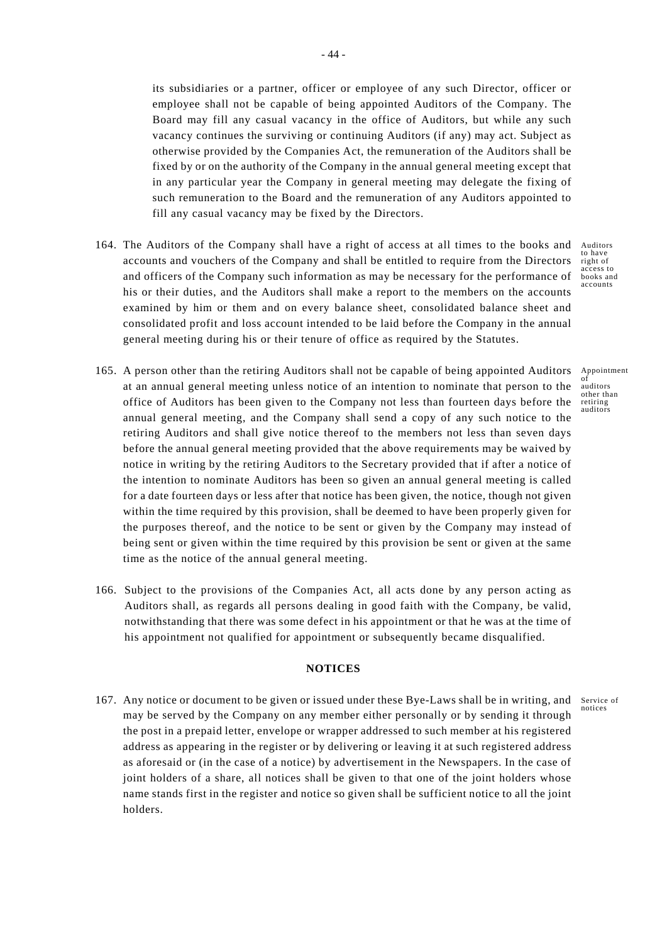its subsidiaries or a partner, officer or employee of any such Director, officer or employee shall not be capable of being appointed Auditors of the Company. The Board may fill any casual vacancy in the office of Auditors, but while any such vacancy continues the surviving or continuing Auditors (if any) may act. Subject as otherwise provided by the Companies Act, the remuneration of the Auditors shall be fixed by or on the authority of the Company in the annual general meeting except that in any particular year the Company in general meeting may delegate the fixing of such remuneration to the Board and the remuneration of any Auditors appointed to fill any casual vacancy may be fixed by the Directors.

- 164. The Auditors of the Company shall have a right of access at all times to the books and accounts and vouchers of the Company and shall be entitled to require from the Directors and officers of the Company such information as may be necessary for the performance of his or their duties, and the Auditors shall make a report to the members on the accounts examined by him or them and on every balance sheet, consolidated balance sheet and consolidated profit and loss account intended to be laid before the Company in the annual general meeting during his or their tenure of office as required by the Statutes.
- Auditors to have right of access to books and accounts

Appointment of auditors other than retiring auditors

- 165. A person other than the retiring Auditors shall not be capable of being appointed Auditors at an annual general meeting unless notice of an intention to nominate that person to the office of Auditors has been given to the Company not less than fourteen days before the annual general meeting, and the Company shall send a copy of any such notice to the retiring Auditors and shall give notice thereof to the members not less than seven days before the annual general meeting provided that the above requirements may be waived by notice in writing by the retiring Auditors to the Secretary provided that if after a notice of the intention to nominate Auditors has been so given an annual general meeting is called for a date fourteen days or less after that notice has been given, the notice, though not given within the time required by this provision, shall be deemed to have been properly given for the purposes thereof, and the notice to be sent or given by the Company may instead of being sent or given within the time required by this provision be sent or given at the same time as the notice of the annual general meeting.
- 166. Subject to the provisions of the Companies Act, all acts done by any person acting as Auditors shall, as regards all persons dealing in good faith with the Company, be valid, notwithstanding that there was some defect in his appointment or that he was at the time of his appointment not qualified for appointment or subsequently became disqualified.

# **NOTICES**

167. Any notice or document to be given or issued under these Bye-Laws shall be in writing, and Service of notices may be served by the Company on any member either personally or by sending it through the post in a prepaid letter, envelope or wrapper addressed to such member at his registered address as appearing in the register or by delivering or leaving it at such registered address as aforesaid or (in the case of a notice) by advertisement in the Newspapers. In the case of joint holders of a share, all notices shall be given to that one of the joint holders whose name stands first in the register and notice so given shall be sufficient notice to all the joint holders.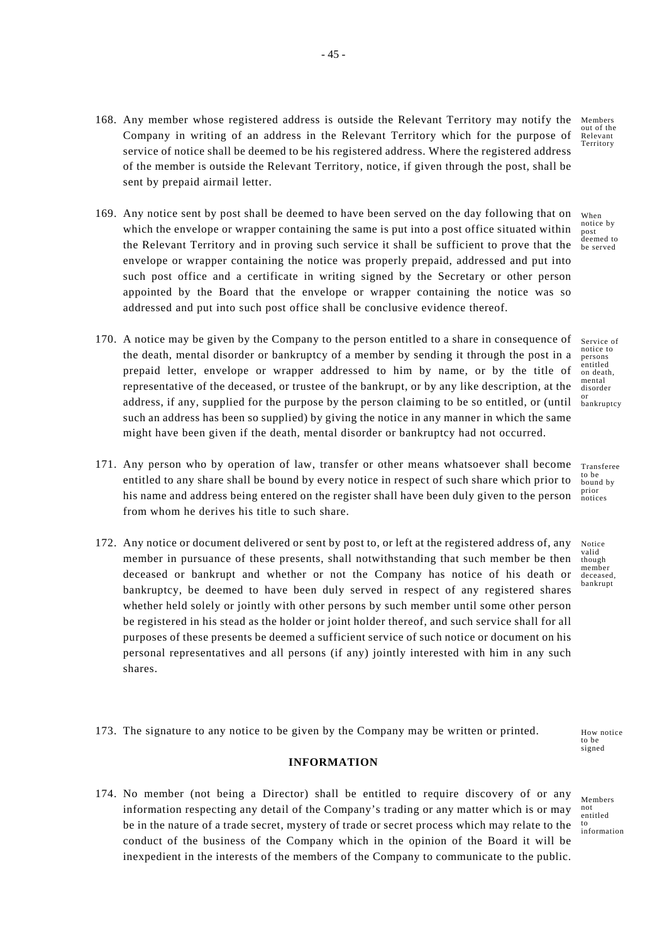- Members out of the Relevant Territory 168. Any member whose registered address is outside the Relevant Territory may notify the Company in writing of an address in the Relevant Territory which for the purpose of service of notice shall be deemed to be his registered address. Where the registered address of the member is outside the Relevant Territory, notice, if given through the post, shall be sent by prepaid airmail letter.
- 169. Any notice sent by post shall be deemed to have been served on the day following that on which the envelope or wrapper containing the same is put into a post office situated within the Relevant Territory and in proving such service it shall be sufficient to prove that the envelope or wrapper containing the notice was properly prepaid, addressed and put into such post office and a certificate in writing signed by the Secretary or other person appointed by the Board that the envelope or wrapper containing the notice was so addressed and put into such post office shall be conclusive evidence thereof.
- 170. A notice may be given by the Company to the person entitled to a share in consequence of the death, mental disorder or bankruptcy of a member by sending it through the post in a prepaid letter, envelope or wrapper addressed to him by name, or by the title of representative of the deceased, or trustee of the bankrupt, or by any like description, at the address, if any, supplied for the purpose by the person claiming to be so entitled, or (until such an address has been so supplied) by giving the notice in any manner in which the same might have been given if the death, mental disorder or bankruptcy had not occurred.
- 171. Any person who by operation of law, transfer or other means whatsoever shall become entitled to any share shall be bound by every notice in respect of such share which prior to his name and address being entered on the register shall have been duly given to the person from whom he derives his title to such share.
- 172. Any notice or document delivered or sent by post to, or left at the registered address of, any member in pursuance of these presents, shall notwithstanding that such member be then deceased or bankrupt and whether or not the Company has notice of his death or bankruptcy, be deemed to have been duly served in respect of any registered shares whether held solely or jointly with other persons by such member until some other person be registered in his stead as the holder or joint holder thereof, and such service shall for all purposes of these presents be deemed a sufficient service of such notice or document on his personal representatives and all persons (if any) jointly interested with him in any such shares.

173. The signature to any notice to be given by the Company may be written or printed.

# **INFORMATION**

174. No member (not being a Director) shall be entitled to require discovery of or any information respecting any detail of the Company's trading or any matter which is or may be in the nature of a trade secret, mystery of trade or secret process which may relate to the conduct of the business of the Company which in the opinion of the Board it will be inexpedient in the interests of the members of the Company to communicate to the public.

Members not entitled to information

How notice to be signed

When notice by post deemed to be served

Service of notice to persons entitled on death, mental disorder or bankruptcy

Transferee to be bound by prior notices

Notice valid though member deceased, bankrupt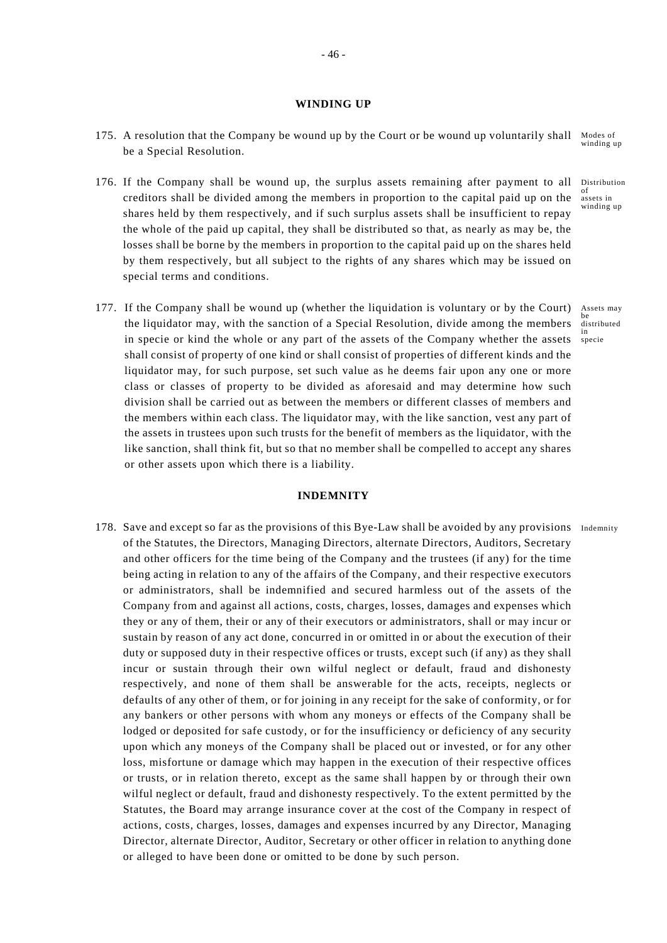### **WINDING UP**

- Modes of 175. A resolution that the Company be wound up by the Court or be wound up voluntarily shall be a Special Resolution.
- 176. If the Company shall be wound up, the surplus assets remaining after payment to all creditors shall be divided among the members in proportion to the capital paid up on the shares held by them respectively, and if such surplus assets shall be insufficient to repay the whole of the paid up capital, they shall be distributed so that, as nearly as may be, the losses shall be borne by the members in proportion to the capital paid up on the shares held by them respectively, but all subject to the rights of any shares which may be issued on special terms and conditions.
- 177. If the Company shall be wound up (whether the liquidation is voluntary or by the Court) the liquidator may, with the sanction of a Special Resolution, divide among the members in specie or kind the whole or any part of the assets of the Company whether the assets shall consist of property of one kind or shall consist of properties of different kinds and the liquidator may, for such purpose, set such value as he deems fair upon any one or more class or classes of property to be divided as aforesaid and may determine how such division shall be carried out as between the members or different classes of members and the members within each class. The liquidator may, with the like sanction, vest any part of the assets in trustees upon such trusts for the benefit of members as the liquidator, with the like sanction, shall think fit, but so that no member shall be compelled to accept any shares or other assets upon which there is a liability.

#### **INDEMNITY**

178. Save and except so far as the provisions of this Bye-Law shall be avoided by any provisions Indemnity of the Statutes, the Directors, Managing Directors, alternate Directors, Auditors, Secretary and other officers for the time being of the Company and the trustees (if any) for the time being acting in relation to any of the affairs of the Company, and their respective executors or administrators, shall be indemnified and secured harmless out of the assets of the Company from and against all actions, costs, charges, losses, damages and expenses which they or any of them, their or any of their executors or administrators, shall or may incur or sustain by reason of any act done, concurred in or omitted in or about the execution of their duty or supposed duty in their respective offices or trusts, except such (if any) as they shall incur or sustain through their own wilful neglect or default, fraud and dishonesty respectively, and none of them shall be answerable for the acts, receipts, neglects or defaults of any other of them, or for joining in any receipt for the sake of conformity, or for any bankers or other persons with whom any moneys or effects of the Company shall be lodged or deposited for safe custody, or for the insufficiency or deficiency of any security upon which any moneys of the Company shall be placed out or invested, or for any other loss, misfortune or damage which may happen in the execution of their respective offices or trusts, or in relation thereto, except as the same shall happen by or through their own wilful neglect or default, fraud and dishonesty respectively. To the extent permitted by the Statutes, the Board may arrange insurance cover at the cost of the Company in respect of actions, costs, charges, losses, damages and expenses incurred by any Director, Managing Director, alternate Director, Auditor, Secretary or other officer in relation to anything done or alleged to have been done or omitted to be done by such person.

winding up

Distribution of assets in winding up

Assets may be distributed in specie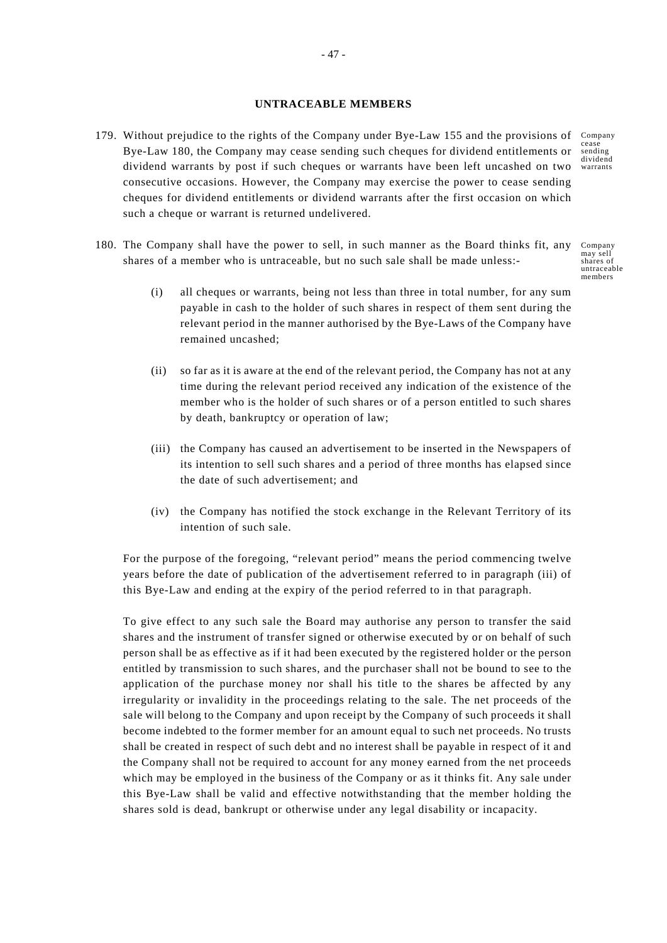### **UNTRACEABLE MEMBERS**

- 179. Without prejudice to the rights of the Company under Bye-Law 155 and the provisions of Company cease sending dividend dividend warrants by post if such cheques or warrants have been left uncashed on two warrants Bye-Law 180, the Company may cease sending such cheques for dividend entitlements or consecutive occasions. However, the Company may exercise the power to cease sending cheques for dividend entitlements or dividend warrants after the first occasion on which such a cheque or warrant is returned undelivered.
- 180. The Company shall have the power to sell, in such manner as the Board thinks fit, any shares of a member who is untraceable, but no such sale shall be made unless:-
	- (i) all cheques or warrants, being not less than three in total number, for any sum payable in cash to the holder of such shares in respect of them sent during the relevant period in the manner authorised by the Bye-Laws of the Company have remained uncashed;
	- (ii) so far as it is aware at the end of the relevant period, the Company has not at any time during the relevant period received any indication of the existence of the member who is the holder of such shares or of a person entitled to such shares by death, bankruptcy or operation of law;
	- (iii) the Company has caused an advertisement to be inserted in the Newspapers of its intention to sell such shares and a period of three months has elapsed since the date of such advertisement; and
	- (iv) the Company has notified the stock exchange in the Relevant Territory of its intention of such sale.

For the purpose of the foregoing, "relevant period" means the period commencing twelve years before the date of publication of the advertisement referred to in paragraph (iii) of this Bye-Law and ending at the expiry of the period referred to in that paragraph.

To give effect to any such sale the Board may authorise any person to transfer the said shares and the instrument of transfer signed or otherwise executed by or on behalf of such person shall be as effective as if it had been executed by the registered holder or the person entitled by transmission to such shares, and the purchaser shall not be bound to see to the application of the purchase money nor shall his title to the shares be affected by any irregularity or invalidity in the proceedings relating to the sale. The net proceeds of the sale will belong to the Company and upon receipt by the Company of such proceeds it shall become indebted to the former member for an amount equal to such net proceeds. No trusts shall be created in respect of such debt and no interest shall be payable in respect of it and the Company shall not be required to account for any money earned from the net proceeds which may be employed in the business of the Company or as it thinks fit. Any sale under this Bye-Law shall be valid and effective notwithstanding that the member holding the shares sold is dead, bankrupt or otherwise under any legal disability or incapacity.

Company may sell shares of untraceable members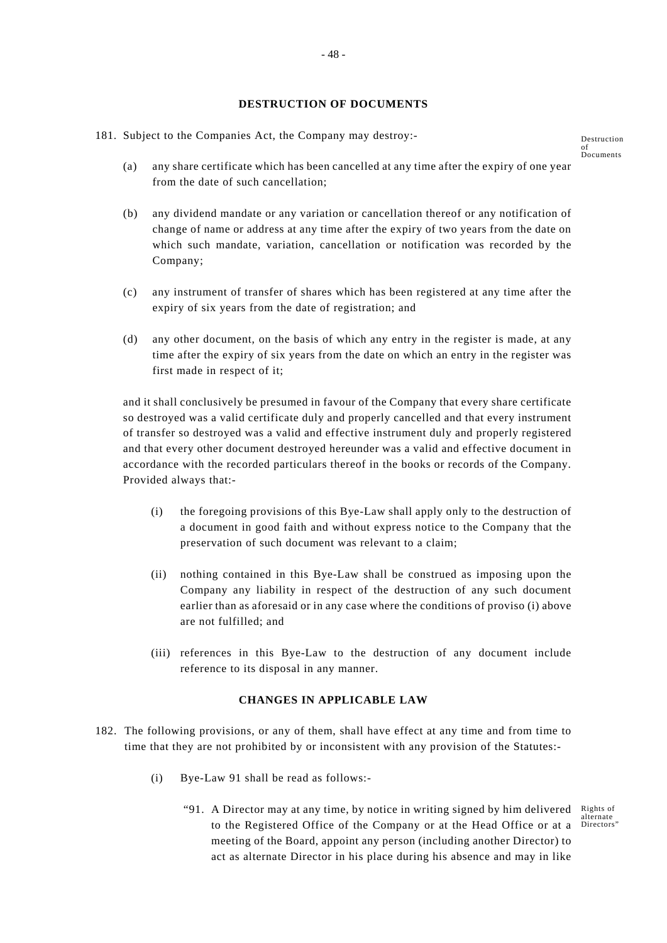# **DESTRUCTION OF DOCUMENTS**

- 181. Subject to the Companies Act, the Company may destroy:-
	- (a) any share certificate which has been cancelled at any time after the expiry of one year from the date of such cancellation;
	- (b) any dividend mandate or any variation or cancellation thereof or any notification of change of name or address at any time after the expiry of two years from the date on which such mandate, variation, cancellation or notification was recorded by the Company;
	- (c) any instrument of transfer of shares which has been registered at any time after the expiry of six years from the date of registration; and
	- (d) any other document, on the basis of which any entry in the register is made, at any time after the expiry of six years from the date on which an entry in the register was first made in respect of it;

and it shall conclusively be presumed in favour of the Company that every share certificate so destroyed was a valid certificate duly and properly cancelled and that every instrument of transfer so destroyed was a valid and effective instrument duly and properly registered and that every other document destroyed hereunder was a valid and effective document in accordance with the recorded particulars thereof in the books or records of the Company. Provided always that:-

- (i) the foregoing provisions of this Bye-Law shall apply only to the destruction of a document in good faith and without express notice to the Company that the preservation of such document was relevant to a claim;
- (ii) nothing contained in this Bye-Law shall be construed as imposing upon the Company any liability in respect of the destruction of any such document earlier than as aforesaid or in any case where the conditions of proviso (i) above are not fulfilled; and
- (iii) references in this Bye-Law to the destruction of any document include reference to its disposal in any manner.

### **CHANGES IN APPLICABLE LAW**

- 182. The following provisions, or any of them, shall have effect at any time and from time to time that they are not prohibited by or inconsistent with any provision of the Statutes:-
	- (i) Bye-Law 91 shall be read as follows:-
		- "91. A Director may at any time, by notice in writing signed by him delivered Rights of to the Registered Office of the Company or at the Head Office or at a meeting of the Board, appoint any person (including another Director) to act as alternate Director in his place during his absence and may in like

alternate Directors"

Destruction of Documents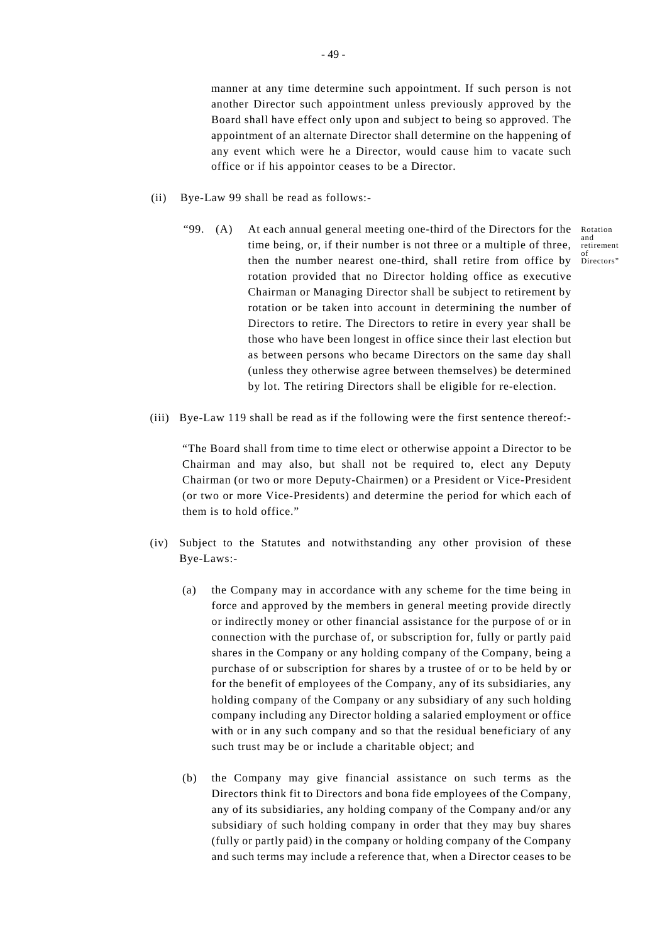manner at any time determine such appointment. If such person is not another Director such appointment unless previously approved by the Board shall have effect only upon and subject to being so approved. The appointment of an alternate Director shall determine on the happening of any event which were he a Director, would cause him to vacate such office or if his appointor ceases to be a Director.

- (ii) Bye-Law 99 shall be read as follows:
	- then the number nearest one-third, shall retire from office by Directors" "99. (A) At each annual general meeting one-third of the Directors for the time being, or, if their number is not three or a multiple of three, rotation provided that no Director holding office as executive Chairman or Managing Director shall be subject to retirement by rotation or be taken into account in determining the number of Directors to retire. The Directors to retire in every year shall be those who have been longest in office since their last election but as between persons who became Directors on the same day shall (unless they otherwise agree between themselves) be determined by lot. The retiring Directors shall be eligible for re-election.
- (iii) Bye-Law 119 shall be read as if the following were the first sentence thereof:-

"The Board shall from time to time elect or otherwise appoint a Director to be Chairman and may also, but shall not be required to, elect any Deputy Chairman (or two or more Deputy-Chairmen) or a President or Vice-President (or two or more Vice-Presidents) and determine the period for which each of them is to hold office."

- (iv) Subject to the Statutes and notwithstanding any other provision of these Bye-Laws:-
	- (a) the Company may in accordance with any scheme for the time being in force and approved by the members in general meeting provide directly or indirectly money or other financial assistance for the purpose of or in connection with the purchase of, or subscription for, fully or partly paid shares in the Company or any holding company of the Company, being a purchase of or subscription for shares by a trustee of or to be held by or for the benefit of employees of the Company, any of its subsidiaries, any holding company of the Company or any subsidiary of any such holding company including any Director holding a salaried employment or office with or in any such company and so that the residual beneficiary of any such trust may be or include a charitable object; and
	- (b) the Company may give financial assistance on such terms as the Directors think fit to Directors and bona fide employees of the Company, any of its subsidiaries, any holding company of the Company and/or any subsidiary of such holding company in order that they may buy shares (fully or partly paid) in the company or holding company of the Company and such terms may include a reference that, when a Director ceases to be

Rotation and retirement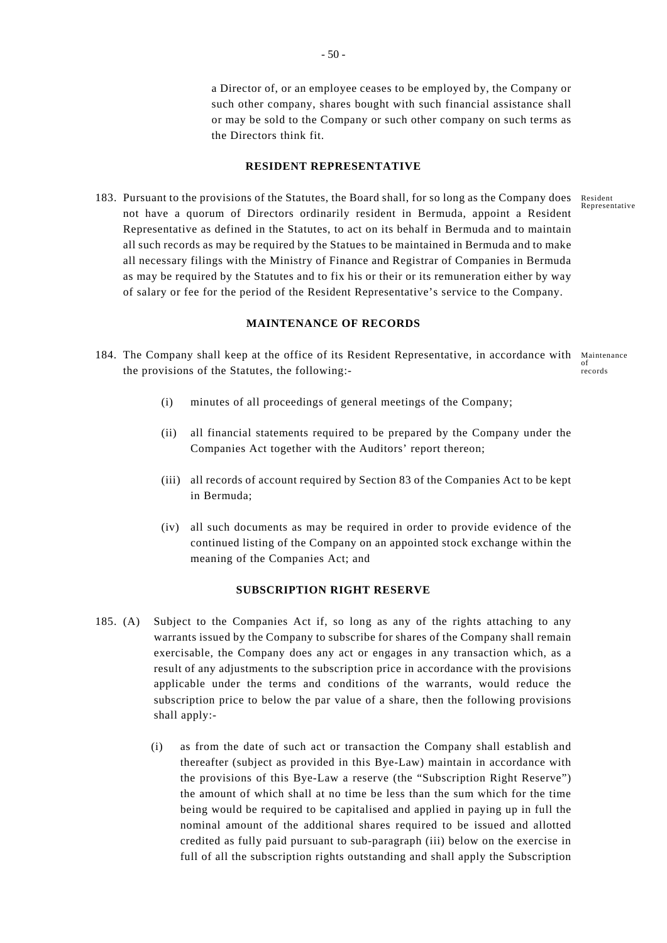a Director of, or an employee ceases to be employed by, the Company or such other company, shares bought with such financial assistance shall or may be sold to the Company or such other company on such terms as the Directors think fit.

# **RESIDENT REPRESENTATIVE**

Resident Representative 183. Pursuant to the provisions of the Statutes, the Board shall, for so long as the Company does not have a quorum of Directors ordinarily resident in Bermuda, appoint a Resident Representative as defined in the Statutes, to act on its behalf in Bermuda and to maintain all such records as may be required by the Statues to be maintained in Bermuda and to make all necessary filings with the Ministry of Finance and Registrar of Companies in Bermuda as may be required by the Statutes and to fix his or their or its remuneration either by way of salary or fee for the period of the Resident Representative's service to the Company.

# **MAINTENANCE OF RECORDS**

- 184. The Company shall keep at the office of its Resident Representative, in accordance with Maintenance of records the provisions of the Statutes, the following:-
	- (i) minutes of all proceedings of general meetings of the Company;
	- (ii) all financial statements required to be prepared by the Company under the Companies Act together with the Auditors' report thereon;
	- (iii) all records of account required by Section 83 of the Companies Act to be kept in Bermuda;
	- (iv) all such documents as may be required in order to provide evidence of the continued listing of the Company on an appointed stock exchange within the meaning of the Companies Act; and

# **SUBSCRIPTION RIGHT RESERVE**

- 185. (A) Subject to the Companies Act if, so long as any of the rights attaching to any warrants issued by the Company to subscribe for shares of the Company shall remain exercisable, the Company does any act or engages in any transaction which, as a result of any adjustments to the subscription price in accordance with the provisions applicable under the terms and conditions of the warrants, would reduce the subscription price to below the par value of a share, then the following provisions shall apply:-
	- (i) as from the date of such act or transaction the Company shall establish and thereafter (subject as provided in this Bye-Law) maintain in accordance with the provisions of this Bye-Law a reserve (the "Subscription Right Reserve") the amount of which shall at no time be less than the sum which for the time being would be required to be capitalised and applied in paying up in full the nominal amount of the additional shares required to be issued and allotted credited as fully paid pursuant to sub-paragraph (iii) below on the exercise in full of all the subscription rights outstanding and shall apply the Subscription

- 50 -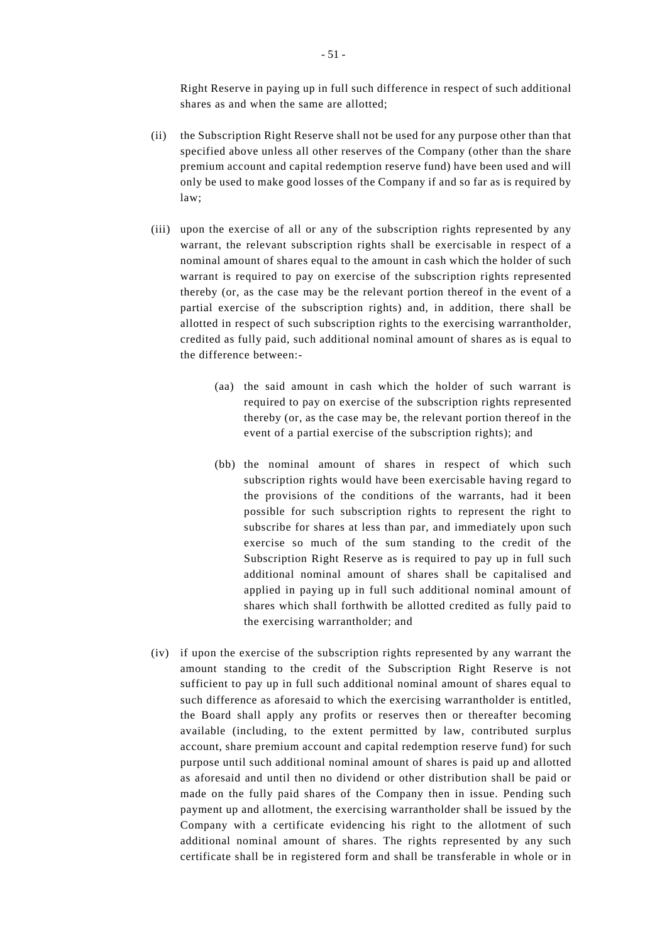Right Reserve in paying up in full such difference in respect of such additional shares as and when the same are allotted;

- (ii) the Subscription Right Reserve shall not be used for any purpose other than that specified above unless all other reserves of the Company (other than the share premium account and capital redemption reserve fund) have been used and will only be used to make good losses of the Company if and so far as is required by law;
- (iii) upon the exercise of all or any of the subscription rights represented by any warrant, the relevant subscription rights shall be exercisable in respect of a nominal amount of shares equal to the amount in cash which the holder of such warrant is required to pay on exercise of the subscription rights represented thereby (or, as the case may be the relevant portion thereof in the event of a partial exercise of the subscription rights) and, in addition, there shall be allotted in respect of such subscription rights to the exercising warrantholder, credited as fully paid, such additional nominal amount of shares as is equal to the difference between:-
	- (aa) the said amount in cash which the holder of such warrant is required to pay on exercise of the subscription rights represented thereby (or, as the case may be, the relevant portion thereof in the event of a partial exercise of the subscription rights); and
	- (bb) the nominal amount of shares in respect of which such subscription rights would have been exercisable having regard to the provisions of the conditions of the warrants, had it been possible for such subscription rights to represent the right to subscribe for shares at less than par, and immediately upon such exercise so much of the sum standing to the credit of the Subscription Right Reserve as is required to pay up in full such additional nominal amount of shares shall be capitalised and applied in paying up in full such additional nominal amount of shares which shall forthwith be allotted credited as fully paid to the exercising warrantholder; and
- (iv) if upon the exercise of the subscription rights represented by any warrant the amount standing to the credit of the Subscription Right Reserve is not sufficient to pay up in full such additional nominal amount of shares equal to such difference as aforesaid to which the exercising warrantholder is entitled, the Board shall apply any profits or reserves then or thereafter becoming available (including, to the extent permitted by law, contributed surplus account, share premium account and capital redemption reserve fund) for such purpose until such additional nominal amount of shares is paid up and allotted as aforesaid and until then no dividend or other distribution shall be paid or made on the fully paid shares of the Company then in issue. Pending such payment up and allotment, the exercising warrantholder shall be issued by the Company with a certificate evidencing his right to the allotment of such additional nominal amount of shares. The rights represented by any such certificate shall be in registered form and shall be transferable in whole or in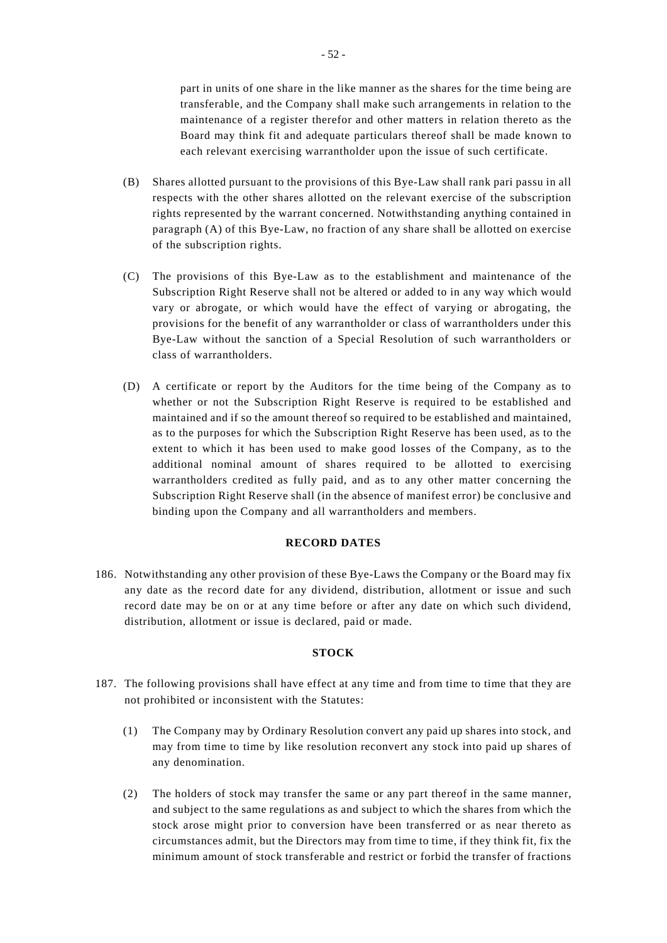part in units of one share in the like manner as the shares for the time being are transferable, and the Company shall make such arrangements in relation to the maintenance of a register therefor and other matters in relation thereto as the Board may think fit and adequate particulars thereof shall be made known to each relevant exercising warrantholder upon the issue of such certificate.

- (B) Shares allotted pursuant to the provisions of this Bye-Law shall rank pari passu in all respects with the other shares allotted on the relevant exercise of the subscription rights represented by the warrant concerned. Notwithstanding anything contained in paragraph (A) of this Bye-Law, no fraction of any share shall be allotted on exercise of the subscription rights.
- (C) The provisions of this Bye-Law as to the establishment and maintenance of the Subscription Right Reserve shall not be altered or added to in any way which would vary or abrogate, or which would have the effect of varying or abrogating, the provisions for the benefit of any warrantholder or class of warrantholders under this Bye-Law without the sanction of a Special Resolution of such warrantholders or class of warrantholders.
- (D) A certificate or report by the Auditors for the time being of the Company as to whether or not the Subscription Right Reserve is required to be established and maintained and if so the amount thereof so required to be established and maintained, as to the purposes for which the Subscription Right Reserve has been used, as to the extent to which it has been used to make good losses of the Company, as to the additional nominal amount of shares required to be allotted to exercising warrantholders credited as fully paid, and as to any other matter concerning the Subscription Right Reserve shall (in the absence of manifest error) be conclusive and binding upon the Company and all warrantholders and members.

#### **RECORD DATES**

186. Notwithstanding any other provision of these Bye-Laws the Company or the Board may fix any date as the record date for any dividend, distribution, allotment or issue and such record date may be on or at any time before or after any date on which such dividend, distribution, allotment or issue is declared, paid or made.

# **STOCK**

- 187. The following provisions shall have effect at any time and from time to time that they are not prohibited or inconsistent with the Statutes:
	- (1) The Company may by Ordinary Resolution convert any paid up shares into stock, and may from time to time by like resolution reconvert any stock into paid up shares of any denomination.
	- (2) The holders of stock may transfer the same or any part thereof in the same manner, and subject to the same regulations as and subject to which the shares from which the stock arose might prior to conversion have been transferred or as near thereto as circumstances admit, but the Directors may from time to time, if they think fit, fix the minimum amount of stock transferable and restrict or forbid the transfer of fractions